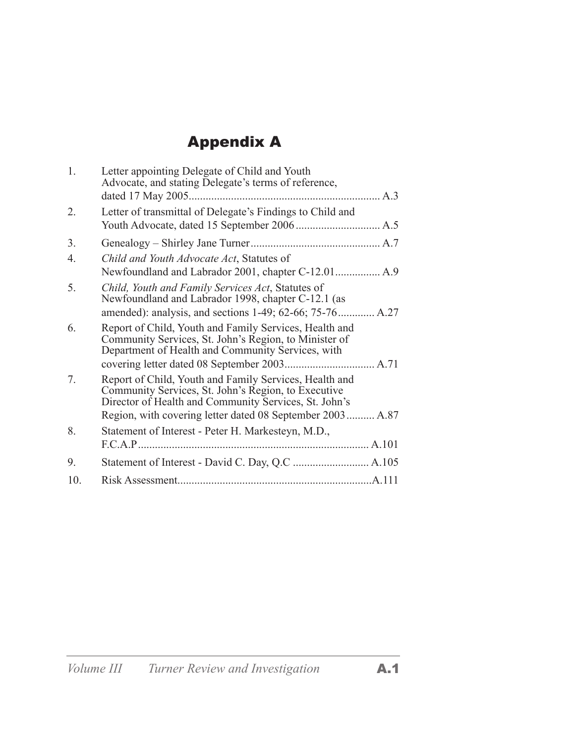| 1.               | Letter appointing Delegate of Child and Youth<br>Advocate, and stating Delegate's terms of reference,                                                                                                                               |
|------------------|-------------------------------------------------------------------------------------------------------------------------------------------------------------------------------------------------------------------------------------|
| 2.               | Letter of transmittal of Delegate's Findings to Child and                                                                                                                                                                           |
|                  |                                                                                                                                                                                                                                     |
| 3.               |                                                                                                                                                                                                                                     |
| $\overline{4}$ . | Child and Youth Advocate Act, Statutes of                                                                                                                                                                                           |
|                  |                                                                                                                                                                                                                                     |
| 5.               | Child, Youth and Family Services Act, Statutes of<br>Newfoundland and Labrador 1998, chapter C-12.1 (as<br>amended): analysis, and sections 1-49; 62-66; 75-76 A.27                                                                 |
|                  |                                                                                                                                                                                                                                     |
| 6.               | Report of Child, Youth and Family Services, Health and<br>Community Services, St. John's Region, to Minister of<br>Department of Health and Community Services, with                                                                |
| 7.               | Report of Child, Youth and Family Services, Health and<br>Community Services, St. John's Region, to Executive<br>Director of Health and Community Services, St. John's<br>Region, with covering letter dated 08 September 2003 A.87 |
| 8.               | Statement of Interest - Peter H. Markesteyn, M.D.,                                                                                                                                                                                  |
|                  |                                                                                                                                                                                                                                     |
| 9.               |                                                                                                                                                                                                                                     |
| 10.              |                                                                                                                                                                                                                                     |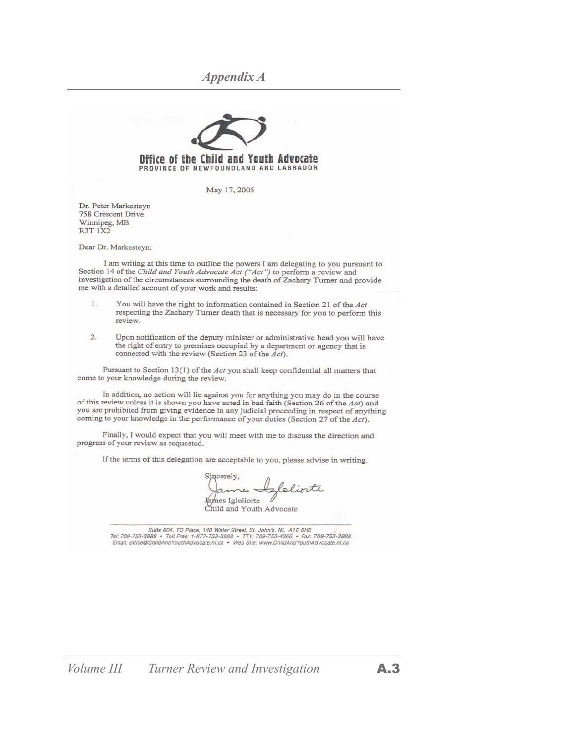

May 17, 2005

Dr. Peter Markesteyn 758 Crescent Drive Winnipeg, MB R3T 1X2

Dear Dr. Markesteyn:

I am writing at this time to outline the powers I am delegating to you pursuant to Section 14 of the Child and Youth Advocate Act ("Act") to perform a review and investigation of the circumstances surrounding the death of Zachary Turner and provide me with a detailed account of your work and results:

- $\mathbf{1}$ You will have the right to information contained in Section 21 of the Act respecting the Zachary Turner death that is necessary for you to perform this review.
- $2.$ Upon notification of the deputy minister or administrative head you will have the right of entry to premises occupied by a department or agency that is connected with the review (Section 23 of the Act).

Pursuant to Section 13(1) of the Act you shall keep confidential all matters that come to your knowledge during the review.

In addition, no action will lie against you for anything you may do in the course of this review unless it is shown you have acted in bad faith (Section 26 of the Act) and you are prohibited from giving evidence in any judicial proceeding in respect of anything coming to your knowledge in the performance of your duties (Section 27 of the Act).

Finally, I would expect that you will meet with me to discuss the direction and progress of your review as requested.

If the terms of this delegation are acceptable to you, please advise in writing.

Sincerely. leliotte ames Igloliorte Child and Youth Advocate

Suite 604, TD Place, 140 Water Street, St. John's, NL A1C 6H6<br>Tel: 709-753-3888 • Toll Free: 1-877-753-3888 • TTY: 709-753-4366 • Fax: 709-753-3988<br>Email: office@ChildAndYouthAdvocate.nl.ca • Web Site: www.ChildAndYouthAdv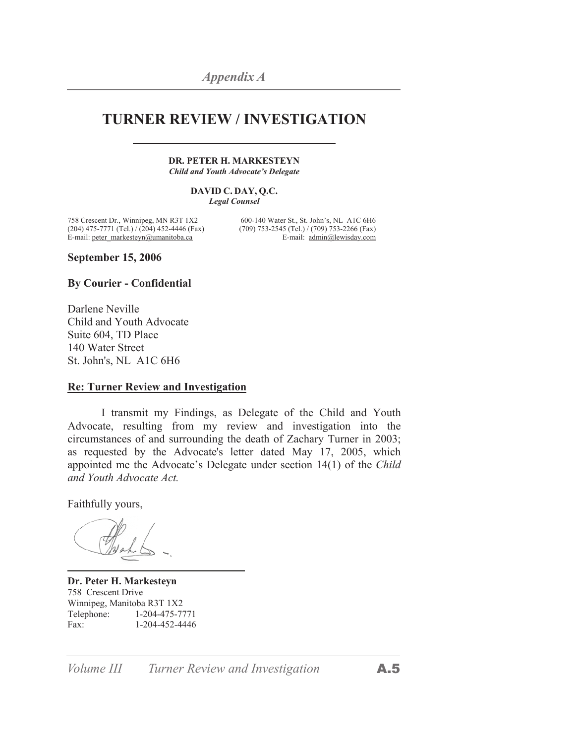# **TURNER REVIEW / INVESTIGATION**

**DR. PETER H. MARKESTEYN**  *Child and Youth Advocate's Delegate* 

> **DAVID C. DAY, Q.C.**  *Legal Counsel*

758 Crescent Dr., Winnipeg, MN R3T 1X2 600-140 Water St., St. John's, NL A1C 6H6 (204) 475-7771 (Tel.) / (204) 452-4446 (Fax) (709) 753-2545 (Tel.) / (709) 753-2266 (Fax) E-mail: peter\_markesteyn@umanitoba.ca E-mail: admin@lewisday.com

 $\overline{a}$ 

(709) 753-2545 (Tel.) / (709) 753-2266 (Fax)

**September 15, 2006** 

**By Courier - Confidential** 

Darlene Neville Child and Youth Advocate Suite 604, TD Place 140 Water Street St. John's, NL A1C 6H6

#### **Re: Turner Review and Investigation**

I transmit my Findings, as Delegate of the Child and Youth Advocate, resulting from my review and investigation into the circumstances of and surrounding the death of Zachary Turner in 2003; as requested by the Advocate's letter dated May 17, 2005, which appointed me the Advocate's Delegate under section 14(1) of the *Child and Youth Advocate Act.* 

Faithfully yours,

**Dr. Peter H. Markesteyn**  758 Crescent Drive Winnipeg, Manitoba R3T 1X2 Telephone: 1-204-475-7771 Fax: 1-204-452-4446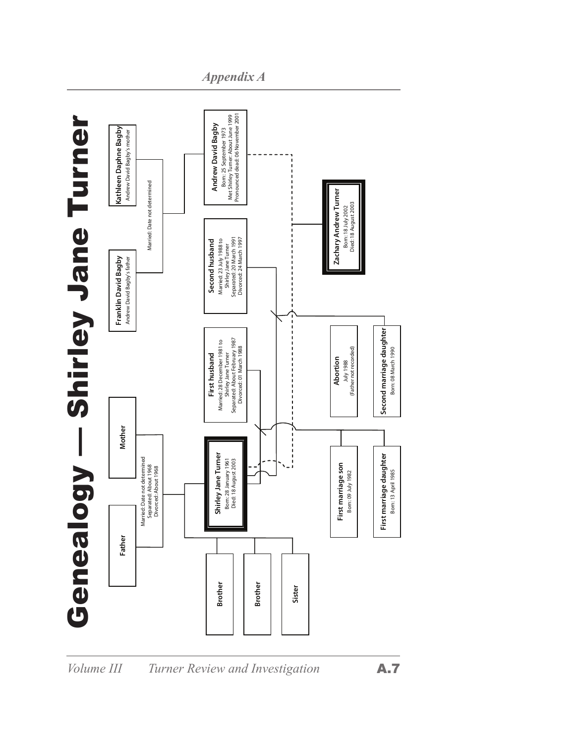

A.7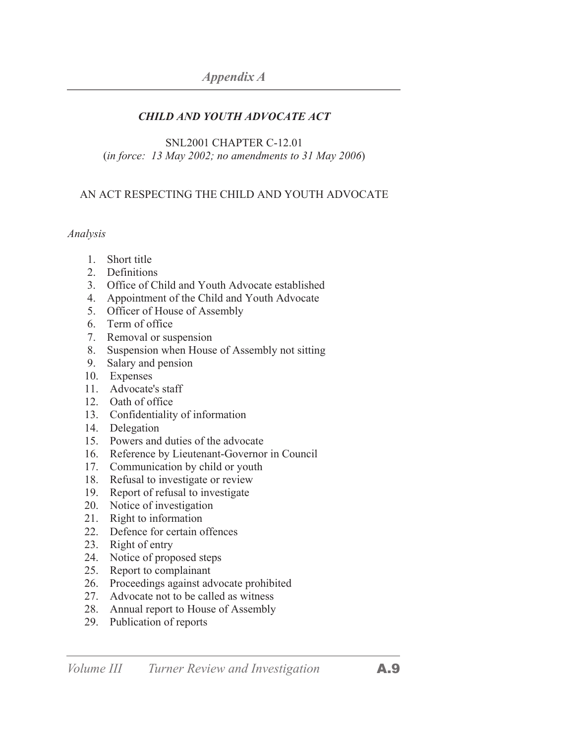# *CHILD AND YOUTH ADVOCATE ACT*

### SNL2001 CHAPTER C-12.01 (*in force: 13 May 2002; no amendments to 31 May 2006*)

# AN ACT RESPECTING THE CHILD AND YOUTH ADVOCATE

# *Analysis*

- 1. Short title
- 2. Definitions
- 3. Office of Child and Youth Advocate established
- 4. Appointment of the Child and Youth Advocate
- 5. Officer of House of Assembly
- 6. Term of office
- 7. Removal or suspension
- 8. Suspension when House of Assembly not sitting
- 9. Salary and pension
- 10. Expenses
- 11. Advocate's staff
- 12. Oath of office
- 13. Confidentiality of information
- 14. Delegation
- 15. Powers and duties of the advocate
- 16. Reference by Lieutenant-Governor in Council
- 17. Communication by child or youth
- 18. Refusal to investigate or review
- 19. Report of refusal to investigate
- 20. Notice of investigation
- 21. Right to information
- 22. Defence for certain offences
- 23. Right of entry
- 24. Notice of proposed steps
- 25. Report to complainant
- 26. Proceedings against advocate prohibited
- 27. Advocate not to be called as witness
- 28. Annual report to House of Assembly
- 29. Publication of reports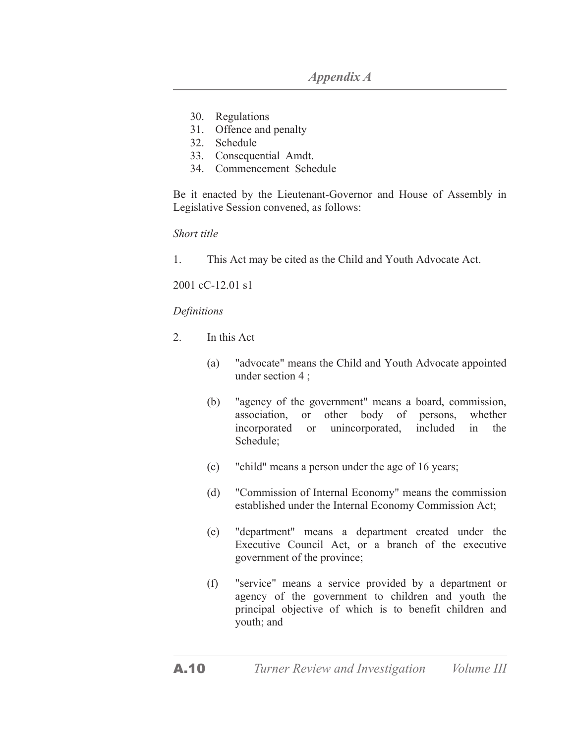- 30. Regulations
- 31. Offence and penalty
- 32. Schedule
- 33. Consequential Amdt.
- 34. Commencement Schedule

Be it enacted by the Lieutenant-Governor and House of Assembly in Legislative Session convened, as follows:

*Short title* 

1. This Act may be cited as the Child and Youth Advocate Act.

2001 cC-12.01 s1

#### *Definitions*

- 2. In this Act
	- (a) "advocate" means the Child and Youth Advocate appointed under section 4 ;
	- (b) "agency of the government" means a board, commission, association, or other body of persons, whether incorporated or unincorporated, included in the Schedule;
	- (c) "child" means a person under the age of 16 years;
	- (d) "Commission of Internal Economy" means the commission established under the Internal Economy Commission Act;
	- (e) "department" means a department created under the Executive Council Act, or a branch of the executive government of the province;
	- (f) "service" means a service provided by a department or agency of the government to children and youth the principal objective of which is to benefit children and youth; and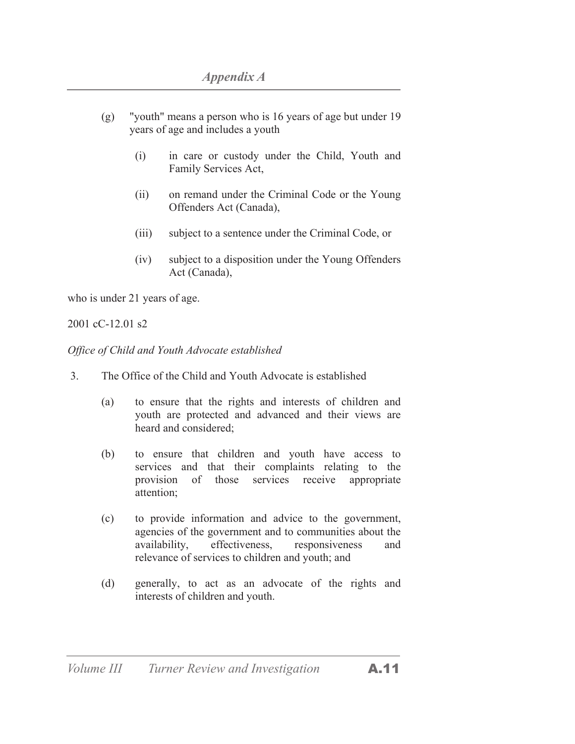- (g) "youth" means a person who is 16 years of age but under 19 years of age and includes a youth
	- (i) in care or custody under the Child, Youth and Family Services Act,
	- (ii) on remand under the Criminal Code or the Young Offenders Act (Canada),
	- (iii) subject to a sentence under the Criminal Code, or
	- (iv) subject to a disposition under the Young Offenders Act (Canada),

who is under 21 years of age.

2001 cC-12.01 s2

*Office of Child and Youth Advocate established* 

- 3. The Office of the Child and Youth Advocate is established
	- (a) to ensure that the rights and interests of children and youth are protected and advanced and their views are heard and considered;
	- (b) to ensure that children and youth have access to services and that their complaints relating to the provision of those services receive appropriate attention;
	- (c) to provide information and advice to the government, agencies of the government and to communities about the availability, effectiveness, responsiveness and relevance of services to children and youth; and
	- (d) generally, to act as an advocate of the rights and interests of children and youth.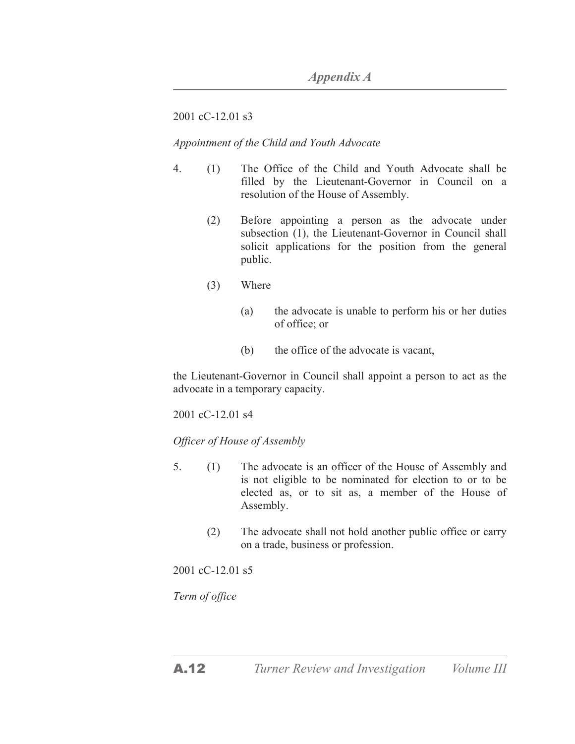#### *Appointment of the Child and Youth Advocate*

- 4. (1) The Office of the Child and Youth Advocate shall be filled by the Lieutenant-Governor in Council on a resolution of the House of Assembly.
	- (2) Before appointing a person as the advocate under subsection (1), the Lieutenant-Governor in Council shall solicit applications for the position from the general public.
	- (3) Where
		- (a) the advocate is unable to perform his or her duties of office; or
		- (b) the office of the advocate is vacant,

the Lieutenant-Governor in Council shall appoint a person to act as the advocate in a temporary capacity.

2001 cC-12.01 s4

*Officer of House of Assembly* 

- 5. (1) The advocate is an officer of the House of Assembly and is not eligible to be nominated for election to or to be elected as, or to sit as, a member of the House of Assembly.
	- (2) The advocate shall not hold another public office or carry on a trade, business or profession.

2001 cC-12.01 s5

*Term of office*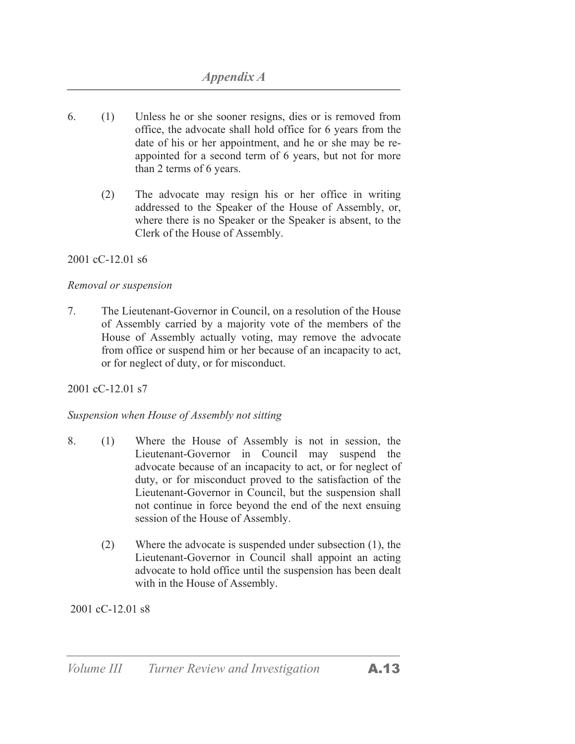- 6. (1) Unless he or she sooner resigns, dies or is removed from office, the advocate shall hold office for 6 years from the date of his or her appointment, and he or she may be reappointed for a second term of 6 years, but not for more than 2 terms of 6 years.
	- (2) The advocate may resign his or her office in writing addressed to the Speaker of the House of Assembly, or, where there is no Speaker or the Speaker is absent, to the Clerk of the House of Assembly.

# *Removal or suspension*

7. The Lieutenant-Governor in Council, on a resolution of the House of Assembly carried by a majority vote of the members of the House of Assembly actually voting, may remove the advocate from office or suspend him or her because of an incapacity to act, or for neglect of duty, or for misconduct.

# 2001 cC-12.01 s7

# *Suspension when House of Assembly not sitting*

- 8. (1) Where the House of Assembly is not in session, the Lieutenant-Governor in Council may suspend the advocate because of an incapacity to act, or for neglect of duty, or for misconduct proved to the satisfaction of the Lieutenant-Governor in Council, but the suspension shall not continue in force beyond the end of the next ensuing session of the House of Assembly.
	- (2) Where the advocate is suspended under subsection (1), the Lieutenant-Governor in Council shall appoint an acting advocate to hold office until the suspension has been dealt with in the House of Assembly.

2001 cC-12.01 s8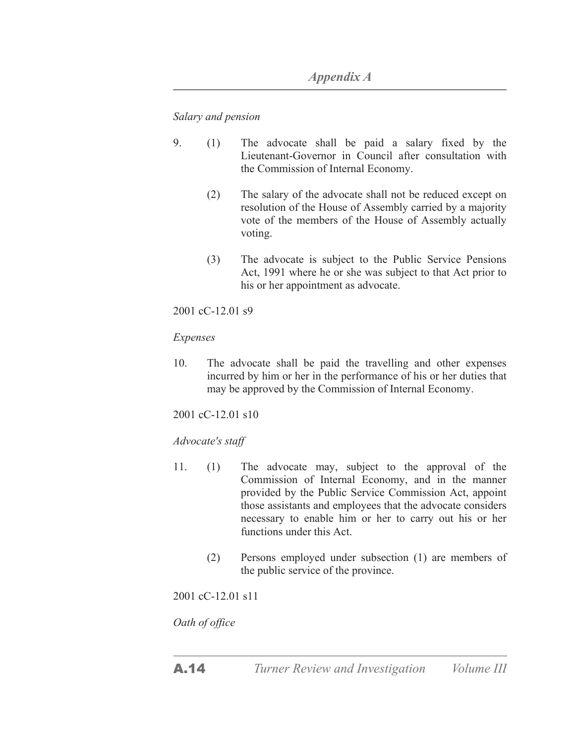# *Salary and pension*

- 9. (1) The advocate shall be paid a salary fixed by the Lieutenant-Governor in Council after consultation with the Commission of Internal Economy.
	- (2) The salary of the advocate shall not be reduced except on resolution of the House of Assembly carried by a majority vote of the members of the House of Assembly actually voting.
	- (3) The advocate is subject to the Public Service Pensions Act, 1991 where he or she was subject to that Act prior to his or her appointment as advocate.

# 2001 cC-12.01 s9

# *Expenses*

10. The advocate shall be paid the travelling and other expenses incurred by him or her in the performance of his or her duties that may be approved by the Commission of Internal Economy.

2001 cC-12.01 s10

# *Advocate's staff*

- 11. (1) The advocate may, subject to the approval of the Commission of Internal Economy, and in the manner provided by the Public Service Commission Act, appoint those assistants and employees that the advocate considers necessary to enable him or her to carry out his or her functions under this Act.
	- (2) Persons employed under subsection (1) are members of the public service of the province.

2001 cC-12.01 s11

*Oath of office*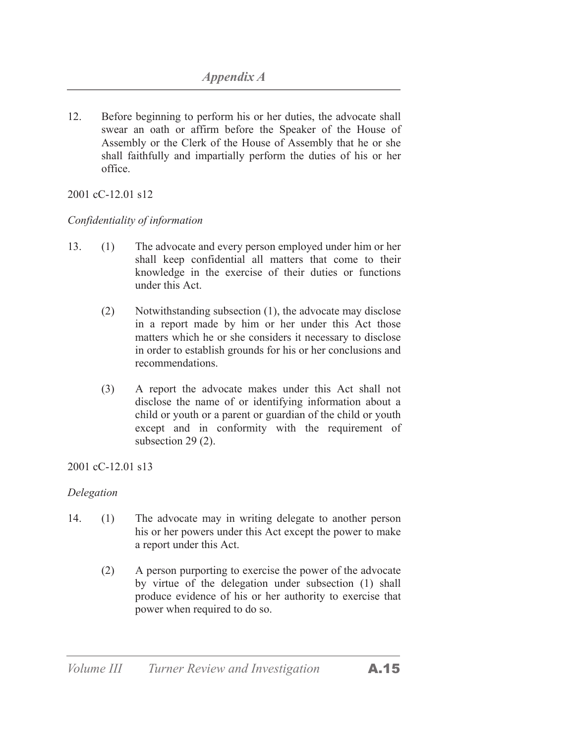12. Before beginning to perform his or her duties, the advocate shall swear an oath or affirm before the Speaker of the House of Assembly or the Clerk of the House of Assembly that he or she shall faithfully and impartially perform the duties of his or her office.

# 2001 cC-12.01 s12

# *Confidentiality of information*

- 13. (1) The advocate and every person employed under him or her shall keep confidential all matters that come to their knowledge in the exercise of their duties or functions under this Act.
	- (2) Notwithstanding subsection (1), the advocate may disclose in a report made by him or her under this Act those matters which he or she considers it necessary to disclose in order to establish grounds for his or her conclusions and recommendations.
	- (3) A report the advocate makes under this Act shall not disclose the name of or identifying information about a child or youth or a parent or guardian of the child or youth except and in conformity with the requirement of subsection 29 (2).

# 2001 cC-12.01 s13

# *Delegation*

- 14. (1) The advocate may in writing delegate to another person his or her powers under this Act except the power to make a report under this Act.
	- (2) A person purporting to exercise the power of the advocate by virtue of the delegation under subsection (1) shall produce evidence of his or her authority to exercise that power when required to do so.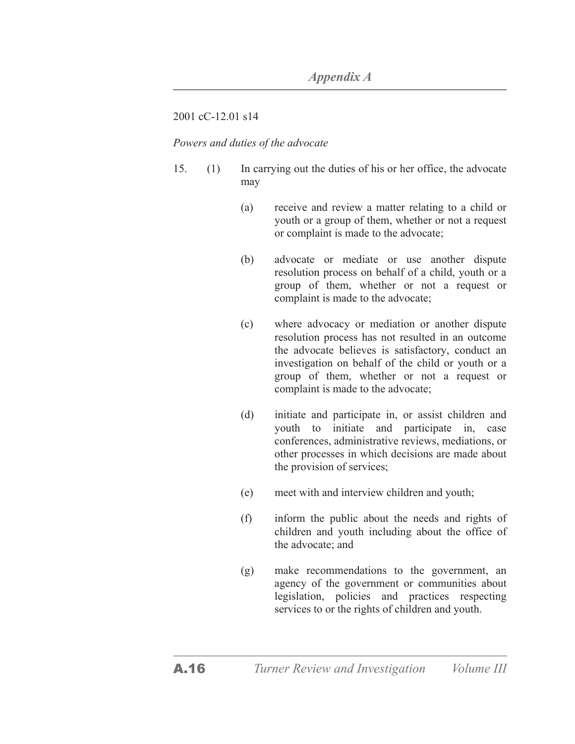#### *Powers and duties of the advocate*

- 15. (1) In carrying out the duties of his or her office, the advocate may
	- (a) receive and review a matter relating to a child or youth or a group of them, whether or not a request or complaint is made to the advocate;
	- (b) advocate or mediate or use another dispute resolution process on behalf of a child, youth or a group of them, whether or not a request or complaint is made to the advocate;
	- (c) where advocacy or mediation or another dispute resolution process has not resulted in an outcome the advocate believes is satisfactory, conduct an investigation on behalf of the child or youth or a group of them, whether or not a request or complaint is made to the advocate;
	- (d) initiate and participate in, or assist children and youth to initiate and participate in, case conferences, administrative reviews, mediations, or other processes in which decisions are made about the provision of services;
	- (e) meet with and interview children and youth;
	- (f) inform the public about the needs and rights of children and youth including about the office of the advocate; and
	- (g) make recommendations to the government, an agency of the government or communities about legislation, policies and practices respecting services to or the rights of children and youth.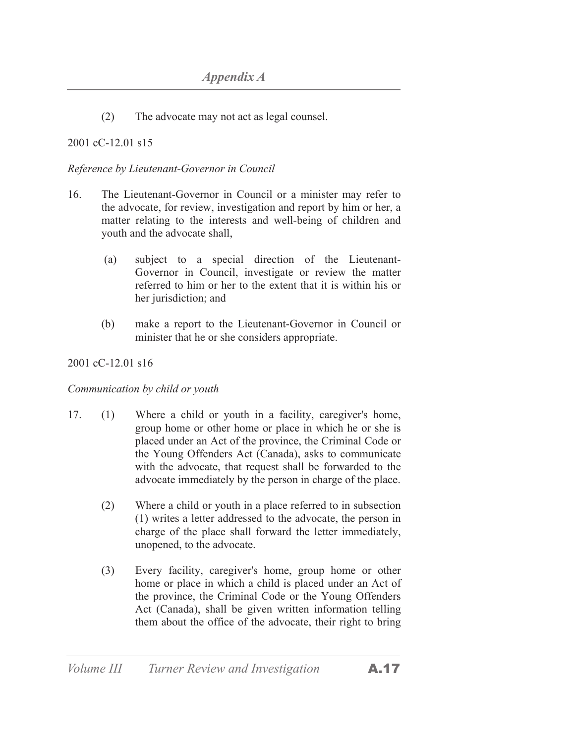# (2) The advocate may not act as legal counsel.

# 2001 cC-12.01 s15

# *Reference by Lieutenant-Governor in Council*

- 16. The Lieutenant-Governor in Council or a minister may refer to the advocate, for review, investigation and report by him or her, a matter relating to the interests and well-being of children and youth and the advocate shall,
	- (a) subject to a special direction of the Lieutenant-Governor in Council, investigate or review the matter referred to him or her to the extent that it is within his or her jurisdiction; and
	- (b) make a report to the Lieutenant-Governor in Council or minister that he or she considers appropriate.

# 2001 cC-12.01 s16

#### *Communication by child or youth*

- 17. (1) Where a child or youth in a facility, caregiver's home, group home or other home or place in which he or she is placed under an Act of the province, the Criminal Code or the Young Offenders Act (Canada), asks to communicate with the advocate, that request shall be forwarded to the advocate immediately by the person in charge of the place.
	- (2) Where a child or youth in a place referred to in subsection (1) writes a letter addressed to the advocate, the person in charge of the place shall forward the letter immediately, unopened, to the advocate.
	- (3) Every facility, caregiver's home, group home or other home or place in which a child is placed under an Act of the province, the Criminal Code or the Young Offenders Act (Canada), shall be given written information telling them about the office of the advocate, their right to bring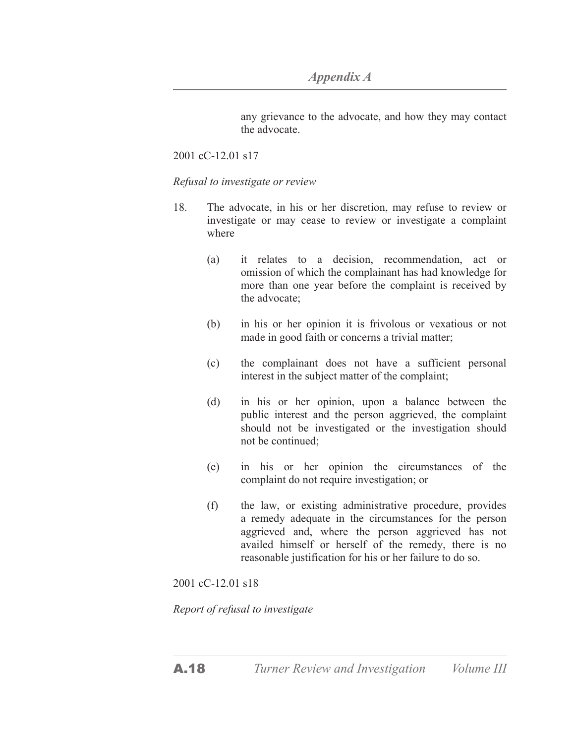any grievance to the advocate, and how they may contact the advocate.

#### 2001 cC-12.01 s17

#### *Refusal to investigate or review*

- 18. The advocate, in his or her discretion, may refuse to review or investigate or may cease to review or investigate a complaint where
	- (a) it relates to a decision, recommendation, act or omission of which the complainant has had knowledge for more than one year before the complaint is received by the advocate;
	- (b) in his or her opinion it is frivolous or vexatious or not made in good faith or concerns a trivial matter;
	- (c) the complainant does not have a sufficient personal interest in the subject matter of the complaint;
	- (d) in his or her opinion, upon a balance between the public interest and the person aggrieved, the complaint should not be investigated or the investigation should not be continued;
	- (e) in his or her opinion the circumstances of the complaint do not require investigation; or
	- (f) the law, or existing administrative procedure, provides a remedy adequate in the circumstances for the person aggrieved and, where the person aggrieved has not availed himself or herself of the remedy, there is no reasonable justification for his or her failure to do so.

#### 2001 cC-12.01 s18

*Report of refusal to investigate*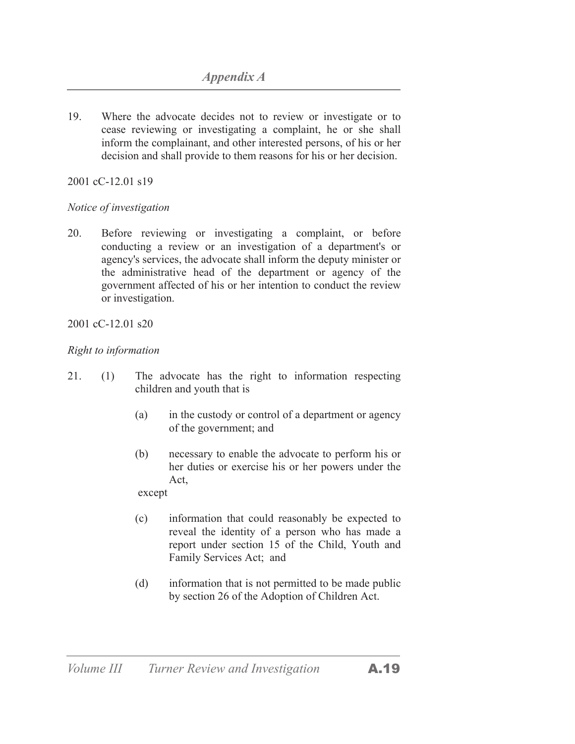19. Where the advocate decides not to review or investigate or to cease reviewing or investigating a complaint, he or she shall inform the complainant, and other interested persons, of his or her decision and shall provide to them reasons for his or her decision.

2001 cC-12.01 s19

# *Notice of investigation*

20. Before reviewing or investigating a complaint, or before conducting a review or an investigation of a department's or agency's services, the advocate shall inform the deputy minister or the administrative head of the department or agency of the government affected of his or her intention to conduct the review or investigation.

2001 cC-12.01 s20

# *Right to information*

- 21. (1) The advocate has the right to information respecting children and youth that is
	- (a) in the custody or control of a department or agency of the government; and
	- (b) necessary to enable the advocate to perform his or her duties or exercise his or her powers under the Act,

except

- (c) information that could reasonably be expected to reveal the identity of a person who has made a report under section 15 of the Child, Youth and Family Services Act; and
- (d) information that is not permitted to be made public by section 26 of the Adoption of Children Act.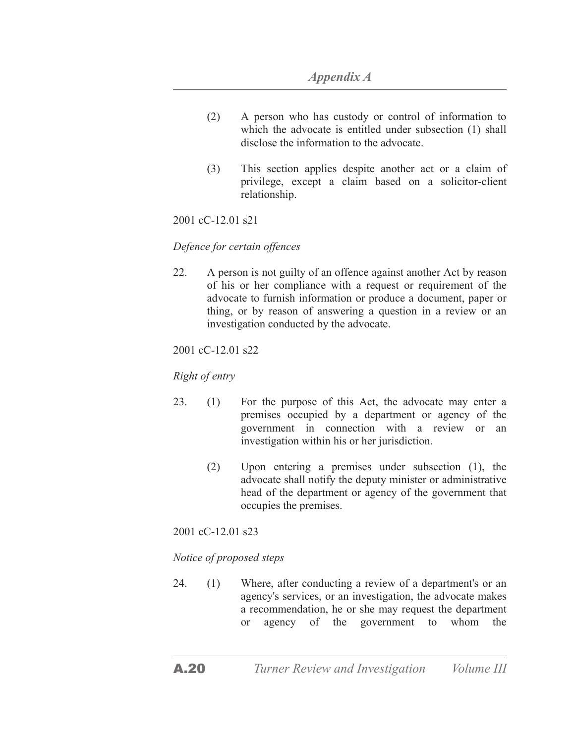- (2) A person who has custody or control of information to which the advocate is entitled under subsection (1) shall disclose the information to the advocate.
- (3) This section applies despite another act or a claim of privilege, except a claim based on a solicitor-client relationship.

#### *Defence for certain offences*

22. A person is not guilty of an offence against another Act by reason of his or her compliance with a request or requirement of the advocate to furnish information or produce a document, paper or thing, or by reason of answering a question in a review or an investigation conducted by the advocate.

2001 cC-12.01 s22

#### *Right of entry*

- 23. (1) For the purpose of this Act, the advocate may enter a premises occupied by a department or agency of the government in connection with a review or an investigation within his or her jurisdiction.
	- (2) Upon entering a premises under subsection (1), the advocate shall notify the deputy minister or administrative head of the department or agency of the government that occupies the premises.

2001 cC-12.01 s23

*Notice of proposed steps* 

24. (1) Where, after conducting a review of a department's or an agency's services, or an investigation, the advocate makes a recommendation, he or she may request the department or agency of the government to whom the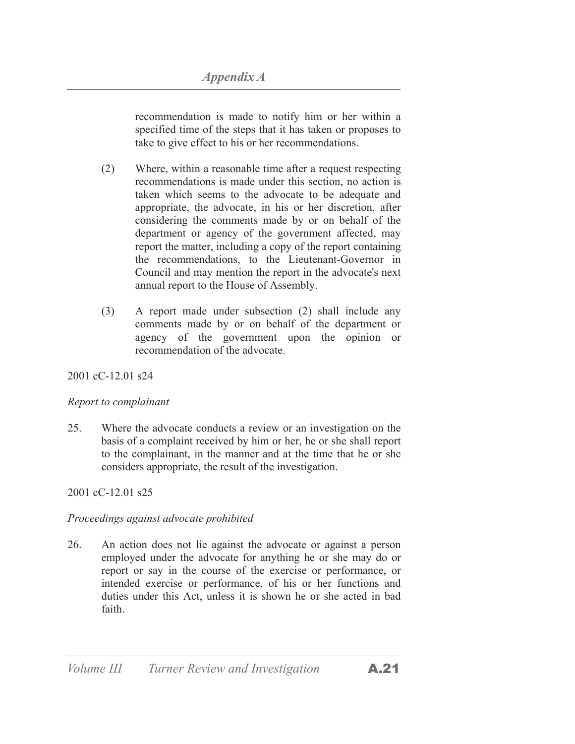recommendation is made to notify him or her within a specified time of the steps that it has taken or proposes to take to give effect to his or her recommendations.

- (2) Where, within a reasonable time after a request respecting recommendations is made under this section, no action is taken which seems to the advocate to be adequate and appropriate, the advocate, in his or her discretion, after considering the comments made by or on behalf of the department or agency of the government affected, may report the matter, including a copy of the report containing the recommendations, to the Lieutenant-Governor in Council and may mention the report in the advocate's next annual report to the House of Assembly.
- (3) A report made under subsection (2) shall include any comments made by or on behalf of the department or agency of the government upon the opinion or recommendation of the advocate.

# 2001 cC-12.01 s24

# *Report to complainant*

25. Where the advocate conducts a review or an investigation on the basis of a complaint received by him or her, he or she shall report to the complainant, in the manner and at the time that he or she considers appropriate, the result of the investigation.

# 2001 cC-12.01 s25

# *Proceedings against advocate prohibited*

26. An action does not lie against the advocate or against a person employed under the advocate for anything he or she may do or report or say in the course of the exercise or performance, or intended exercise or performance, of his or her functions and duties under this Act, unless it is shown he or she acted in bad faith.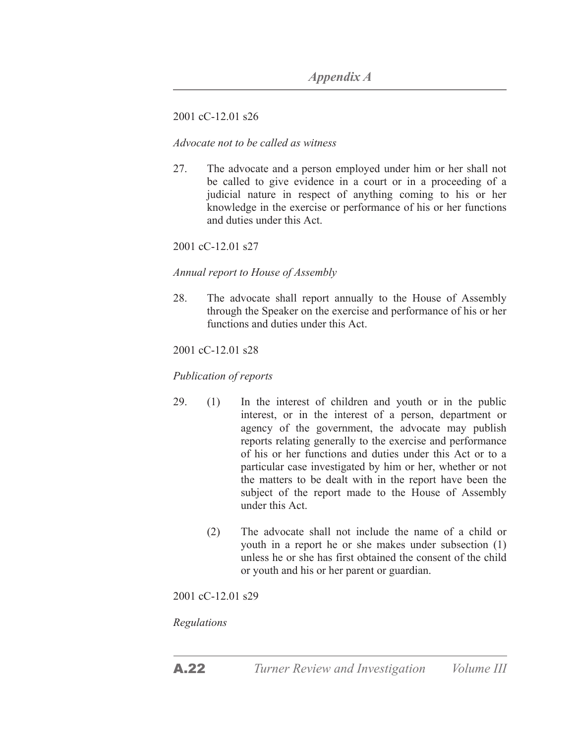#### *Advocate not to be called as witness*

27. The advocate and a person employed under him or her shall not be called to give evidence in a court or in a proceeding of a judicial nature in respect of anything coming to his or her knowledge in the exercise or performance of his or her functions and duties under this Act.

2001 cC-12.01 s27

#### *Annual report to House of Assembly*

28. The advocate shall report annually to the House of Assembly through the Speaker on the exercise and performance of his or her functions and duties under this Act.

#### 2001 cC-12.01 s28

#### *Publication of reports*

- 29. (1) In the interest of children and youth or in the public interest, or in the interest of a person, department or agency of the government, the advocate may publish reports relating generally to the exercise and performance of his or her functions and duties under this Act or to a particular case investigated by him or her, whether or not the matters to be dealt with in the report have been the subject of the report made to the House of Assembly under this Act.
	- (2) The advocate shall not include the name of a child or youth in a report he or she makes under subsection (1) unless he or she has first obtained the consent of the child or youth and his or her parent or guardian.

2001 cC-12.01 s29

*Regulations*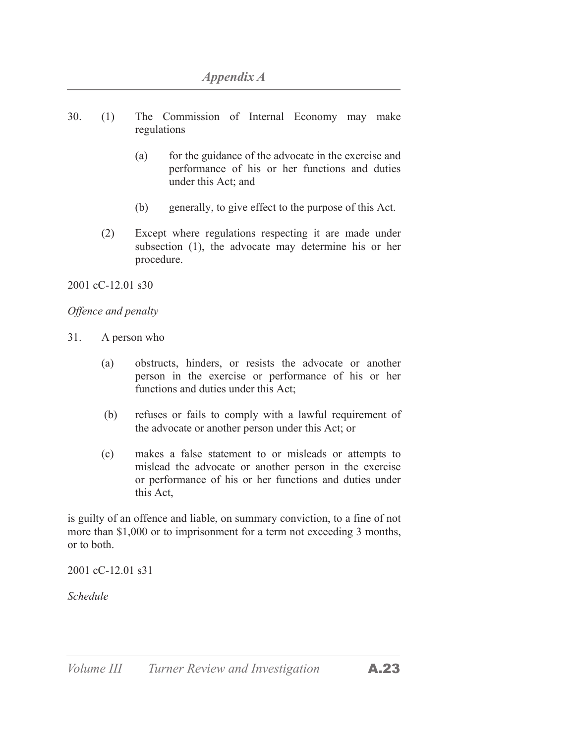- 30. (1) The Commission of Internal Economy may make regulations
	- (a) for the guidance of the advocate in the exercise and performance of his or her functions and duties under this Act; and
	- (b) generally, to give effect to the purpose of this Act.
	- (2) Except where regulations respecting it are made under subsection (1), the advocate may determine his or her procedure.

*Offence and penalty* 

- 31. A person who
	- (a) obstructs, hinders, or resists the advocate or another person in the exercise or performance of his or her functions and duties under this Act;
	- (b) refuses or fails to comply with a lawful requirement of the advocate or another person under this Act; or
	- (c) makes a false statement to or misleads or attempts to mislead the advocate or another person in the exercise or performance of his or her functions and duties under this Act,

is guilty of an offence and liable, on summary conviction, to a fine of not more than \$1,000 or to imprisonment for a term not exceeding 3 months, or to both.

2001 cC-12.01 s31

*Schedule* 

A.23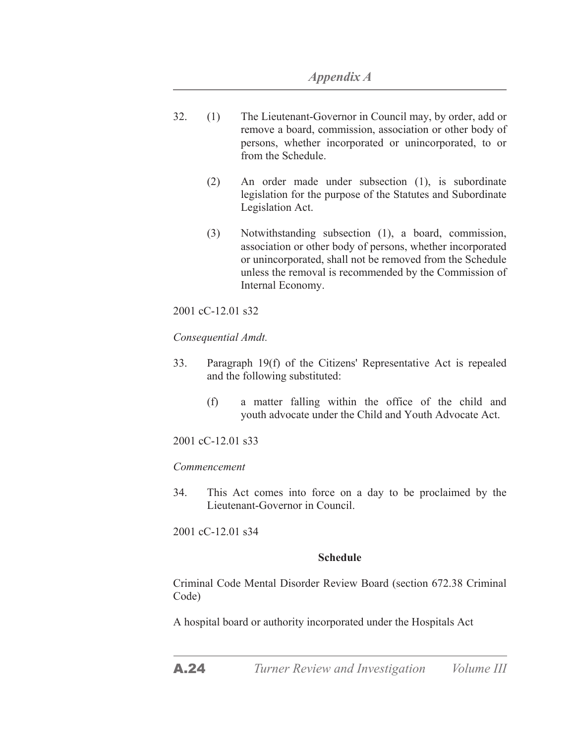- 32. (1) The Lieutenant-Governor in Council may, by order, add or remove a board, commission, association or other body of persons, whether incorporated or unincorporated, to or from the Schedule.
	- (2) An order made under subsection (1), is subordinate legislation for the purpose of the Statutes and Subordinate Legislation Act.
	- (3) Notwithstanding subsection (1), a board, commission, association or other body of persons, whether incorporated or unincorporated, shall not be removed from the Schedule unless the removal is recommended by the Commission of Internal Economy.

# *Consequential Amdt.*

- 33. Paragraph 19(f) of the Citizens' Representative Act is repealed and the following substituted:
	- (f) a matter falling within the office of the child and youth advocate under the Child and Youth Advocate Act.

# 2001 cC-12.01 s33

#### *Commencement*

34. This Act comes into force on a day to be proclaimed by the Lieutenant-Governor in Council.

2001 cC-12.01 s34

#### **Schedule**

Criminal Code Mental Disorder Review Board (section 672.38 Criminal Code)

A hospital board or authority incorporated under the Hospitals Act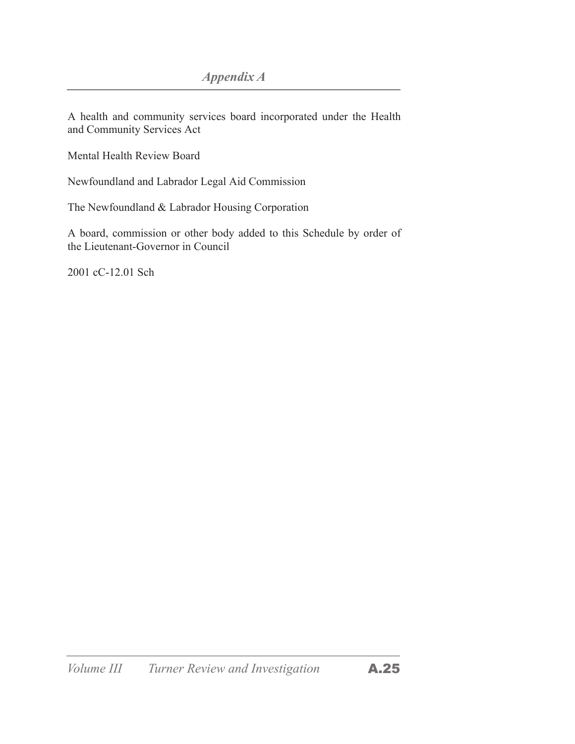A health and community services board incorporated under the Health and Community Services Act

Mental Health Review Board

Newfoundland and Labrador Legal Aid Commission

The Newfoundland & Labrador Housing Corporation

A board, commission or other body added to this Schedule by order of the Lieutenant-Governor in Council

2001 cC-12.01 Sch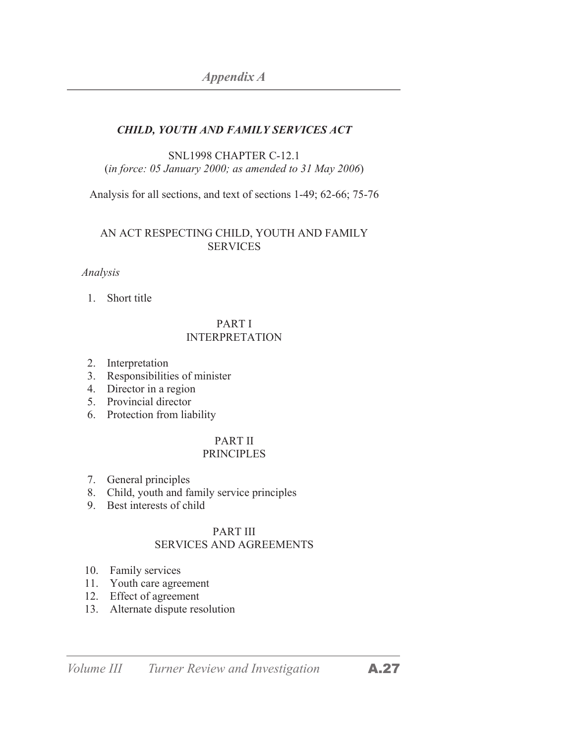# *CHILD, YOUTH AND FAMILY SERVICES ACT*

# SNL1998 CHAPTER C-12.1 (*in force: 05 January 2000; as amended to 31 May 2006*)

Analysis for all sections, and text of sections 1-49; 62-66; 75-76

# AN ACT RESPECTING CHILD, YOUTH AND FAMILY **SERVICES**

 *Analysis* 

1. Short title

#### PART I INTERPRETATION

- 2. Interpretation
- 3. Responsibilities of minister
- 4. Director in a region
- 5. Provincial director
- 6. Protection from liability

#### PART II PRINCIPLES

- 7. General principles
- 8. Child, youth and family service principles
- 9. Best interests of child

# PART III SERVICES AND AGREEMENTS

- 10. Family services
- 11. Youth care agreement
- 12. Effect of agreement
- 13. Alternate dispute resolution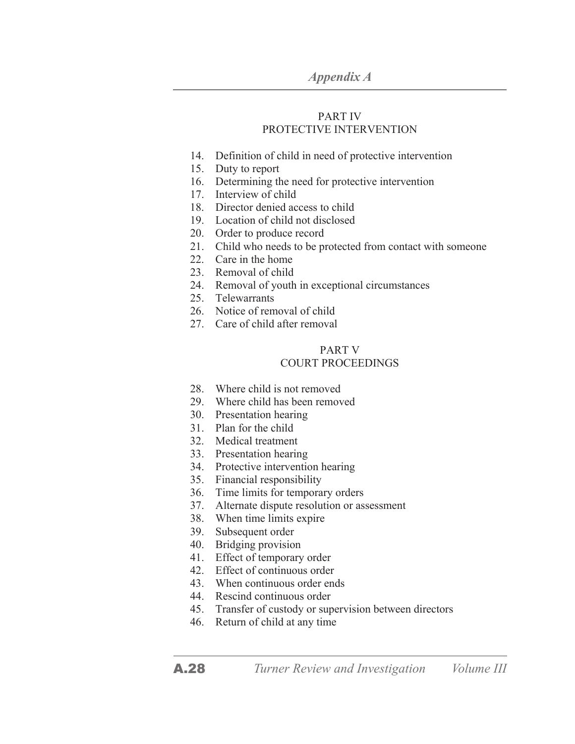# PART IV PROTECTIVE INTERVENTION

- 14. Definition of child in need of protective intervention
- 15. Duty to report
- 16. Determining the need for protective intervention
- 17. Interview of child
- 18. Director denied access to child
- 19. Location of child not disclosed
- 20. Order to produce record
- 21. Child who needs to be protected from contact with someone
- 22. Care in the home
- 23. Removal of child
- 24. Removal of youth in exceptional circumstances
- 25. Telewarrants
- 26. Notice of removal of child
- 27. Care of child after removal

#### PART V

#### COURT PROCEEDINGS

- 28. Where child is not removed
- 29. Where child has been removed
- 30. Presentation hearing
- 31. Plan for the child
- 32. Medical treatment
- 33. Presentation hearing
- 34. Protective intervention hearing
- 35. Financial responsibility
- 36. Time limits for temporary orders
- 37. Alternate dispute resolution or assessment
- 38. When time limits expire
- 39. Subsequent order
- 40. Bridging provision
- 41. Effect of temporary order
- 42. Effect of continuous order
- 43. When continuous order ends
- 44. Rescind continuous order
- 45. Transfer of custody or supervision between directors
- 46. Return of child at any time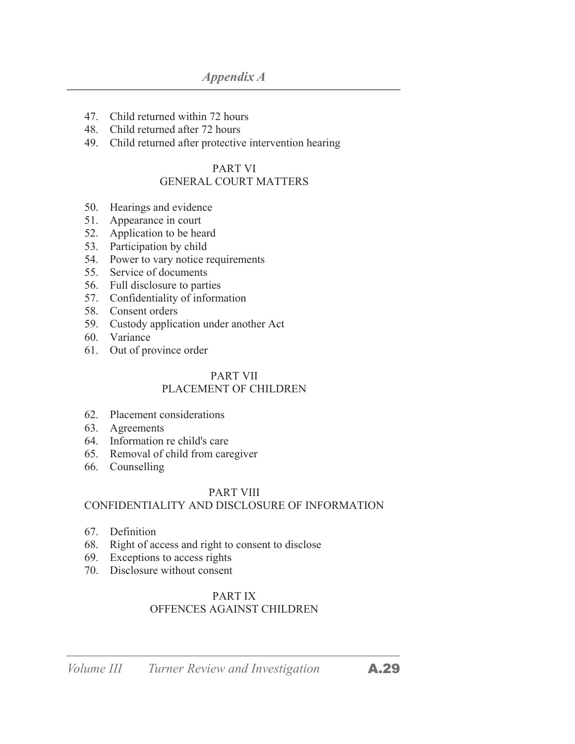- 47. Child returned within 72 hours
- 48. Child returned after 72 hours
- 49. Child returned after protective intervention hearing

# PART VI

# GENERAL COURT MATTERS

- 50. Hearings and evidence
- 51. Appearance in court
- 52. Application to be heard
- 53. Participation by child
- 54. Power to vary notice requirements
- 55. Service of documents
- 56. Full disclosure to parties
- 57. Confidentiality of information
- 58. Consent orders
- 59. Custody application under another Act
- 60. Variance
- 61. Out of province order

### PART VII PLACEMENT OF CHILDREN

- 62. Placement considerations
- 63. Agreements
- 64. Information re child's care
- 65. Removal of child from caregiver
- 66. Counselling

#### PART VIII

# CONFIDENTIALITY AND DISCLOSURE OF INFORMATION

- 67. Definition
- 68. Right of access and right to consent to disclose
- 69. Exceptions to access rights
- 70. Disclosure without consent

# PART IX OFFENCES AGAINST CHILDREN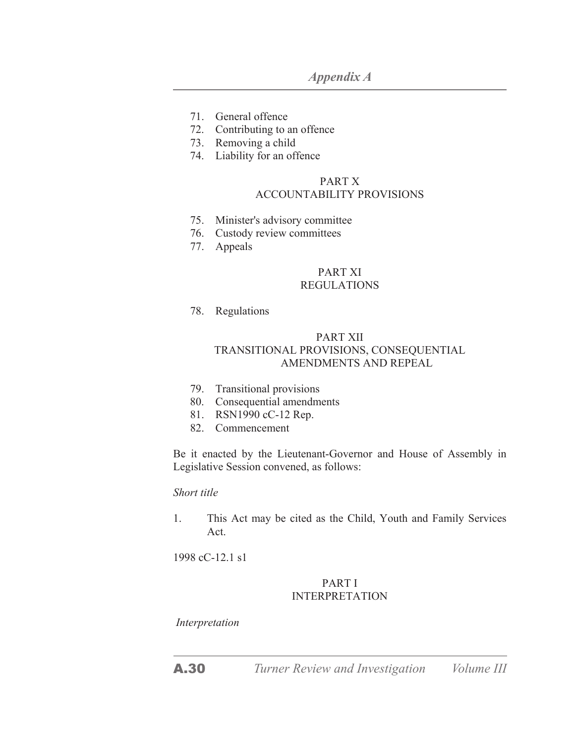- 71. General offence
- 72. Contributing to an offence
- 73. Removing a child
- 74. Liability for an offence

#### PART X ACCOUNTABILITY PROVISIONS

- 75. Minister's advisory committee
- 76. Custody review committees
- 77. Appeals

#### PART XI REGULATIONS

78. Regulations

#### PART XII TRANSITIONAL PROVISIONS, CONSEQUENTIAL AMENDMENTS AND REPEAL

- 79. Transitional provisions
- 80. Consequential amendments
- 81. RSN1990 cC-12 Rep.
- 82. Commencement

Be it enacted by the Lieutenant-Governor and House of Assembly in Legislative Session convened, as follows:

#### *Short title*

1. This Act may be cited as the Child, Youth and Family Services Act.

1998 cC-12.1 s1

# PART I INTERPRETATION

*Interpretation*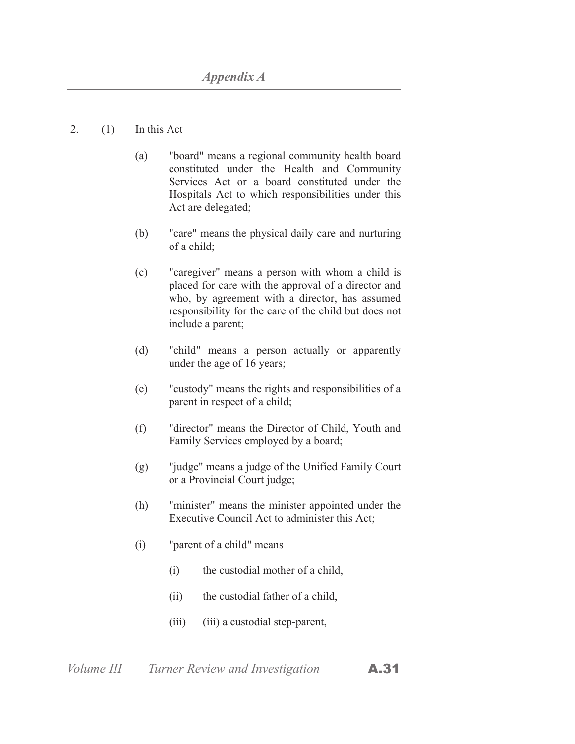# 2. (1) In this Act

- (a) "board" means a regional community health board constituted under the Health and Community Services Act or a board constituted under the Hospitals Act to which responsibilities under this Act are delegated;
- (b) "care" means the physical daily care and nurturing of a child;
- (c) "caregiver" means a person with whom a child is placed for care with the approval of a director and who, by agreement with a director, has assumed responsibility for the care of the child but does not include a parent;
- (d) "child" means a person actually or apparently under the age of 16 years;
- (e) "custody" means the rights and responsibilities of a parent in respect of a child;
- (f) "director" means the Director of Child, Youth and Family Services employed by a board;
- (g) "judge" means a judge of the Unified Family Court or a Provincial Court judge;
- (h) "minister" means the minister appointed under the Executive Council Act to administer this Act;
- (i) "parent of a child" means
	- (i) the custodial mother of a child,
	- (ii) the custodial father of a child,
	- (iii) (iii) a custodial step-parent,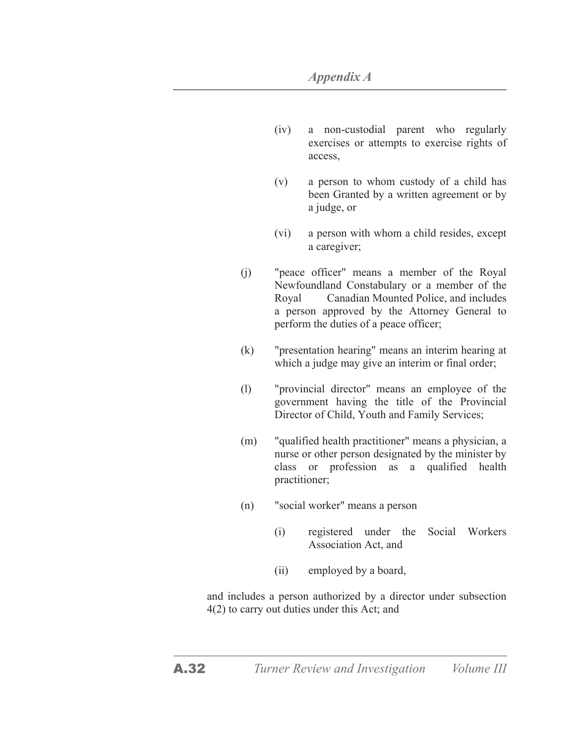- (iv) a non-custodial parent who regularly exercises or attempts to exercise rights of access,
- (v) a person to whom custody of a child has been Granted by a written agreement or by a judge, or
- (vi) a person with whom a child resides, except a caregiver;
- (j) "peace officer" means a member of the Royal Newfoundland Constabulary or a member of the Royal Canadian Mounted Police, and includes a person approved by the Attorney General to perform the duties of a peace officer;
- (k) "presentation hearing" means an interim hearing at which a judge may give an interim or final order;
- (l) "provincial director" means an employee of the government having the title of the Provincial Director of Child, Youth and Family Services;
- (m) "qualified health practitioner" means a physician, a nurse or other person designated by the minister by class or profession as a qualified health practitioner;
- (n) "social worker" means a person
	- (i) registered under the Social Workers Association Act, and
	- (ii) employed by a board,

 and includes a person authorized by a director under subsection 4(2) to carry out duties under this Act; and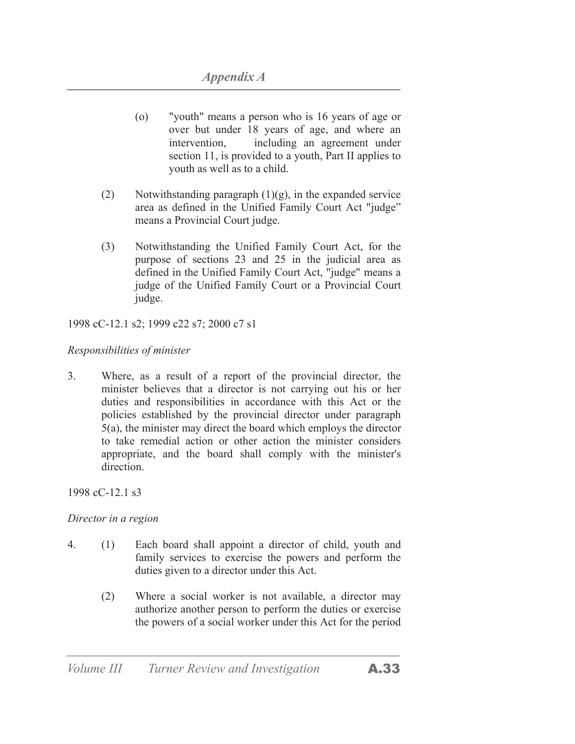- (o) "youth" means a person who is 16 years of age or over but under 18 years of age, and where an intervention, including an agreement under section 11, is provided to a youth, Part II applies to youth as well as to a child.
- (2) Notwithstanding paragraph  $(1)(g)$ , in the expanded service area as defined in the Unified Family Court Act "judge" means a Provincial Court judge.
- (3) Notwithstanding the Unified Family Court Act, for the purpose of sections 23 and 25 in the judicial area as defined in the Unified Family Court Act, "judge" means a judge of the Unified Family Court or a Provincial Court judge.

1998 cC-12.1 s2; 1999 c22 s7; 2000 c7 s1

# *Responsibilities of minister*

3. Where, as a result of a report of the provincial director, the minister believes that a director is not carrying out his or her duties and responsibilities in accordance with this Act or the policies established by the provincial director under paragraph 5(a), the minister may direct the board which employs the director to take remedial action or other action the minister considers appropriate, and the board shall comply with the minister's direction

1998 cC-12.1 s3

# *Director in a region*

- 4. (1) Each board shall appoint a director of child, youth and family services to exercise the powers and perform the duties given to a director under this Act.
	- (2) Where a social worker is not available, a director may authorize another person to perform the duties or exercise the powers of a social worker under this Act for the period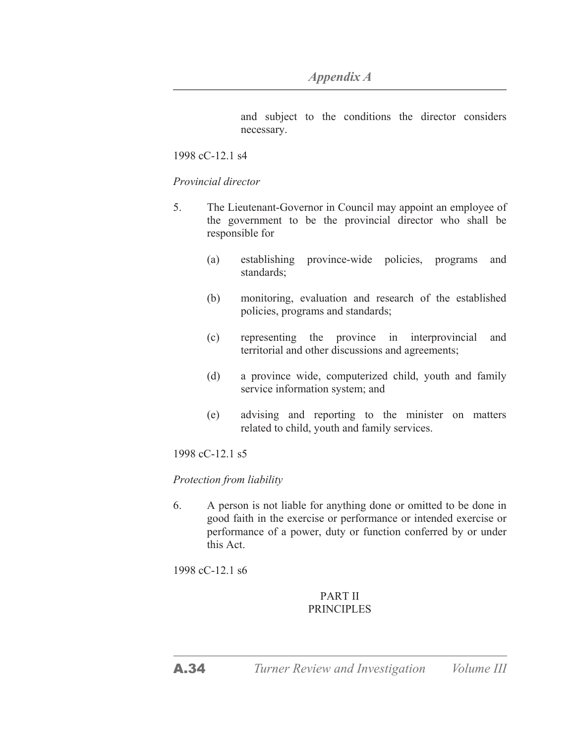and subject to the conditions the director considers necessary.

#### 1998 cC-12.1 s4

#### *Provincial director*

- 5. The Lieutenant-Governor in Council may appoint an employee of the government to be the provincial director who shall be responsible for
	- (a) establishing province-wide policies, programs and standards;
	- (b) monitoring, evaluation and research of the established policies, programs and standards;
	- (c) representing the province in interprovincial and territorial and other discussions and agreements;
	- (d) a province wide, computerized child, youth and family service information system; and
	- (e) advising and reporting to the minister on matters related to child, youth and family services.

1998 cC-12.1 s5

#### *Protection from liability*

6. A person is not liable for anything done or omitted to be done in good faith in the exercise or performance or intended exercise or performance of a power, duty or function conferred by or under this Act.

1998 cC-12.1 s6

# PART II PRINCIPLES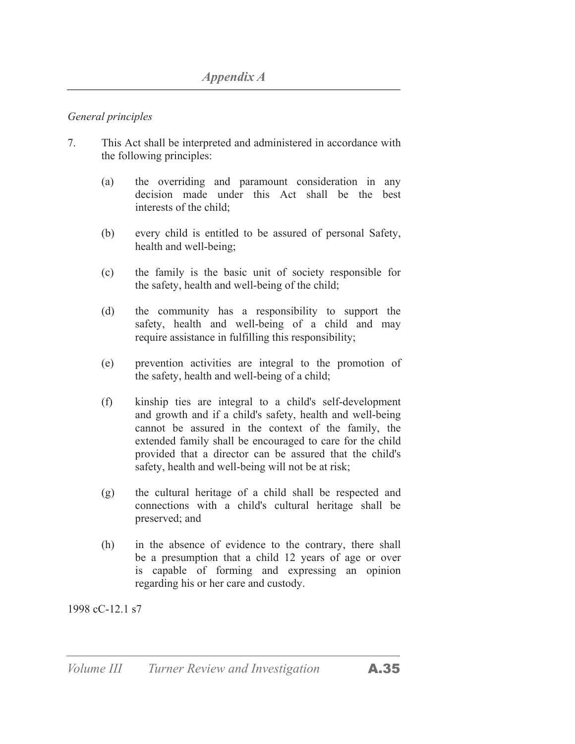# *General principles*

- 7. This Act shall be interpreted and administered in accordance with the following principles:
	- (a) the overriding and paramount consideration in any decision made under this Act shall be the best interests of the child;
	- (b) every child is entitled to be assured of personal Safety, health and well-being;
	- (c) the family is the basic unit of society responsible for the safety, health and well-being of the child;
	- (d) the community has a responsibility to support the safety, health and well-being of a child and may require assistance in fulfilling this responsibility;
	- (e) prevention activities are integral to the promotion of the safety, health and well-being of a child;
	- (f) kinship ties are integral to a child's self-development and growth and if a child's safety, health and well-being cannot be assured in the context of the family, the extended family shall be encouraged to care for the child provided that a director can be assured that the child's safety, health and well-being will not be at risk;
	- (g) the cultural heritage of a child shall be respected and connections with a child's cultural heritage shall be preserved; and
	- (h) in the absence of evidence to the contrary, there shall be a presumption that a child 12 years of age or over is capable of forming and expressing an opinion regarding his or her care and custody.

1998 cC-12.1 s7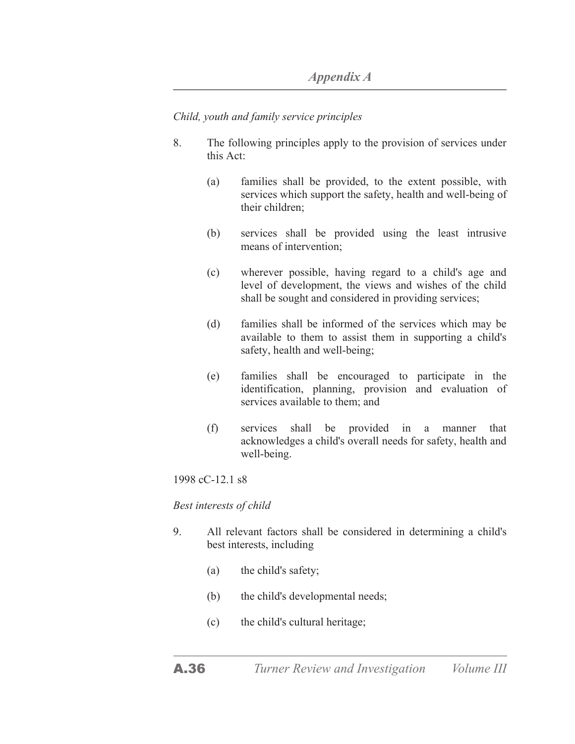#### *Child, youth and family service principles*

- 8. The following principles apply to the provision of services under this Act:
	- (a) families shall be provided, to the extent possible, with services which support the safety, health and well-being of their children;
	- (b) services shall be provided using the least intrusive means of intervention;
	- (c) wherever possible, having regard to a child's age and level of development, the views and wishes of the child shall be sought and considered in providing services;
	- (d) families shall be informed of the services which may be available to them to assist them in supporting a child's safety, health and well-being;
	- (e) families shall be encouraged to participate in the identification, planning, provision and evaluation of services available to them; and
	- (f) services shall be provided in a manner that acknowledges a child's overall needs for safety, health and well-being.

#### 1998 cC-12.1 s8

#### *Best interests of child*

- 9. All relevant factors shall be considered in determining a child's best interests, including
	- (a) the child's safety;
	- (b) the child's developmental needs;
	- (c) the child's cultural heritage;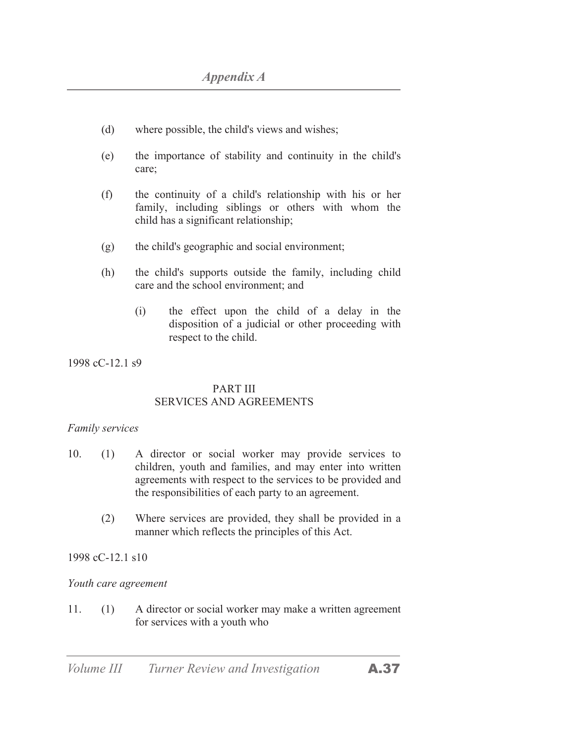- (d) where possible, the child's views and wishes;
- (e) the importance of stability and continuity in the child's care;
- (f) the continuity of a child's relationship with his or her family, including siblings or others with whom the child has a significant relationship;
- (g) the child's geographic and social environment;
- (h) the child's supports outside the family, including child care and the school environment; and
	- (i) the effect upon the child of a delay in the disposition of a judicial or other proceeding with respect to the child.

## PART III SERVICES AND AGREEMENTS

### *Family services*

- 10. (1) A director or social worker may provide services to children, youth and families, and may enter into written agreements with respect to the services to be provided and the responsibilities of each party to an agreement.
	- (2) Where services are provided, they shall be provided in a manner which reflects the principles of this Act.

### 1998 cC-12.1 s10

### *Youth care agreement*

11. (1) A director or social worker may make a written agreement for services with a youth who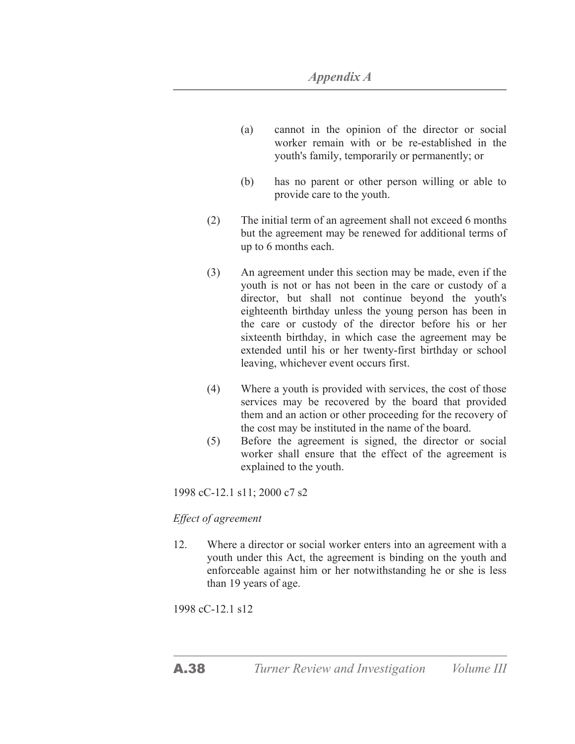- (a) cannot in the opinion of the director or social worker remain with or be re-established in the youth's family, temporarily or permanently; or
- (b) has no parent or other person willing or able to provide care to the youth.
- (2) The initial term of an agreement shall not exceed 6 months but the agreement may be renewed for additional terms of up to 6 months each.
- (3) An agreement under this section may be made, even if the youth is not or has not been in the care or custody of a director, but shall not continue beyond the youth's eighteenth birthday unless the young person has been in the care or custody of the director before his or her sixteenth birthday, in which case the agreement may be extended until his or her twenty-first birthday or school leaving, whichever event occurs first.
- (4) Where a youth is provided with services, the cost of those services may be recovered by the board that provided them and an action or other proceeding for the recovery of the cost may be instituted in the name of the board.
- (5) Before the agreement is signed, the director or social worker shall ensure that the effect of the agreement is explained to the youth.

1998 cC-12.1 s11; 2000 c7 s2

## *Effect of agreement*

12. Where a director or social worker enters into an agreement with a youth under this Act, the agreement is binding on the youth and enforceable against him or her notwithstanding he or she is less than 19 years of age.

1998 cC-12.1 s12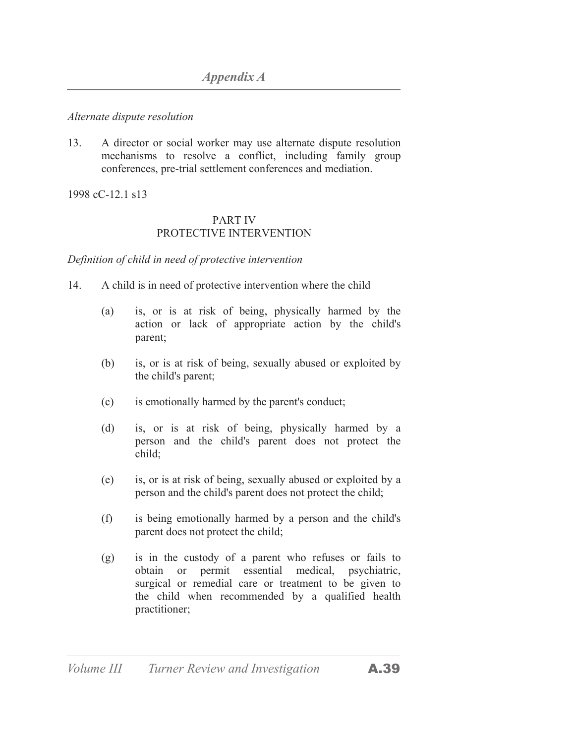## *Alternate dispute resolution*

13. A director or social worker may use alternate dispute resolution mechanisms to resolve a conflict, including family group conferences, pre-trial settlement conferences and mediation.

1998 cC-12.1 s13

## PART IV PROTECTIVE INTERVENTION

*Definition of child in need of protective intervention* 

- 14. A child is in need of protective intervention where the child
	- (a) is, or is at risk of being, physically harmed by the action or lack of appropriate action by the child's parent;
	- (b) is, or is at risk of being, sexually abused or exploited by the child's parent;
	- (c) is emotionally harmed by the parent's conduct;
	- (d) is, or is at risk of being, physically harmed by a person and the child's parent does not protect the child;
	- (e) is, or is at risk of being, sexually abused or exploited by a person and the child's parent does not protect the child;
	- (f) is being emotionally harmed by a person and the child's parent does not protect the child;
	- (g) is in the custody of a parent who refuses or fails to obtain or permit essential medical, psychiatric, surgical or remedial care or treatment to be given to the child when recommended by a qualified health practitioner;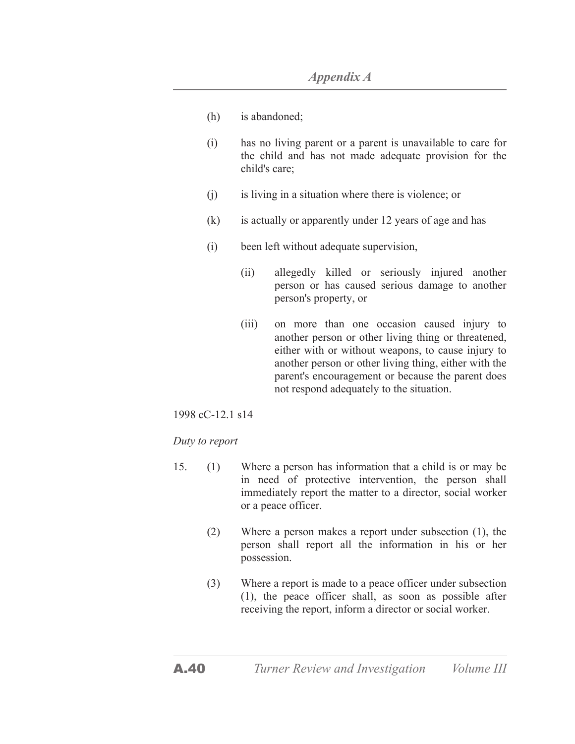- (h) is abandoned;
- (i) has no living parent or a parent is unavailable to care for the child and has not made adequate provision for the child's care;
- (j) is living in a situation where there is violence; or
- $(k)$  is actually or apparently under 12 years of age and has
- (i) been left without adequate supervision,
	- (ii) allegedly killed or seriously injured another person or has caused serious damage to another person's property, or
	- (iii) on more than one occasion caused injury to another person or other living thing or threatened, either with or without weapons, to cause injury to another person or other living thing, either with the parent's encouragement or because the parent does not respond adequately to the situation.

### *Duty to report*

- 15. (1) Where a person has information that a child is or may be in need of protective intervention, the person shall immediately report the matter to a director, social worker or a peace officer.
	- (2) Where a person makes a report under subsection (1), the person shall report all the information in his or her possession.
	- (3) Where a report is made to a peace officer under subsection (1), the peace officer shall, as soon as possible after receiving the report, inform a director or social worker.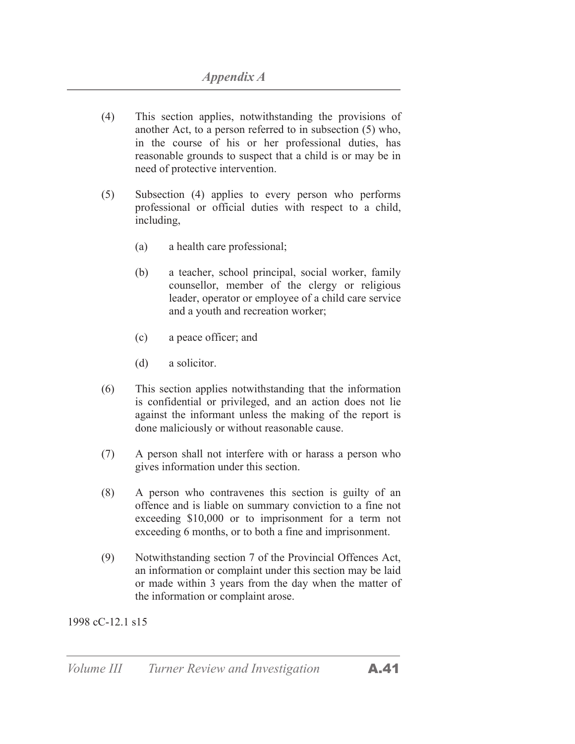# *Appendix A*

- (4) This section applies, notwithstanding the provisions of another Act, to a person referred to in subsection (5) who, in the course of his or her professional duties, has reasonable grounds to suspect that a child is or may be in need of protective intervention.
- (5) Subsection (4) applies to every person who performs professional or official duties with respect to a child, including,
	- (a) a health care professional;
	- (b) a teacher, school principal, social worker, family counsellor, member of the clergy or religious leader, operator or employee of a child care service and a youth and recreation worker;
	- (c) a peace officer; and
	- (d) a solicitor.
- (6) This section applies notwithstanding that the information is confidential or privileged, and an action does not lie against the informant unless the making of the report is done maliciously or without reasonable cause.
- (7) A person shall not interfere with or harass a person who gives information under this section.
- (8) A person who contravenes this section is guilty of an offence and is liable on summary conviction to a fine not exceeding \$10,000 or to imprisonment for a term not exceeding 6 months, or to both a fine and imprisonment.
- (9) Notwithstanding section 7 of the Provincial Offences Act, an information or complaint under this section may be laid or made within 3 years from the day when the matter of the information or complaint arose.

## 1998 cC-12.1 s15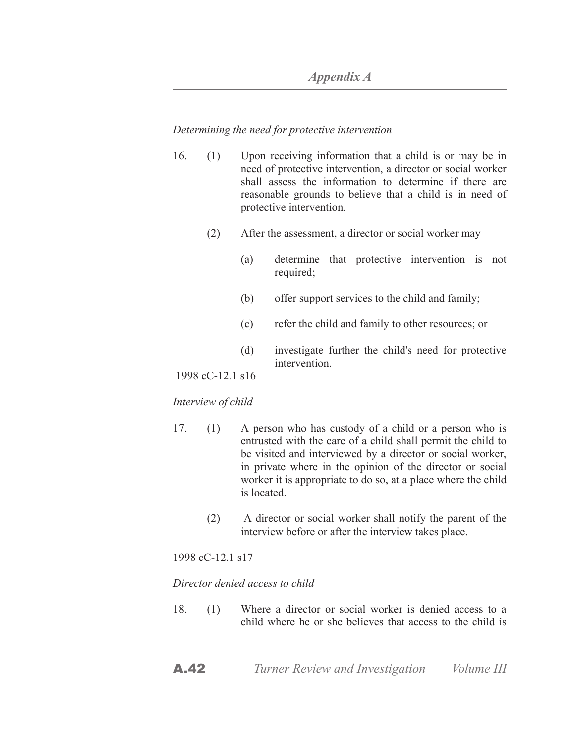### *Determining the need for protective intervention*

- 16. (1) Upon receiving information that a child is or may be in need of protective intervention, a director or social worker shall assess the information to determine if there are reasonable grounds to believe that a child is in need of protective intervention.
	- (2) After the assessment, a director or social worker may
		- (a) determine that protective intervention is not required;
		- (b) offer support services to the child and family;
		- (c) refer the child and family to other resources; or
		- (d) investigate further the child's need for protective intervention.

1998 cC-12.1 s16

## *Interview of child*

- 17. (1) A person who has custody of a child or a person who is entrusted with the care of a child shall permit the child to be visited and interviewed by a director or social worker, in private where in the opinion of the director or social worker it is appropriate to do so, at a place where the child is located.
	- (2) A director or social worker shall notify the parent of the interview before or after the interview takes place.

## 1998 cC-12.1 s17

### *Director denied access to child*

18. (1) Where a director or social worker is denied access to a child where he or she believes that access to the child is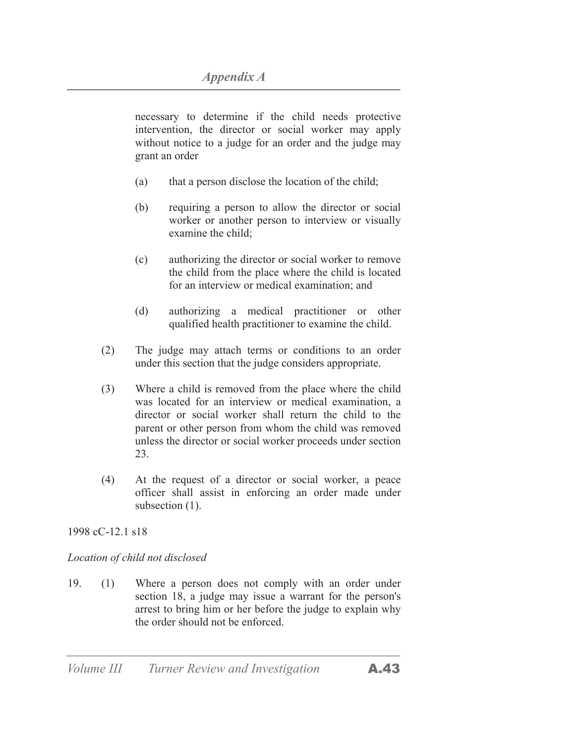necessary to determine if the child needs protective intervention, the director or social worker may apply without notice to a judge for an order and the judge may grant an order

- (a) that a person disclose the location of the child;
- (b) requiring a person to allow the director or social worker or another person to interview or visually examine the child;
- (c) authorizing the director or social worker to remove the child from the place where the child is located for an interview or medical examination; and
- (d) authorizing a medical practitioner or other qualified health practitioner to examine the child.
- (2) The judge may attach terms or conditions to an order under this section that the judge considers appropriate.
- (3) Where a child is removed from the place where the child was located for an interview or medical examination, a director or social worker shall return the child to the parent or other person from whom the child was removed unless the director or social worker proceeds under section 23.
- (4) At the request of a director or social worker, a peace officer shall assist in enforcing an order made under subsection  $(1)$ .

# 1998 cC-12.1 s18

# *Location of child not disclosed*

19. (1) Where a person does not comply with an order under section 18, a judge may issue a warrant for the person's arrest to bring him or her before the judge to explain why the order should not be enforced.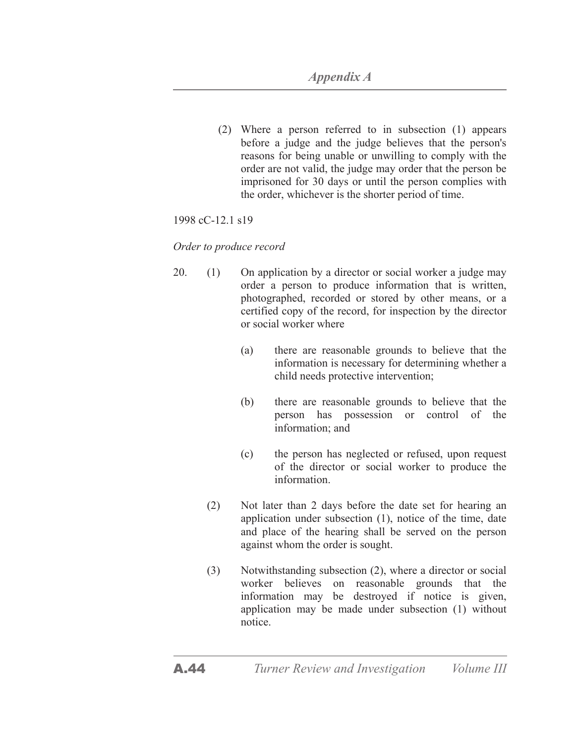(2) Where a person referred to in subsection (1) appears before a judge and the judge believes that the person's reasons for being unable or unwilling to comply with the order are not valid, the judge may order that the person be imprisoned for 30 days or until the person complies with the order, whichever is the shorter period of time.

## 1998 cC-12.1 s19

## *Order to produce record*

- 20. (1) On application by a director or social worker a judge may order a person to produce information that is written, photographed, recorded or stored by other means, or a certified copy of the record, for inspection by the director or social worker where
	- (a) there are reasonable grounds to believe that the information is necessary for determining whether a child needs protective intervention;
	- (b) there are reasonable grounds to believe that the person has possession or control of the information; and
	- (c) the person has neglected or refused, upon request of the director or social worker to produce the information.
	- (2) Not later than 2 days before the date set for hearing an application under subsection (1), notice of the time, date and place of the hearing shall be served on the person against whom the order is sought.
	- (3) Notwithstanding subsection (2), where a director or social worker believes on reasonable grounds that the information may be destroyed if notice is given, application may be made under subsection (1) without notice.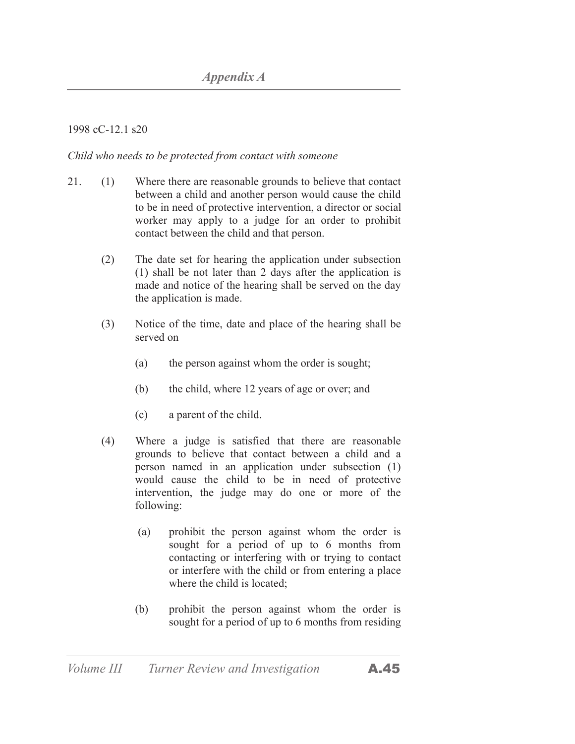# *Appendix A*

## 1998 cC-12.1 s20

## *Child who needs to be protected from contact with someone*

- 21. (1) Where there are reasonable grounds to believe that contact between a child and another person would cause the child to be in need of protective intervention, a director or social worker may apply to a judge for an order to prohibit contact between the child and that person.
	- (2) The date set for hearing the application under subsection (1) shall be not later than 2 days after the application is made and notice of the hearing shall be served on the day the application is made.
	- (3) Notice of the time, date and place of the hearing shall be served on
		- (a) the person against whom the order is sought;
		- (b) the child, where 12 years of age or over; and
		- (c) a parent of the child.
	- (4) Where a judge is satisfied that there are reasonable grounds to believe that contact between a child and a person named in an application under subsection (1) would cause the child to be in need of protective intervention, the judge may do one or more of the following:
		- (a) prohibit the person against whom the order is sought for a period of up to 6 months from contacting or interfering with or trying to contact or interfere with the child or from entering a place where the child is located;
		- (b) prohibit the person against whom the order is sought for a period of up to 6 months from residing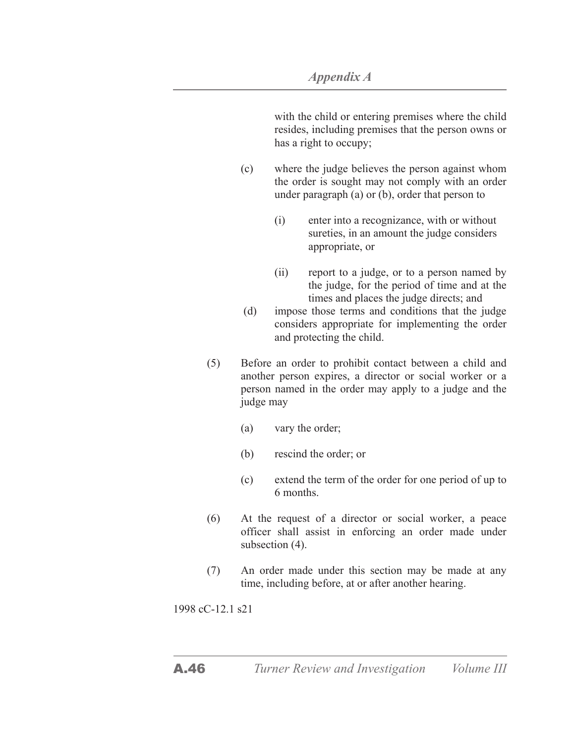with the child or entering premises where the child resides, including premises that the person owns or has a right to occupy;

- (c) where the judge believes the person against whom the order is sought may not comply with an order under paragraph (a) or (b), order that person to
	- (i) enter into a recognizance, with or without sureties, in an amount the judge considers appropriate, or
	- (ii) report to a judge, or to a person named by the judge, for the period of time and at the times and places the judge directs; and
- (d) impose those terms and conditions that the judge considers appropriate for implementing the order and protecting the child.
- (5) Before an order to prohibit contact between a child and another person expires, a director or social worker or a person named in the order may apply to a judge and the judge may
	- (a) vary the order;
	- (b) rescind the order; or
	- (c) extend the term of the order for one period of up to 6 months.
- (6) At the request of a director or social worker, a peace officer shall assist in enforcing an order made under subsection (4).
- (7) An order made under this section may be made at any time, including before, at or after another hearing.

1998 cC-12.1 s21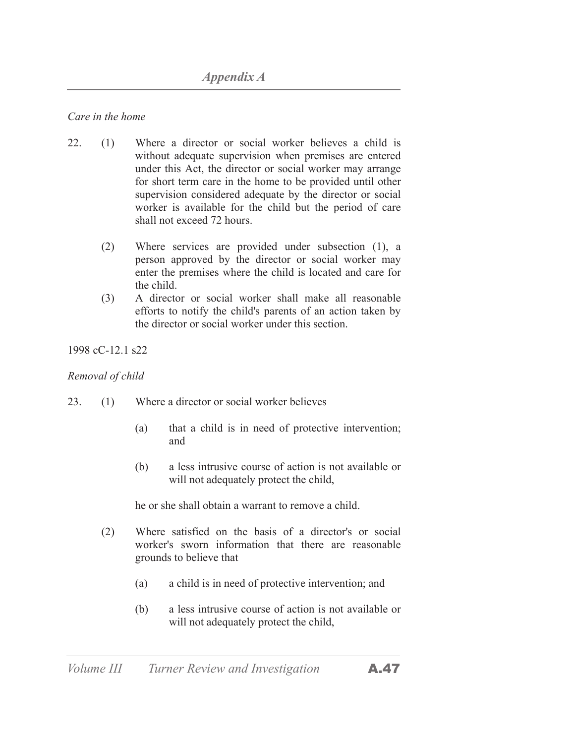# *Care in the home*

- 22. (1) Where a director or social worker believes a child is without adequate supervision when premises are entered under this Act, the director or social worker may arrange for short term care in the home to be provided until other supervision considered adequate by the director or social worker is available for the child but the period of care shall not exceed 72 hours.
	- (2) Where services are provided under subsection (1), a person approved by the director or social worker may enter the premises where the child is located and care for the child.
	- (3) A director or social worker shall make all reasonable efforts to notify the child's parents of an action taken by the director or social worker under this section.

1998 cC-12.1 s22

# *Removal of child*

- 23. (1) Where a director or social worker believes
	- (a) that a child is in need of protective intervention; and
	- (b) a less intrusive course of action is not available or will not adequately protect the child,

he or she shall obtain a warrant to remove a child.

- (2) Where satisfied on the basis of a director's or social worker's sworn information that there are reasonable grounds to believe that
	- (a) a child is in need of protective intervention; and
	- (b) a less intrusive course of action is not available or will not adequately protect the child,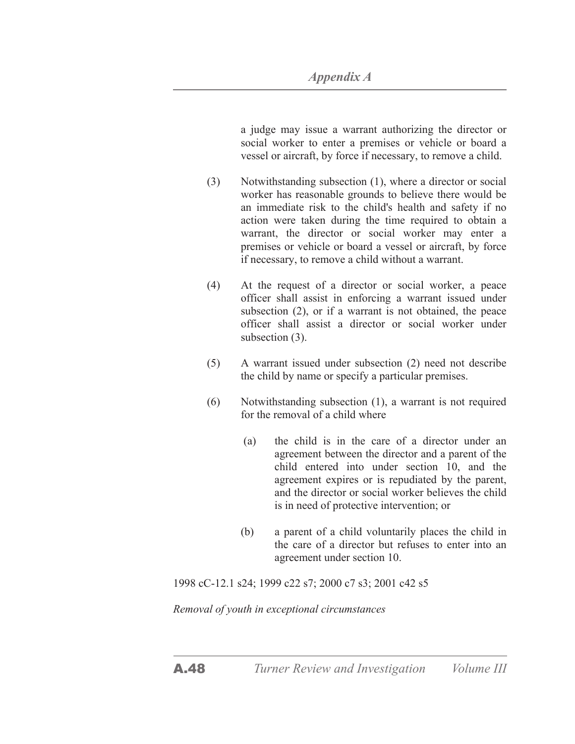a judge may issue a warrant authorizing the director or social worker to enter a premises or vehicle or board a vessel or aircraft, by force if necessary, to remove a child.

- (3) Notwithstanding subsection (1), where a director or social worker has reasonable grounds to believe there would be an immediate risk to the child's health and safety if no action were taken during the time required to obtain a warrant, the director or social worker may enter a premises or vehicle or board a vessel or aircraft, by force if necessary, to remove a child without a warrant.
- (4) At the request of a director or social worker, a peace officer shall assist in enforcing a warrant issued under subsection (2), or if a warrant is not obtained, the peace officer shall assist a director or social worker under subsection  $(3)$ .
- (5) A warrant issued under subsection (2) need not describe the child by name or specify a particular premises.
- (6) Notwithstanding subsection (1), a warrant is not required for the removal of a child where
	- (a) the child is in the care of a director under an agreement between the director and a parent of the child entered into under section 10, and the agreement expires or is repudiated by the parent, and the director or social worker believes the child is in need of protective intervention; or
	- (b) a parent of a child voluntarily places the child in the care of a director but refuses to enter into an agreement under section 10.

1998 cC-12.1 s24; 1999 c22 s7; 2000 c7 s3; 2001 c42 s5

*Removal of youth in exceptional circumstances*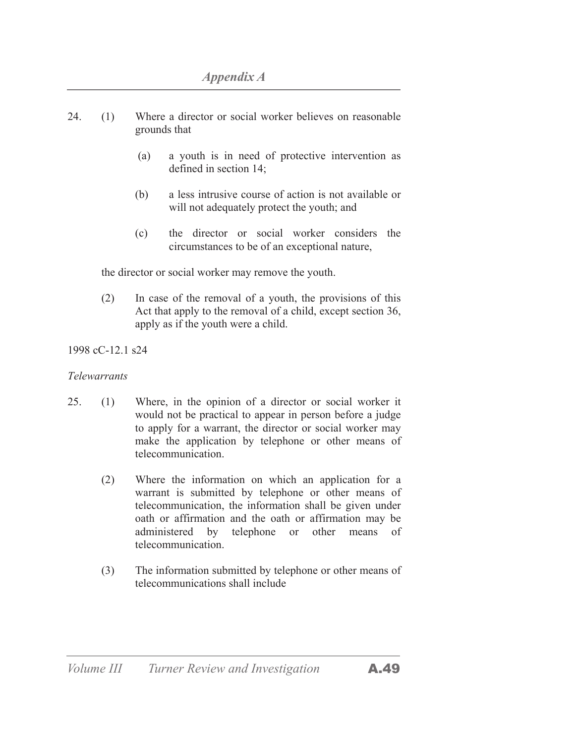- 24. (1) Where a director or social worker believes on reasonable grounds that
	- (a) a youth is in need of protective intervention as defined in section 14;
	- (b) a less intrusive course of action is not available or will not adequately protect the youth; and
	- (c) the director or social worker considers the circumstances to be of an exceptional nature,

the director or social worker may remove the youth.

 (2) In case of the removal of a youth, the provisions of this Act that apply to the removal of a child, except section 36, apply as if the youth were a child.

1998 cC-12.1 s24

## *Telewarrants*

- 25. (1) Where, in the opinion of a director or social worker it would not be practical to appear in person before a judge to apply for a warrant, the director or social worker may make the application by telephone or other means of telecommunication.
	- (2) Where the information on which an application for a warrant is submitted by telephone or other means of telecommunication, the information shall be given under oath or affirmation and the oath or affirmation may be administered by telephone or other means of telecommunication.
	- (3) The information submitted by telephone or other means of telecommunications shall include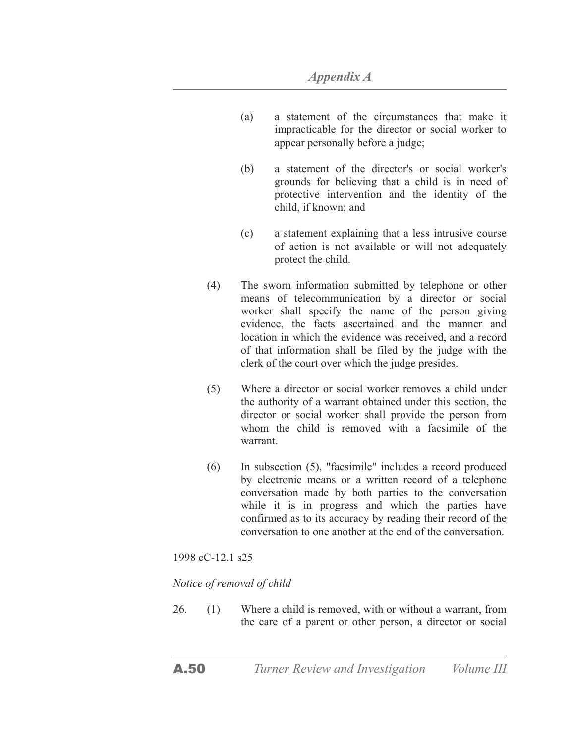- (a) a statement of the circumstances that make it impracticable for the director or social worker to appear personally before a judge;
- (b) a statement of the director's or social worker's grounds for believing that a child is in need of protective intervention and the identity of the child, if known; and
- (c) a statement explaining that a less intrusive course of action is not available or will not adequately protect the child.
- (4) The sworn information submitted by telephone or other means of telecommunication by a director or social worker shall specify the name of the person giving evidence, the facts ascertained and the manner and location in which the evidence was received, and a record of that information shall be filed by the judge with the clerk of the court over which the judge presides.
- (5) Where a director or social worker removes a child under the authority of a warrant obtained under this section, the director or social worker shall provide the person from whom the child is removed with a facsimile of the warrant.
- (6) In subsection (5), "facsimile" includes a record produced by electronic means or a written record of a telephone conversation made by both parties to the conversation while it is in progress and which the parties have confirmed as to its accuracy by reading their record of the conversation to one another at the end of the conversation.

### *Notice of removal of child*

26. (1) Where a child is removed, with or without a warrant, from the care of a parent or other person, a director or social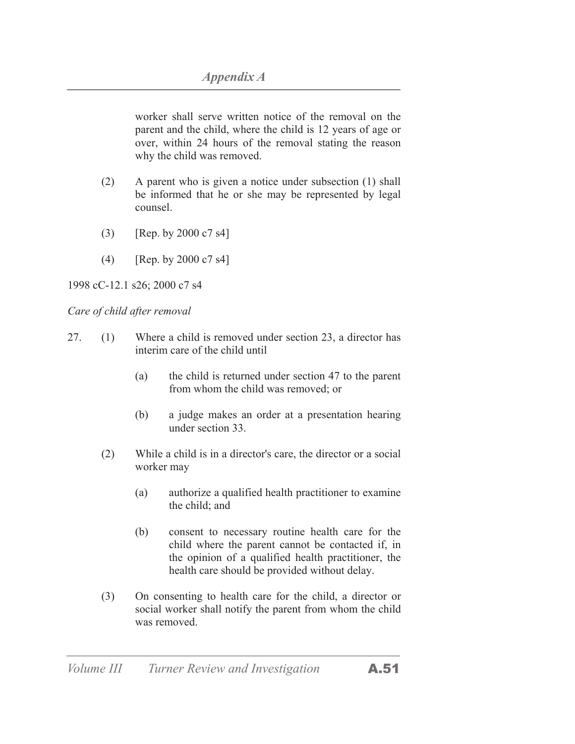worker shall serve written notice of the removal on the parent and the child, where the child is 12 years of age or over, within 24 hours of the removal stating the reason why the child was removed.

- (2) A parent who is given a notice under subsection (1) shall be informed that he or she may be represented by legal counsel.
- (3) [Rep. by 2000 c7 s4]
- (4) [Rep. by 2000 c7 s4]

1998 cC-12.1 s26; 2000 c7 s4

*Care of child after removal* 

- 27. (1) Where a child is removed under section 23, a director has interim care of the child until
	- (a) the child is returned under section 47 to the parent from whom the child was removed; or
	- (b) a judge makes an order at a presentation hearing under section 33.
	- (2) While a child is in a director's care, the director or a social worker may
		- (a) authorize a qualified health practitioner to examine the child; and
		- (b) consent to necessary routine health care for the child where the parent cannot be contacted if, in the opinion of a qualified health practitioner, the health care should be provided without delay.
	- (3) On consenting to health care for the child, a director or social worker shall notify the parent from whom the child was removed.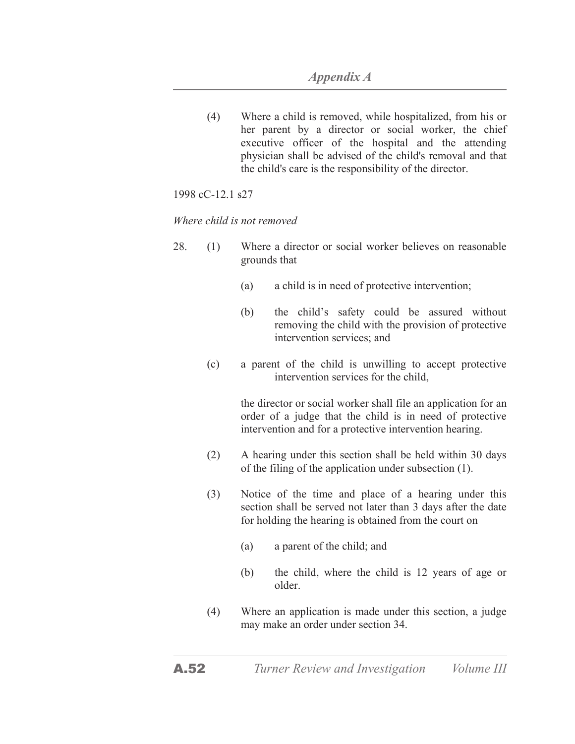(4) Where a child is removed, while hospitalized, from his or her parent by a director or social worker, the chief executive officer of the hospital and the attending physician shall be advised of the child's removal and that the child's care is the responsibility of the director.

### 1998 cC-12.1 s27

### *Where child is not removed*

- 28. (1) Where a director or social worker believes on reasonable grounds that
	- (a) a child is in need of protective intervention;
	- (b) the child's safety could be assured without removing the child with the provision of protective intervention services; and
	- (c) a parent of the child is unwilling to accept protective intervention services for the child,

the director or social worker shall file an application for an order of a judge that the child is in need of protective intervention and for a protective intervention hearing.

- (2) A hearing under this section shall be held within 30 days of the filing of the application under subsection (1).
- (3) Notice of the time and place of a hearing under this section shall be served not later than 3 days after the date for holding the hearing is obtained from the court on
	- (a) a parent of the child; and
	- (b) the child, where the child is 12 years of age or older.
- (4) Where an application is made under this section, a judge may make an order under section 34.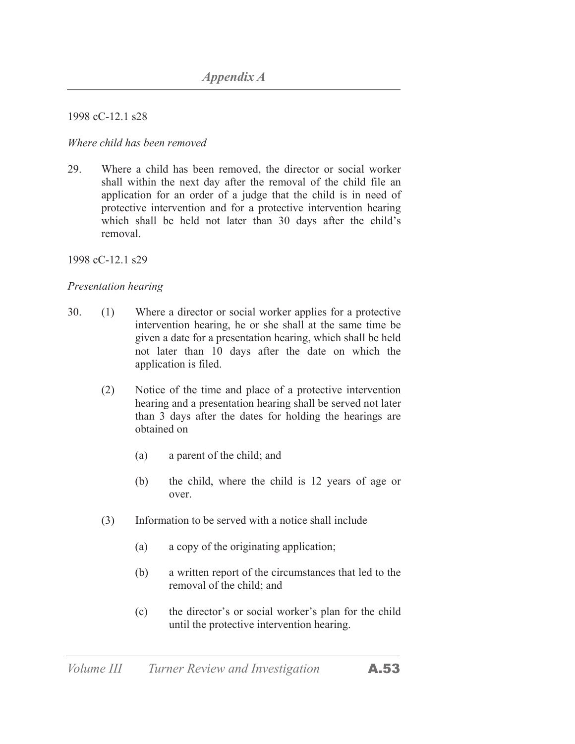### *Where child has been removed*

29. Where a child has been removed, the director or social worker shall within the next day after the removal of the child file an application for an order of a judge that the child is in need of protective intervention and for a protective intervention hearing which shall be held not later than 30 days after the child's removal.

1998 cC-12.1 s29

## *Presentation hearing*

- 30. (1) Where a director or social worker applies for a protective intervention hearing, he or she shall at the same time be given a date for a presentation hearing, which shall be held not later than 10 days after the date on which the application is filed.
	- (2) Notice of the time and place of a protective intervention hearing and a presentation hearing shall be served not later than 3 days after the dates for holding the hearings are obtained on
		- (a) a parent of the child; and
		- (b) the child, where the child is 12 years of age or over.
	- (3) Information to be served with a notice shall include
		- (a) a copy of the originating application;
		- (b) a written report of the circumstances that led to the removal of the child; and
		- $(c)$  the director's or social worker's plan for the child until the protective intervention hearing.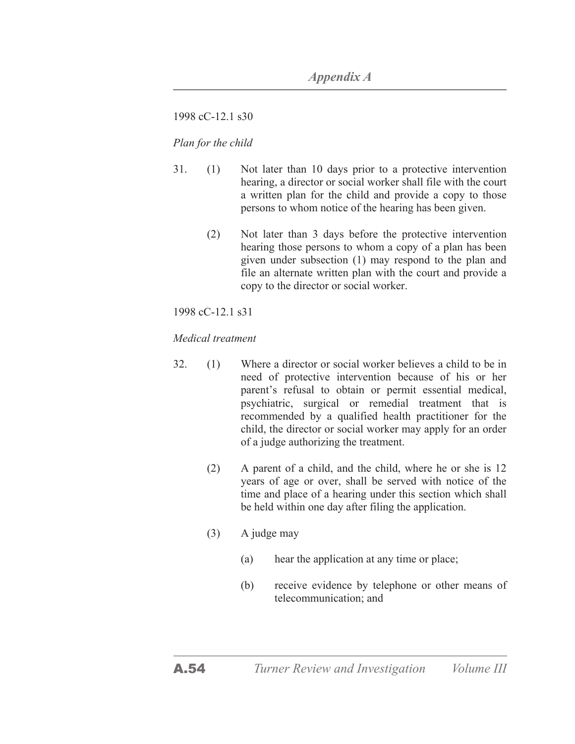#### *Plan for the child*

- 31. (1) Not later than 10 days prior to a protective intervention hearing, a director or social worker shall file with the court a written plan for the child and provide a copy to those persons to whom notice of the hearing has been given.
	- (2) Not later than 3 days before the protective intervention hearing those persons to whom a copy of a plan has been given under subsection (1) may respond to the plan and file an alternate written plan with the court and provide a copy to the director or social worker.

#### 1998 cC-12.1 s31

#### *Medical treatment*

- 32. (1) Where a director or social worker believes a child to be in need of protective intervention because of his or her parent's refusal to obtain or permit essential medical, psychiatric, surgical or remedial treatment that is recommended by a qualified health practitioner for the child, the director or social worker may apply for an order of a judge authorizing the treatment.
	- (2) A parent of a child, and the child, where he or she is 12 years of age or over, shall be served with notice of the time and place of a hearing under this section which shall be held within one day after filing the application.
	- (3) A judge may
		- (a) hear the application at any time or place;
		- (b) receive evidence by telephone or other means of telecommunication; and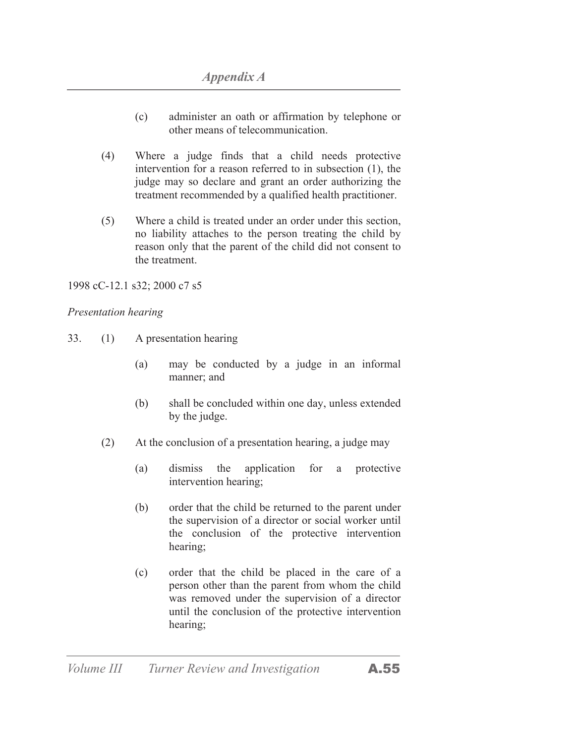- (c) administer an oath or affirmation by telephone or other means of telecommunication.
- (4) Where a judge finds that a child needs protective intervention for a reason referred to in subsection (1), the judge may so declare and grant an order authorizing the treatment recommended by a qualified health practitioner.
- (5) Where a child is treated under an order under this section, no liability attaches to the person treating the child by reason only that the parent of the child did not consent to the treatment.

1998 cC-12.1 s32; 2000 c7 s5

*Presentation hearing* 

- 33. (1) A presentation hearing
	- (a) may be conducted by a judge in an informal manner; and
	- (b) shall be concluded within one day, unless extended by the judge.
	- (2) At the conclusion of a presentation hearing, a judge may
		- (a) dismiss the application for a protective intervention hearing;
		- (b) order that the child be returned to the parent under the supervision of a director or social worker until the conclusion of the protective intervention hearing;
		- (c) order that the child be placed in the care of a person other than the parent from whom the child was removed under the supervision of a director until the conclusion of the protective intervention hearing;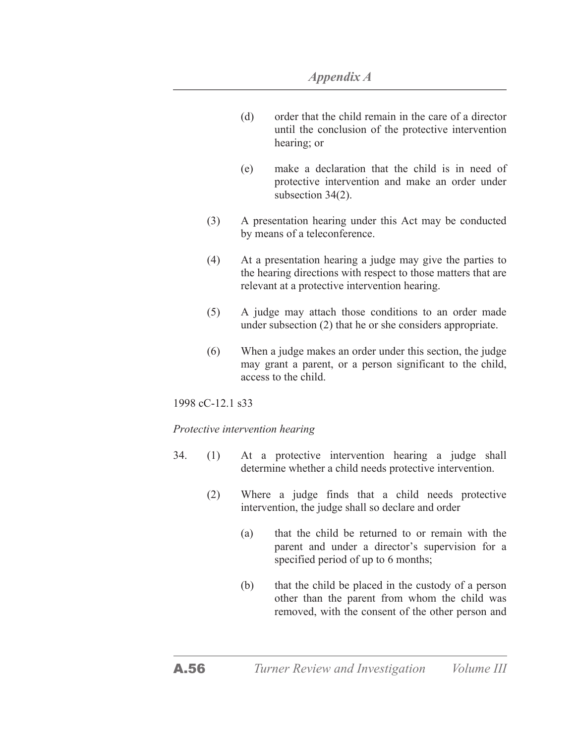- (d) order that the child remain in the care of a director until the conclusion of the protective intervention hearing; or
- (e) make a declaration that the child is in need of protective intervention and make an order under subsection 34(2).
- (3) A presentation hearing under this Act may be conducted by means of a teleconference.
- (4) At a presentation hearing a judge may give the parties to the hearing directions with respect to those matters that are relevant at a protective intervention hearing.
- (5) A judge may attach those conditions to an order made under subsection (2) that he or she considers appropriate.
- (6) When a judge makes an order under this section, the judge may grant a parent, or a person significant to the child, access to the child.

*Protective intervention hearing* 

- 34. (1) At a protective intervention hearing a judge shall determine whether a child needs protective intervention.
	- (2) Where a judge finds that a child needs protective intervention, the judge shall so declare and order
		- (a) that the child be returned to or remain with the parent and under a director's supervision for a specified period of up to 6 months;
		- (b) that the child be placed in the custody of a person other than the parent from whom the child was removed, with the consent of the other person and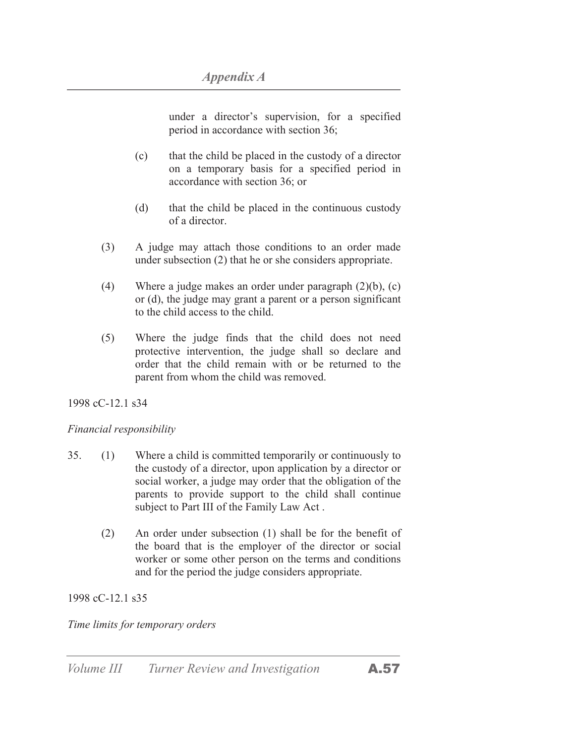under a director's supervision, for a specified period in accordance with section 36;

- (c) that the child be placed in the custody of a director on a temporary basis for a specified period in accordance with section 36; or
- (d) that the child be placed in the continuous custody of a director.
- (3) A judge may attach those conditions to an order made under subsection (2) that he or she considers appropriate.
- (4) Where a judge makes an order under paragraph (2)(b), (c) or (d), the judge may grant a parent or a person significant to the child access to the child.
- (5) Where the judge finds that the child does not need protective intervention, the judge shall so declare and order that the child remain with or be returned to the parent from whom the child was removed.

## 1998 cC-12.1 s34

# *Financial responsibility*

- 35. (1) Where a child is committed temporarily or continuously to the custody of a director, upon application by a director or social worker, a judge may order that the obligation of the parents to provide support to the child shall continue subject to Part III of the Family Law Act .
	- (2) An order under subsection (1) shall be for the benefit of the board that is the employer of the director or social worker or some other person on the terms and conditions and for the period the judge considers appropriate.

1998 cC-12.1 s35

*Time limits for temporary orders*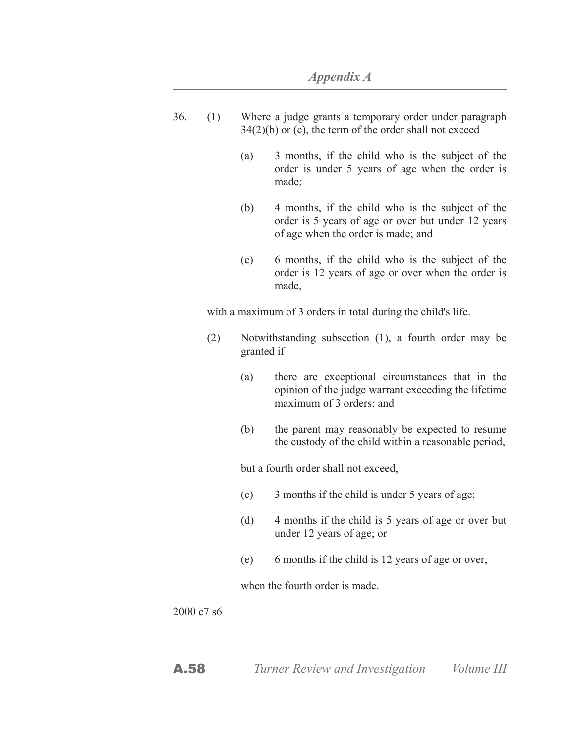- 36. (1) Where a judge grants a temporary order under paragraph  $34(2)(b)$  or (c), the term of the order shall not exceed
	- (a) 3 months, if the child who is the subject of the order is under 5 years of age when the order is made;
	- (b) 4 months, if the child who is the subject of the order is 5 years of age or over but under 12 years of age when the order is made; and
	- (c) 6 months, if the child who is the subject of the order is 12 years of age or over when the order is made,

with a maximum of 3 orders in total during the child's life.

- (2) Notwithstanding subsection (1), a fourth order may be granted if
	- (a) there are exceptional circumstances that in the opinion of the judge warrant exceeding the lifetime maximum of 3 orders; and
	- (b) the parent may reasonably be expected to resume the custody of the child within a reasonable period,

but a fourth order shall not exceed,

- (c) 3 months if the child is under 5 years of age;
- (d) 4 months if the child is 5 years of age or over but under 12 years of age; or
- (e) 6 months if the child is 12 years of age or over,

when the fourth order is made.

2000 c7 s6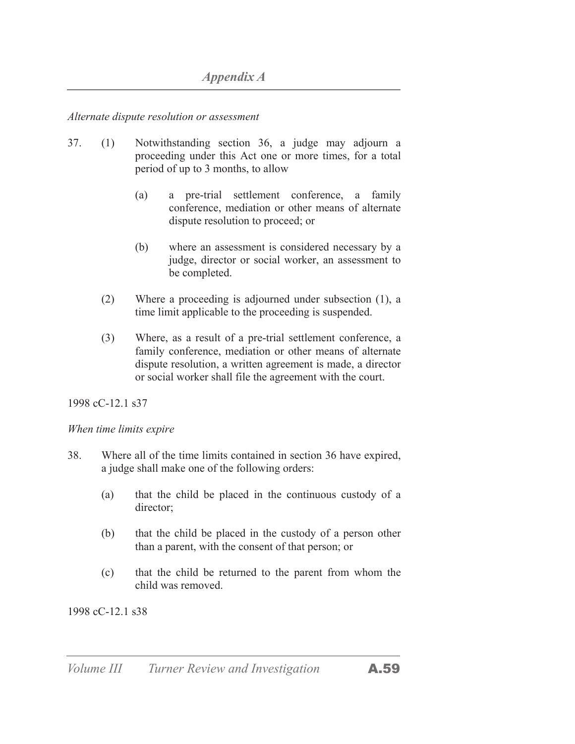# *Appendix A*

## *Alternate dispute resolution or assessment*

- 37. (1) Notwithstanding section 36, a judge may adjourn a proceeding under this Act one or more times, for a total period of up to 3 months, to allow
	- (a) a pre-trial settlement conference, a family conference, mediation or other means of alternate dispute resolution to proceed; or
	- (b) where an assessment is considered necessary by a judge, director or social worker, an assessment to be completed.
	- (2) Where a proceeding is adjourned under subsection (1), a time limit applicable to the proceeding is suspended.
	- (3) Where, as a result of a pre-trial settlement conference, a family conference, mediation or other means of alternate dispute resolution, a written agreement is made, a director or social worker shall file the agreement with the court.

## 1998 cC-12.1 s37

## *When time limits expire*

- 38. Where all of the time limits contained in section 36 have expired, a judge shall make one of the following orders:
	- (a) that the child be placed in the continuous custody of a director;
	- (b) that the child be placed in the custody of a person other than a parent, with the consent of that person; or
	- (c) that the child be returned to the parent from whom the child was removed.

A.59

1998 cC-12.1 s38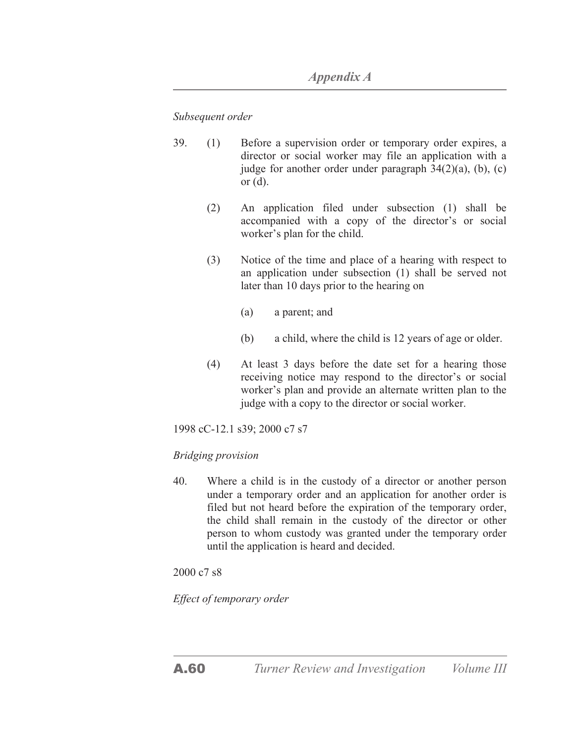## *Subsequent order*

- 39. (1) Before a supervision order or temporary order expires, a director or social worker may file an application with a judge for another order under paragraph  $34(2)(a)$ , (b), (c) or  $(d)$ .
	- (2) An application filed under subsection (1) shall be accompanied with a copy of the director's or social worker's plan for the child.
	- (3) Notice of the time and place of a hearing with respect to an application under subsection (1) shall be served not later than 10 days prior to the hearing on
		- (a) a parent; and
		- (b) a child, where the child is 12 years of age or older.
	- (4) At least 3 days before the date set for a hearing those receiving notice may respond to the director's or social worker's plan and provide an alternate written plan to the judge with a copy to the director or social worker.

1998 cC-12.1 s39; 2000 c7 s7

## *Bridging provision*

40. Where a child is in the custody of a director or another person under a temporary order and an application for another order is filed but not heard before the expiration of the temporary order, the child shall remain in the custody of the director or other person to whom custody was granted under the temporary order until the application is heard and decided.

## 2000 c7 s8

*Effect of temporary order*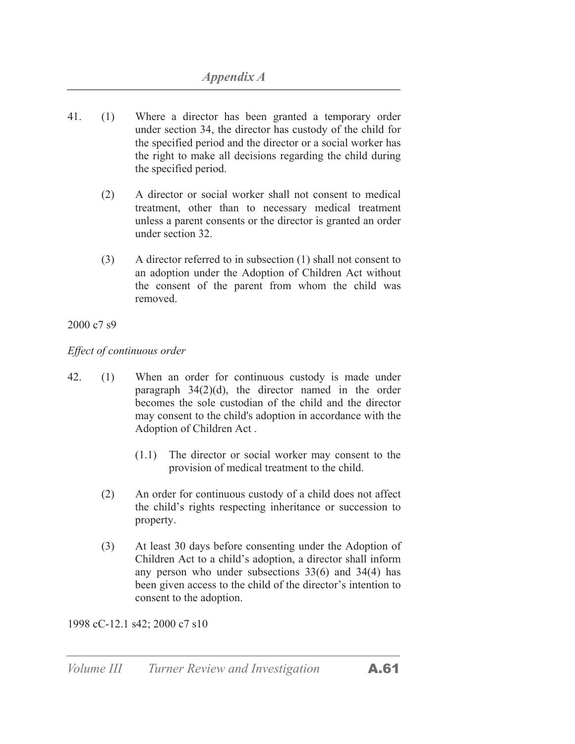# *Appendix A*

- 41. (1) Where a director has been granted a temporary order under section 34, the director has custody of the child for the specified period and the director or a social worker has the right to make all decisions regarding the child during the specified period.
	- (2) A director or social worker shall not consent to medical treatment, other than to necessary medical treatment unless a parent consents or the director is granted an order under section 32.
	- (3) A director referred to in subsection (1) shall not consent to an adoption under the Adoption of Children Act without the consent of the parent from whom the child was removed.

2000 c7 s9

*Effect of continuous order* 

- 42. (1) When an order for continuous custody is made under paragraph 34(2)(d), the director named in the order becomes the sole custodian of the child and the director may consent to the child's adoption in accordance with the Adoption of Children Act .
	- (1.1) The director or social worker may consent to the provision of medical treatment to the child.
	- (2) An order for continuous custody of a child does not affect the child's rights respecting inheritance or succession to property.
	- (3) At least 30 days before consenting under the Adoption of Children Act to a child's adoption, a director shall inform any person who under subsections 33(6) and 34(4) has been given access to the child of the director's intention to consent to the adoption.

1998 cC-12.1 s42; 2000 c7 s10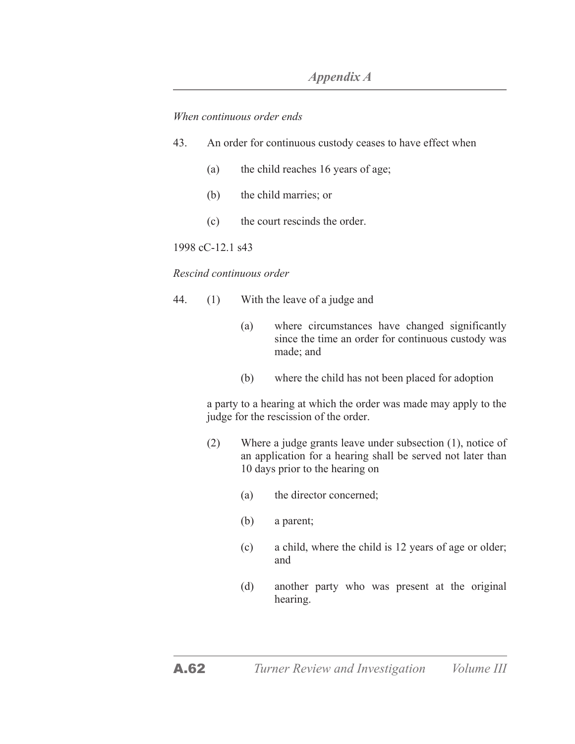#### *When continuous order ends*

- 43. An order for continuous custody ceases to have effect when
	- (a) the child reaches 16 years of age;
	- (b) the child marries; or
	- (c) the court rescinds the order.

1998 cC-12.1 s43

#### *Rescind continuous order*

- 44. (1) With the leave of a judge and
	- (a) where circumstances have changed significantly since the time an order for continuous custody was made; and
	- (b) where the child has not been placed for adoption

a party to a hearing at which the order was made may apply to the judge for the rescission of the order.

- (2) Where a judge grants leave under subsection (1), notice of an application for a hearing shall be served not later than 10 days prior to the hearing on
	- (a) the director concerned;
	- (b) a parent;
	- (c) a child, where the child is 12 years of age or older; and
	- (d) another party who was present at the original hearing.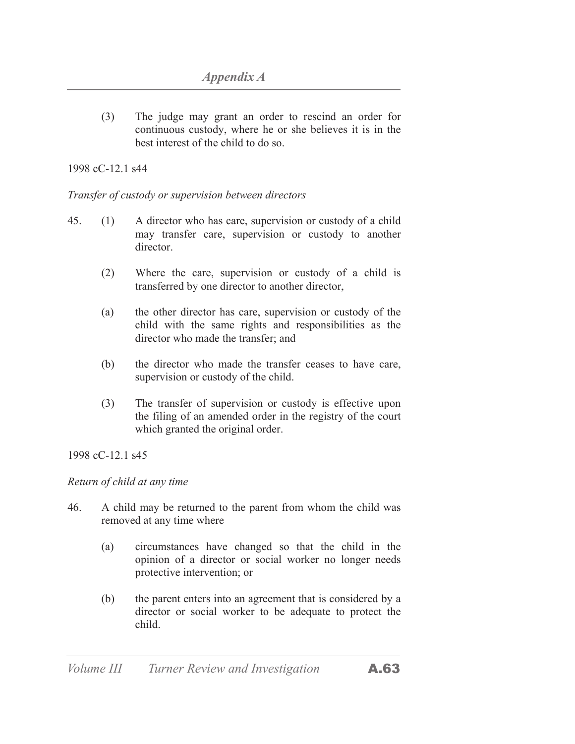(3) The judge may grant an order to rescind an order for continuous custody, where he or she believes it is in the best interest of the child to do so.

1998 cC-12.1 s44

# *Transfer of custody or supervision between directors*

- 45. (1) A director who has care, supervision or custody of a child may transfer care, supervision or custody to another director.
	- (2) Where the care, supervision or custody of a child is transferred by one director to another director,
	- (a) the other director has care, supervision or custody of the child with the same rights and responsibilities as the director who made the transfer; and
	- (b) the director who made the transfer ceases to have care, supervision or custody of the child.
	- (3) The transfer of supervision or custody is effective upon the filing of an amended order in the registry of the court which granted the original order.

1998 cC-12.1 s45

# *Return of child at any time*

- 46. A child may be returned to the parent from whom the child was removed at any time where
	- (a) circumstances have changed so that the child in the opinion of a director or social worker no longer needs protective intervention; or
	- (b) the parent enters into an agreement that is considered by a director or social worker to be adequate to protect the child.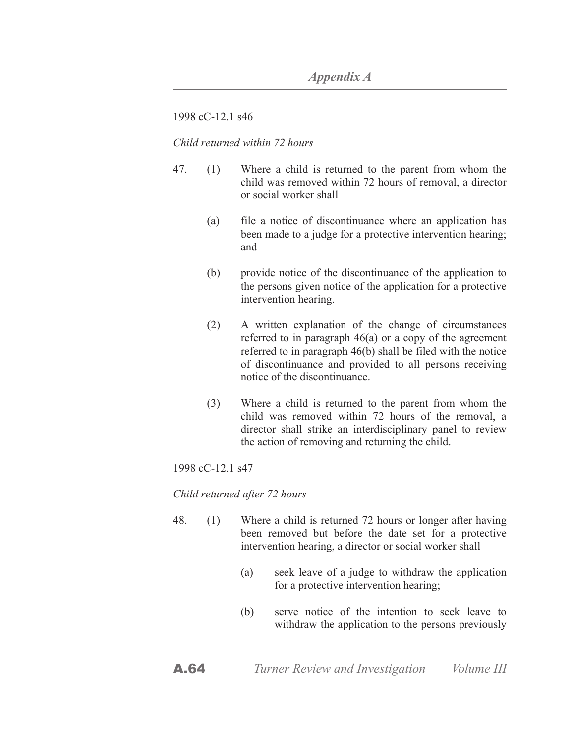#### *Child returned within 72 hours*

- 47. (1) Where a child is returned to the parent from whom the child was removed within 72 hours of removal, a director or social worker shall
	- (a) file a notice of discontinuance where an application has been made to a judge for a protective intervention hearing; and
	- (b) provide notice of the discontinuance of the application to the persons given notice of the application for a protective intervention hearing.
	- (2) A written explanation of the change of circumstances referred to in paragraph 46(a) or a copy of the agreement referred to in paragraph 46(b) shall be filed with the notice of discontinuance and provided to all persons receiving notice of the discontinuance.
	- (3) Where a child is returned to the parent from whom the child was removed within 72 hours of the removal, a director shall strike an interdisciplinary panel to review the action of removing and returning the child.

#### 1998 cC-12.1 s47

#### *Child returned after 72 hours*

- 48. (1) Where a child is returned 72 hours or longer after having been removed but before the date set for a protective intervention hearing, a director or social worker shall
	- (a) seek leave of a judge to withdraw the application for a protective intervention hearing;
	- (b) serve notice of the intention to seek leave to withdraw the application to the persons previously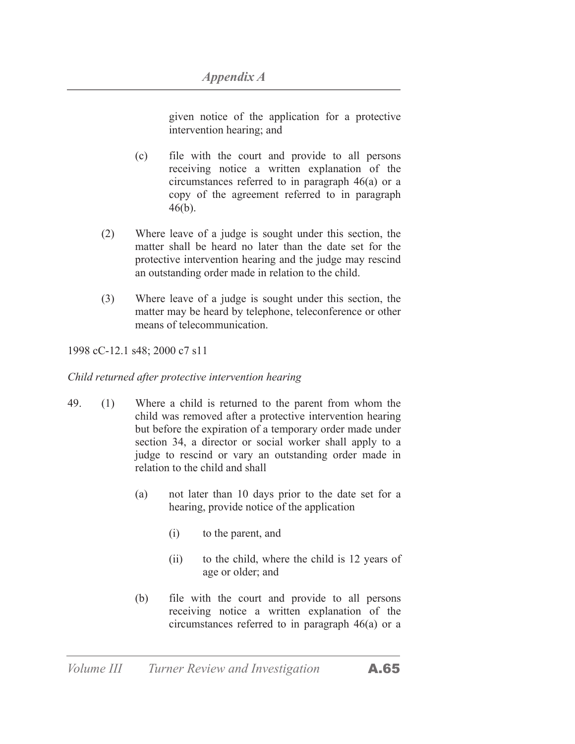given notice of the application for a protective intervention hearing; and

- (c) file with the court and provide to all persons receiving notice a written explanation of the circumstances referred to in paragraph 46(a) or a copy of the agreement referred to in paragraph 46(b).
- (2) Where leave of a judge is sought under this section, the matter shall be heard no later than the date set for the protective intervention hearing and the judge may rescind an outstanding order made in relation to the child.
- (3) Where leave of a judge is sought under this section, the matter may be heard by telephone, teleconference or other means of telecommunication.

1998 cC-12.1 s48; 2000 c7 s11

*Child returned after protective intervention hearing* 

- 49. (1) Where a child is returned to the parent from whom the child was removed after a protective intervention hearing but before the expiration of a temporary order made under section 34, a director or social worker shall apply to a judge to rescind or vary an outstanding order made in relation to the child and shall
	- (a) not later than 10 days prior to the date set for a hearing, provide notice of the application
		- (i) to the parent, and
		- (ii) to the child, where the child is 12 years of age or older; and
	- (b) file with the court and provide to all persons receiving notice a written explanation of the circumstances referred to in paragraph 46(a) or a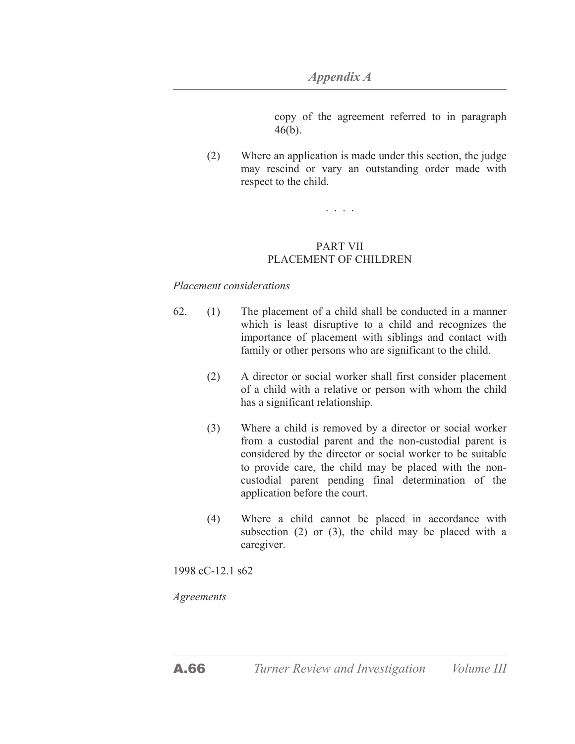copy of the agreement referred to in paragraph 46(b).

(2) Where an application is made under this section, the judge may rescind or vary an outstanding order made with respect to the child.

. . . .

### PART VII PLACEMENT OF CHILDREN

#### *Placement considerations*

- 62. (1) The placement of a child shall be conducted in a manner which is least disruptive to a child and recognizes the importance of placement with siblings and contact with family or other persons who are significant to the child.
	- (2) A director or social worker shall first consider placement of a child with a relative or person with whom the child has a significant relationship.
	- (3) Where a child is removed by a director or social worker from a custodial parent and the non-custodial parent is considered by the director or social worker to be suitable to provide care, the child may be placed with the noncustodial parent pending final determination of the application before the court.
	- (4) Where a child cannot be placed in accordance with subsection (2) or (3), the child may be placed with a caregiver.

1998 cC-12.1 s62

*Agreements*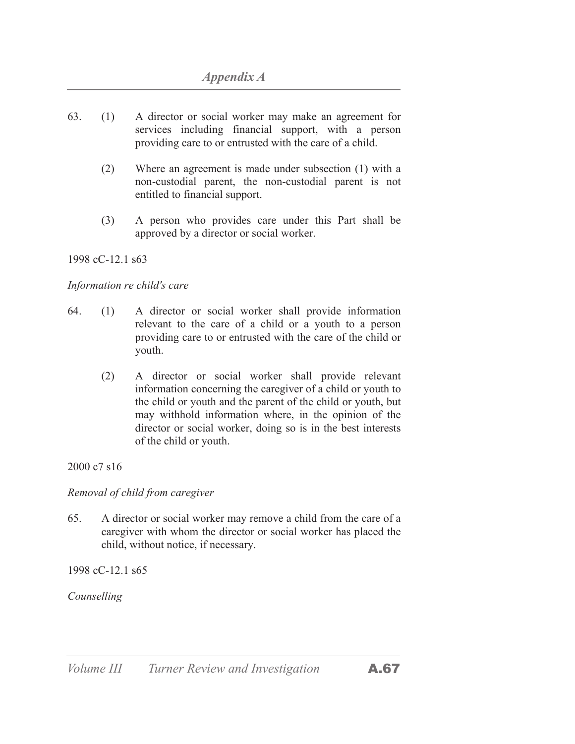# *Appendix A*

- 63. (1) A director or social worker may make an agreement for services including financial support, with a person providing care to or entrusted with the care of a child.
	- (2) Where an agreement is made under subsection (1) with a non-custodial parent, the non-custodial parent is not entitled to financial support.
	- (3) A person who provides care under this Part shall be approved by a director or social worker.

### 1998 cC-12.1 s63

## *Information re child's care*

- 64. (1) A director or social worker shall provide information relevant to the care of a child or a youth to a person providing care to or entrusted with the care of the child or youth.
	- (2) A director or social worker shall provide relevant information concerning the caregiver of a child or youth to the child or youth and the parent of the child or youth, but may withhold information where, in the opinion of the director or social worker, doing so is in the best interests of the child or youth.

2000 c7 s16

## *Removal of child from caregiver*

65. A director or social worker may remove a child from the care of a caregiver with whom the director or social worker has placed the child, without notice, if necessary.

1998 cC-12.1 s65

## *Counselling*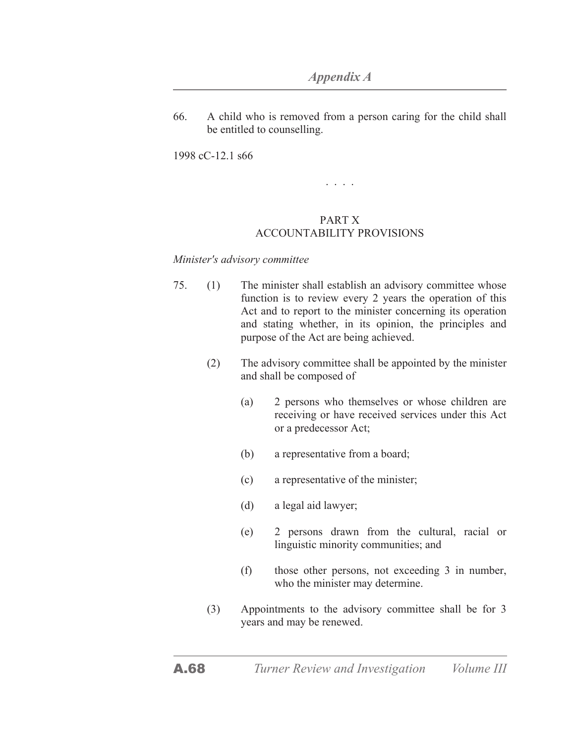66. A child who is removed from a person caring for the child shall be entitled to counselling.

1998 cC-12.1 s66

#### PART X ACCOUNTABILITY PROVISIONS

. . . .

#### *Minister's advisory committee*

- 75. (1) The minister shall establish an advisory committee whose function is to review every 2 years the operation of this Act and to report to the minister concerning its operation and stating whether, in its opinion, the principles and purpose of the Act are being achieved.
	- (2) The advisory committee shall be appointed by the minister and shall be composed of
		- (a) 2 persons who themselves or whose children are receiving or have received services under this Act or a predecessor Act;
		- (b) a representative from a board;
		- (c) a representative of the minister;
		- (d) a legal aid lawyer;
		- (e) 2 persons drawn from the cultural, racial or linguistic minority communities; and
		- (f) those other persons, not exceeding 3 in number, who the minister may determine.
	- (3) Appointments to the advisory committee shall be for 3 years and may be renewed.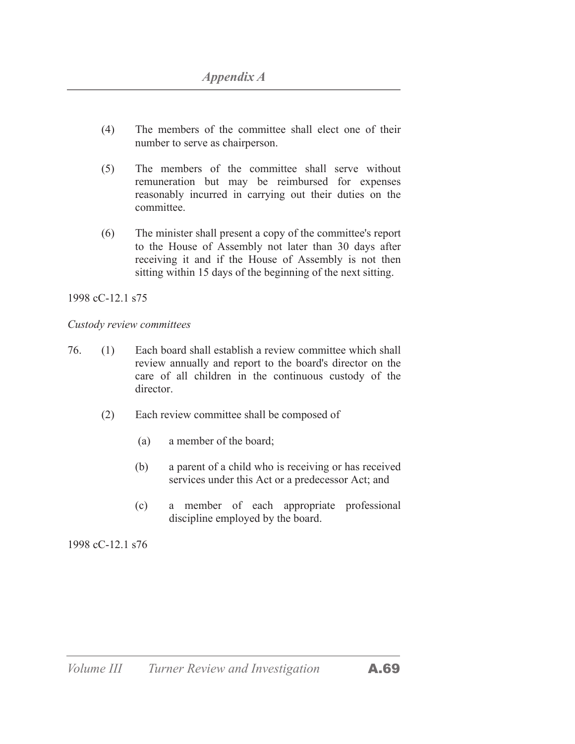- (4) The members of the committee shall elect one of their number to serve as chairperson.
- (5) The members of the committee shall serve without remuneration but may be reimbursed for expenses reasonably incurred in carrying out their duties on the committee.
- (6) The minister shall present a copy of the committee's report to the House of Assembly not later than 30 days after receiving it and if the House of Assembly is not then sitting within 15 days of the beginning of the next sitting.

*Custody review committees* 

- 76. (1) Each board shall establish a review committee which shall review annually and report to the board's director on the care of all children in the continuous custody of the director.
	- (2) Each review committee shall be composed of
		- (a) a member of the board;
		- (b) a parent of a child who is receiving or has received services under this Act or a predecessor Act; and
		- (c) a member of each appropriate professional discipline employed by the board.

1998 cC-12.1 s76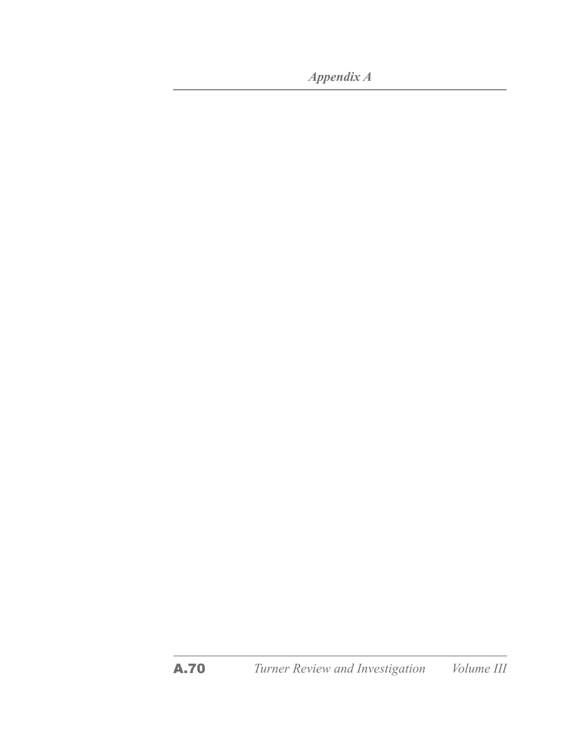*Appendix A*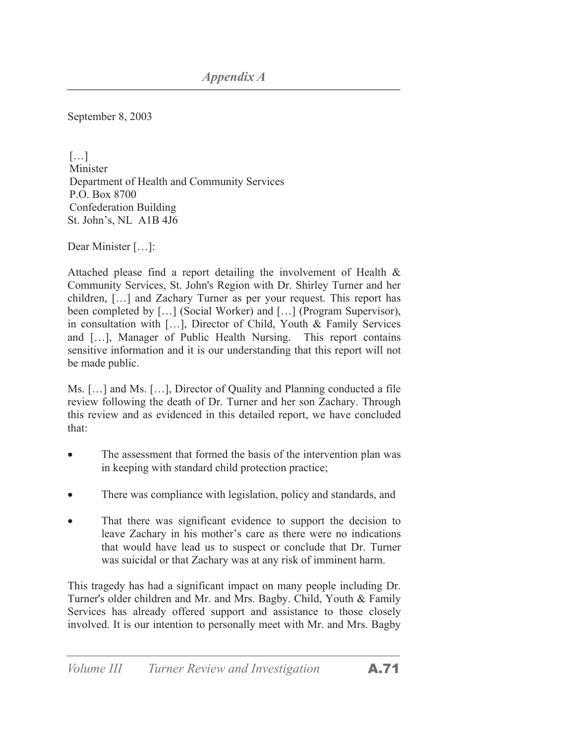September 8, 2003

 $\lceil$ ...] Minister Department of Health and Community Services P.O. Box 8700 Confederation Building St. John's, NL A1B 4J6

Dear Minister  $[\dots]$ :

Attached please find a report detailing the involvement of Health & Community Services, St. John's Region with Dr. Shirley Turner and her children, [...] and Zachary Turner as per your request. This report has been completed by  $[\dots]$  (Social Worker) and  $[\dots]$  (Program Supervisor), in consultation with  $[\dots]$ , Director of Child, Youth & Family Services and [...], Manager of Public Health Nursing. This report contains sensitive information and it is our understanding that this report will not be made public.

Ms. [...] and Ms. [...], Director of Quality and Planning conducted a file review following the death of Dr. Turner and her son Zachary. Through this review and as evidenced in this detailed report, we have concluded that:

- The assessment that formed the basis of the intervention plan was in keeping with standard child protection practice;
- There was compliance with legislation, policy and standards, and
- That there was significant evidence to support the decision to leave Zachary in his mother's care as there were no indications that would have lead us to suspect or conclude that Dr. Turner was suicidal or that Zachary was at any risk of imminent harm.

This tragedy has had a significant impact on many people including Dr. Turner's older children and Mr. and Mrs. Bagby. Child, Youth & Family Services has already offered support and assistance to those closely involved. It is our intention to personally meet with Mr. and Mrs. Bagby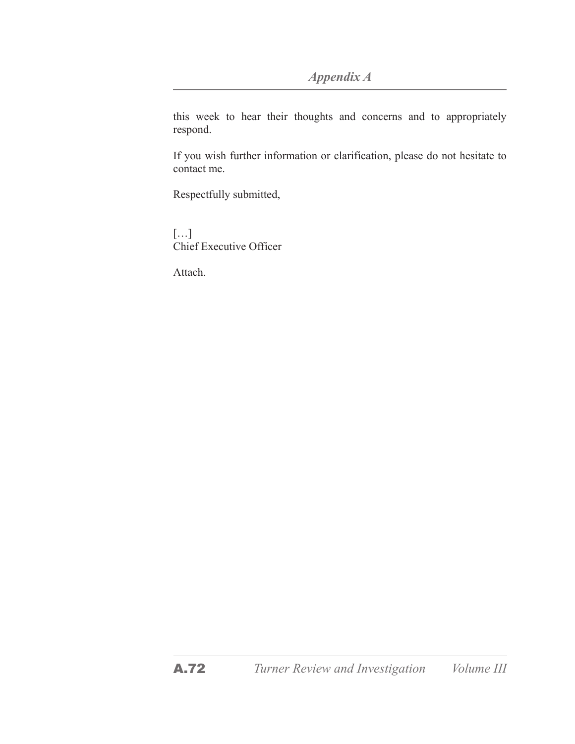this week to hear their thoughts and concerns and to appropriately respond.

If you wish further information or clarification, please do not hesitate to contact me.

Respectfully submitted,

 $[...]$ Chief Executive Officer

Attach.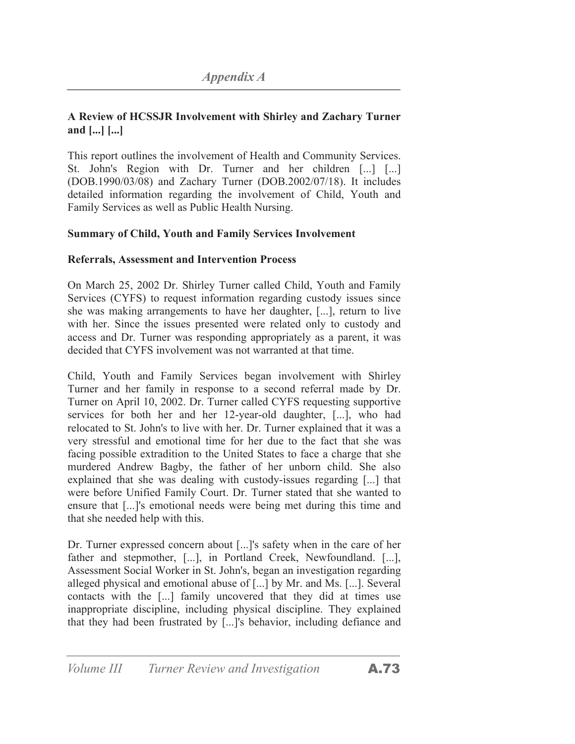# **A Review of HCSSJR Involvement with Shirley and Zachary Turner and [...] [...]**

This report outlines the involvement of Health and Community Services. St. John's Region with Dr. Turner and her children [...] [...] (DOB.1990/03/08) and Zachary Turner (DOB.2002/07/18). It includes detailed information regarding the involvement of Child, Youth and Family Services as well as Public Health Nursing.

# **Summary of Child, Youth and Family Services Involvement**

# **Referrals, Assessment and Intervention Process**

On March 25, 2002 Dr. Shirley Turner called Child, Youth and Family Services (CYFS) to request information regarding custody issues since she was making arrangements to have her daughter, [...], return to live with her. Since the issues presented were related only to custody and access and Dr. Turner was responding appropriately as a parent, it was decided that CYFS involvement was not warranted at that time.

Child, Youth and Family Services began involvement with Shirley Turner and her family in response to a second referral made by Dr. Turner on April 10, 2002. Dr. Turner called CYFS requesting supportive services for both her and her 12-year-old daughter, [...], who had relocated to St. John's to live with her. Dr. Turner explained that it was a very stressful and emotional time for her due to the fact that she was facing possible extradition to the United States to face a charge that she murdered Andrew Bagby, the father of her unborn child. She also explained that she was dealing with custody-issues regarding [...] that were before Unified Family Court. Dr. Turner stated that she wanted to ensure that [...]'s emotional needs were being met during this time and that she needed help with this.

Dr. Turner expressed concern about [...]'s safety when in the care of her father and stepmother, [...], in Portland Creek, Newfoundland. [...], Assessment Social Worker in St. John's, began an investigation regarding alleged physical and emotional abuse of [...] by Mr. and Ms. [...]. Several contacts with the [...] family uncovered that they did at times use inappropriate discipline, including physical discipline. They explained that they had been frustrated by [...]'s behavior, including defiance and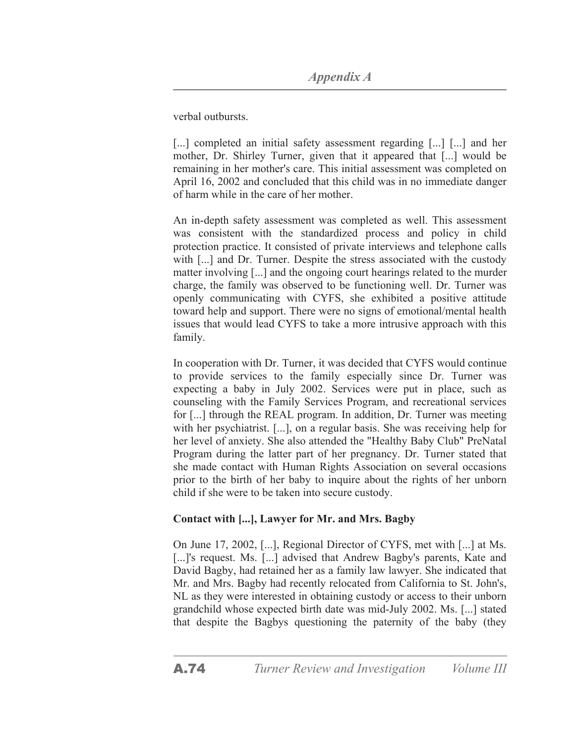verbal outbursts.

[...] completed an initial safety assessment regarding [...] [...] and her mother, Dr. Shirley Turner, given that it appeared that [...] would be remaining in her mother's care. This initial assessment was completed on April 16, 2002 and concluded that this child was in no immediate danger of harm while in the care of her mother.

An in-depth safety assessment was completed as well. This assessment was consistent with the standardized process and policy in child protection practice. It consisted of private interviews and telephone calls with [...] and Dr. Turner. Despite the stress associated with the custody matter involving [...] and the ongoing court hearings related to the murder charge, the family was observed to be functioning well. Dr. Turner was openly communicating with CYFS, she exhibited a positive attitude toward help and support. There were no signs of emotional/mental health issues that would lead CYFS to take a more intrusive approach with this family.

In cooperation with Dr. Turner, it was decided that CYFS would continue to provide services to the family especially since Dr. Turner was expecting a baby in July 2002. Services were put in place, such as counseling with the Family Services Program, and recreational services for [...] through the REAL program. In addition, Dr. Turner was meeting with her psychiatrist. [...], on a regular basis. She was receiving help for her level of anxiety. She also attended the "Healthy Baby Club" PreNatal Program during the latter part of her pregnancy. Dr. Turner stated that she made contact with Human Rights Association on several occasions prior to the birth of her baby to inquire about the rights of her unborn child if she were to be taken into secure custody.

#### **Contact with [...], Lawyer for Mr. and Mrs. Bagby**

On June 17, 2002, [...], Regional Director of CYFS, met with [...] at Ms. [...]'s request. Ms. [...] advised that Andrew Bagby's parents, Kate and David Bagby, had retained her as a family law lawyer. She indicated that Mr. and Mrs. Bagby had recently relocated from California to St. John's, NL as they were interested in obtaining custody or access to their unborn grandchild whose expected birth date was mid-July 2002. Ms. [...] stated that despite the Bagbys questioning the paternity of the baby (they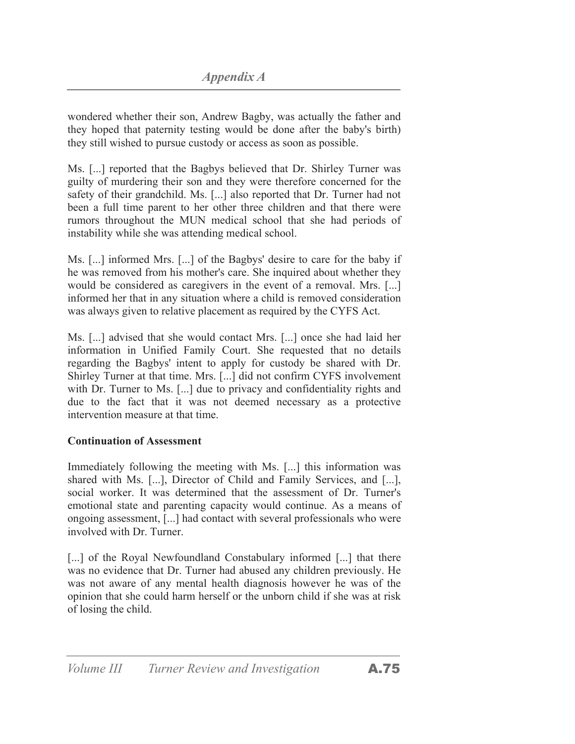wondered whether their son, Andrew Bagby, was actually the father and they hoped that paternity testing would be done after the baby's birth) they still wished to pursue custody or access as soon as possible.

Ms. [...] reported that the Bagbys believed that Dr. Shirley Turner was guilty of murdering their son and they were therefore concerned for the safety of their grandchild. Ms. [...] also reported that Dr. Turner had not been a full time parent to her other three children and that there were rumors throughout the MUN medical school that she had periods of instability while she was attending medical school.

Ms. [...] informed Mrs. [...] of the Bagbys' desire to care for the baby if he was removed from his mother's care. She inquired about whether they would be considered as caregivers in the event of a removal. Mrs. [...] informed her that in any situation where a child is removed consideration was always given to relative placement as required by the CYFS Act.

Ms. [...] advised that she would contact Mrs. [...] once she had laid her information in Unified Family Court. She requested that no details regarding the Bagbys' intent to apply for custody be shared with Dr. Shirley Turner at that time. Mrs. [...] did not confirm CYFS involvement with Dr. Turner to Ms. [...] due to privacy and confidentiality rights and due to the fact that it was not deemed necessary as a protective intervention measure at that time.

# **Continuation of Assessment**

Immediately following the meeting with Ms. [...] this information was shared with Ms. [...], Director of Child and Family Services, and [...], social worker. It was determined that the assessment of Dr. Turner's emotional state and parenting capacity would continue. As a means of ongoing assessment, [...] had contact with several professionals who were involved with Dr. Turner.

[...] of the Royal Newfoundland Constabulary informed [...] that there was no evidence that Dr. Turner had abused any children previously. He was not aware of any mental health diagnosis however he was of the opinion that she could harm herself or the unborn child if she was at risk of losing the child.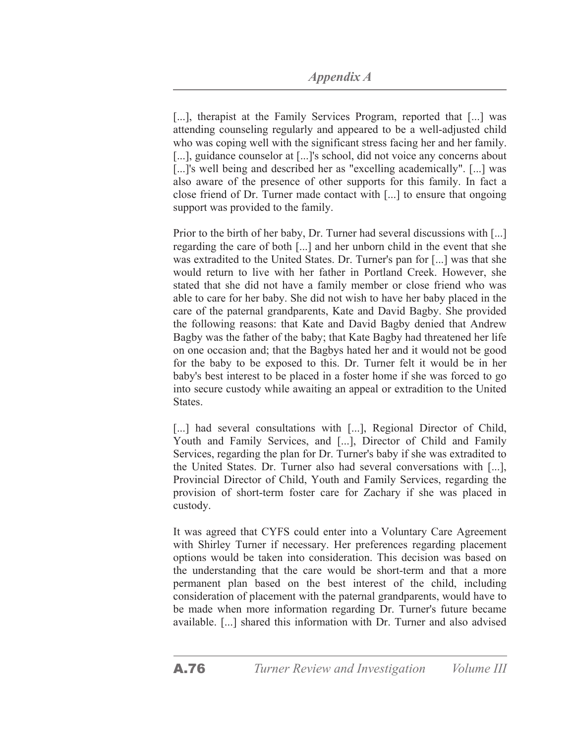[...], therapist at the Family Services Program, reported that [...] was attending counseling regularly and appeared to be a well-adjusted child who was coping well with the significant stress facing her and her family. [...], guidance counselor at [...]'s school, did not voice any concerns about [...]'s well being and described her as "excelling academically". [...] was also aware of the presence of other supports for this family. In fact a close friend of Dr. Turner made contact with [...] to ensure that ongoing support was provided to the family.

Prior to the birth of her baby, Dr. Turner had several discussions with [...] regarding the care of both [...] and her unborn child in the event that she was extradited to the United States. Dr. Turner's pan for [...] was that she would return to live with her father in Portland Creek. However, she stated that she did not have a family member or close friend who was able to care for her baby. She did not wish to have her baby placed in the care of the paternal grandparents, Kate and David Bagby. She provided the following reasons: that Kate and David Bagby denied that Andrew Bagby was the father of the baby; that Kate Bagby had threatened her life on one occasion and; that the Bagbys hated her and it would not be good for the baby to be exposed to this. Dr. Turner felt it would be in her baby's best interest to be placed in a foster home if she was forced to go into secure custody while awaiting an appeal or extradition to the United States.

[...] had several consultations with [...], Regional Director of Child, Youth and Family Services, and [...], Director of Child and Family Services, regarding the plan for Dr. Turner's baby if she was extradited to the United States. Dr. Turner also had several conversations with [...], Provincial Director of Child, Youth and Family Services, regarding the provision of short-term foster care for Zachary if she was placed in custody.

It was agreed that CYFS could enter into a Voluntary Care Agreement with Shirley Turner if necessary. Her preferences regarding placement options would be taken into consideration. This decision was based on the understanding that the care would be short-term and that a more permanent plan based on the best interest of the child, including consideration of placement with the paternal grandparents, would have to be made when more information regarding Dr. Turner's future became available. [...] shared this information with Dr. Turner and also advised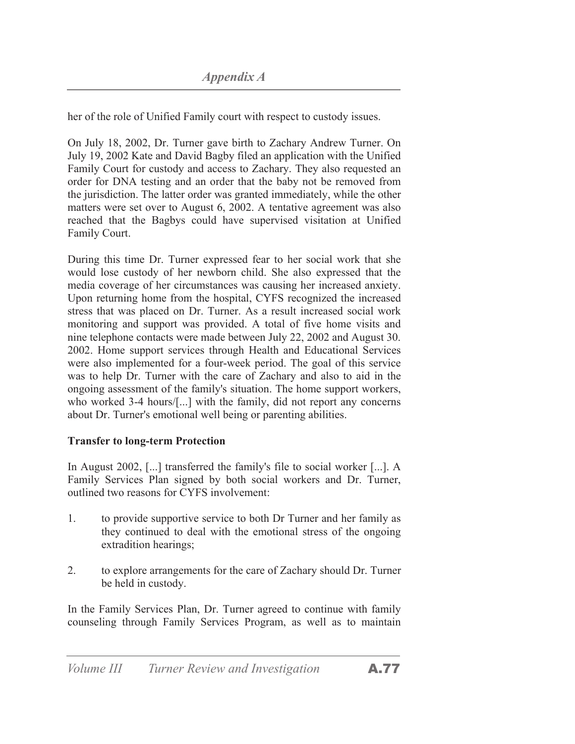her of the role of Unified Family court with respect to custody issues.

On July 18, 2002, Dr. Turner gave birth to Zachary Andrew Turner. On July 19, 2002 Kate and David Bagby filed an application with the Unified Family Court for custody and access to Zachary. They also requested an order for DNA testing and an order that the baby not be removed from the jurisdiction. The latter order was granted immediately, while the other matters were set over to August 6, 2002. A tentative agreement was also reached that the Bagbys could have supervised visitation at Unified Family Court.

During this time Dr. Turner expressed fear to her social work that she would lose custody of her newborn child. She also expressed that the media coverage of her circumstances was causing her increased anxiety. Upon returning home from the hospital, CYFS recognized the increased stress that was placed on Dr. Turner. As a result increased social work monitoring and support was provided. A total of five home visits and nine telephone contacts were made between July 22, 2002 and August 30. 2002. Home support services through Health and Educational Services were also implemented for a four-week period. The goal of this service was to help Dr. Turner with the care of Zachary and also to aid in the ongoing assessment of the family's situation. The home support workers, who worked 3-4 hours/[...] with the family, did not report any concerns about Dr. Turner's emotional well being or parenting abilities.

#### **Transfer to long-term Protection**

In August 2002, [...] transferred the family's file to social worker [...]. A Family Services Plan signed by both social workers and Dr. Turner, outlined two reasons for CYFS involvement:

- 1. to provide supportive service to both Dr Turner and her family as they continued to deal with the emotional stress of the ongoing extradition hearings;
- 2. to explore arrangements for the care of Zachary should Dr. Turner be held in custody.

In the Family Services Plan, Dr. Turner agreed to continue with family counseling through Family Services Program, as well as to maintain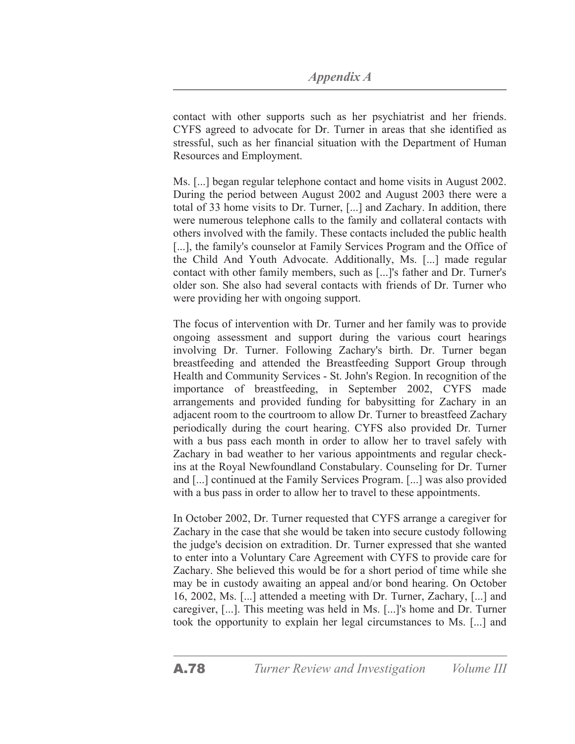contact with other supports such as her psychiatrist and her friends. CYFS agreed to advocate for Dr. Turner in areas that she identified as stressful, such as her financial situation with the Department of Human Resources and Employment.

Ms. [...] began regular telephone contact and home visits in August 2002. During the period between August 2002 and August 2003 there were a total of 33 home visits to Dr. Turner, [...] and Zachary. In addition, there were numerous telephone calls to the family and collateral contacts with others involved with the family. These contacts included the public health [...], the family's counselor at Family Services Program and the Office of the Child And Youth Advocate. Additionally, Ms. [...] made regular contact with other family members, such as [...]'s father and Dr. Turner's older son. She also had several contacts with friends of Dr. Turner who were providing her with ongoing support.

The focus of intervention with Dr. Turner and her family was to provide ongoing assessment and support during the various court hearings involving Dr. Turner. Following Zachary's birth. Dr. Turner began breastfeeding and attended the Breastfeeding Support Group through Health and Community Services - St. John's Region. In recognition of the importance of breastfeeding, in September 2002, CYFS made arrangements and provided funding for babysitting for Zachary in an adjacent room to the courtroom to allow Dr. Turner to breastfeed Zachary periodically during the court hearing. CYFS also provided Dr. Turner with a bus pass each month in order to allow her to travel safely with Zachary in bad weather to her various appointments and regular checkins at the Royal Newfoundland Constabulary. Counseling for Dr. Turner and [...] continued at the Family Services Program. [...] was also provided with a bus pass in order to allow her to travel to these appointments.

In October 2002, Dr. Turner requested that CYFS arrange a caregiver for Zachary in the case that she would be taken into secure custody following the judge's decision on extradition. Dr. Turner expressed that she wanted to enter into a Voluntary Care Agreement with CYFS to provide care for Zachary. She believed this would be for a short period of time while she may be in custody awaiting an appeal and/or bond hearing. On October 16, 2002, Ms. [...] attended a meeting with Dr. Turner, Zachary, [...] and caregiver, [...]. This meeting was held in Ms. [...]'s home and Dr. Turner took the opportunity to explain her legal circumstances to Ms. [...] and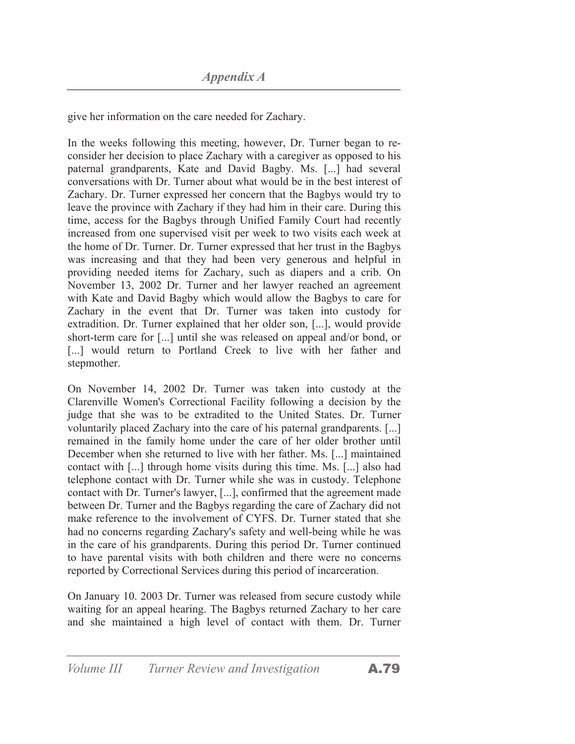give her information on the care needed for Zachary.

In the weeks following this meeting, however, Dr. Turner began to reconsider her decision to place Zachary with a caregiver as opposed to his paternal grandparents, Kate and David Bagby. Ms. [...] had several conversations with Dr. Turner about what would be in the best interest of Zachary. Dr. Turner expressed her concern that the Bagbys would try to leave the province with Zachary if they had him in their care. During this time, access for the Bagbys through Unified Family Court had recently increased from one supervised visit per week to two visits each week at the home of Dr. Turner. Dr. Turner expressed that her trust in the Bagbys was increasing and that they had been very generous and helpful in providing needed items for Zachary, such as diapers and a crib. On November 13, 2002 Dr. Turner and her lawyer reached an agreement with Kate and David Bagby which would allow the Bagbys to care for Zachary in the event that Dr. Turner was taken into custody for extradition. Dr. Turner explained that her older son, [...], would provide short-term care for [...] until she was released on appeal and/or bond, or [...] would return to Portland Creek to live with her father and stepmother.

On November 14, 2002 Dr. Turner was taken into custody at the Clarenville Women's Correctional Facility following a decision by the judge that she was to be extradited to the United States. Dr. Turner voluntarily placed Zachary into the care of his paternal grandparents. [...] remained in the family home under the care of her older brother until December when she returned to live with her father. Ms. [...] maintained contact with [...] through home visits during this time. Ms. [...] also had telephone contact with Dr. Turner while she was in custody. Telephone contact with Dr. Turner's lawyer, [...], confirmed that the agreement made between Dr. Turner and the Bagbys regarding the care of Zachary did not make reference to the involvement of CYFS. Dr. Turner stated that she had no concerns regarding Zachary's safety and well-being while he was in the care of his grandparents. During this period Dr. Turner continued to have parental visits with both children and there were no concerns reported by Correctional Services during this period of incarceration.

On January 10. 2003 Dr. Turner was released from secure custody while waiting for an appeal hearing. The Bagbys returned Zachary to her care and she maintained a high level of contact with them. Dr. Turner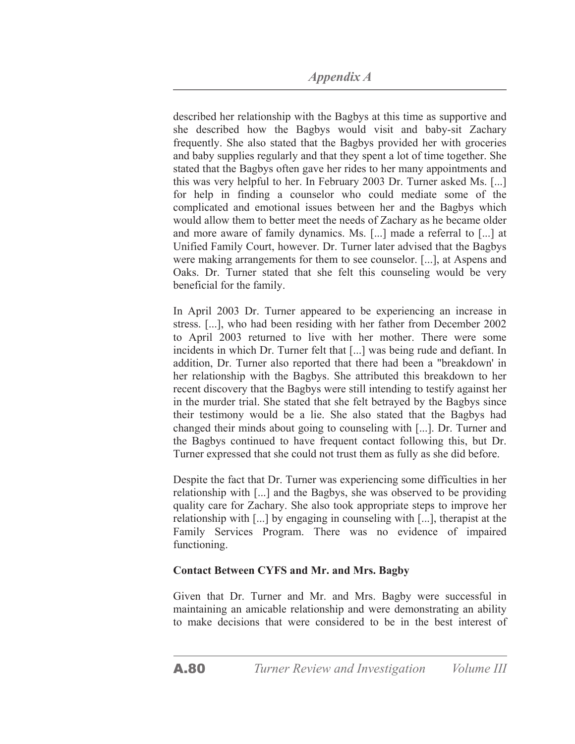*Appendix A*

described her relationship with the Bagbys at this time as supportive and she described how the Bagbys would visit and baby-sit Zachary frequently. She also stated that the Bagbys provided her with groceries and baby supplies regularly and that they spent a lot of time together. She stated that the Bagbys often gave her rides to her many appointments and this was very helpful to her. In February 2003 Dr. Turner asked Ms. [...] for help in finding a counselor who could mediate some of the complicated and emotional issues between her and the Bagbys which would allow them to better meet the needs of Zachary as he became older and more aware of family dynamics. Ms. [...] made a referral to [...] at Unified Family Court, however. Dr. Turner later advised that the Bagbys were making arrangements for them to see counselor. [...], at Aspens and Oaks. Dr. Turner stated that she felt this counseling would be very beneficial for the family.

In April 2003 Dr. Turner appeared to be experiencing an increase in stress. [...], who had been residing with her father from December 2002 to April 2003 returned to live with her mother. There were some incidents in which Dr. Turner felt that [...] was being rude and defiant. In addition, Dr. Turner also reported that there had been a "breakdown' in her relationship with the Bagbys. She attributed this breakdown to her recent discovery that the Bagbys were still intending to testify against her in the murder trial. She stated that she felt betrayed by the Bagbys since their testimony would be a lie. She also stated that the Bagbys had changed their minds about going to counseling with [...]. Dr. Turner and the Bagbys continued to have frequent contact following this, but Dr. Turner expressed that she could not trust them as fully as she did before.

Despite the fact that Dr. Turner was experiencing some difficulties in her relationship with [...] and the Bagbys, she was observed to be providing quality care for Zachary. She also took appropriate steps to improve her relationship with [...] by engaging in counseling with [...], therapist at the Family Services Program. There was no evidence of impaired functioning.

# **Contact Between CYFS and Mr. and Mrs. Bagby**

Given that Dr. Turner and Mr. and Mrs. Bagby were successful in maintaining an amicable relationship and were demonstrating an ability to make decisions that were considered to be in the best interest of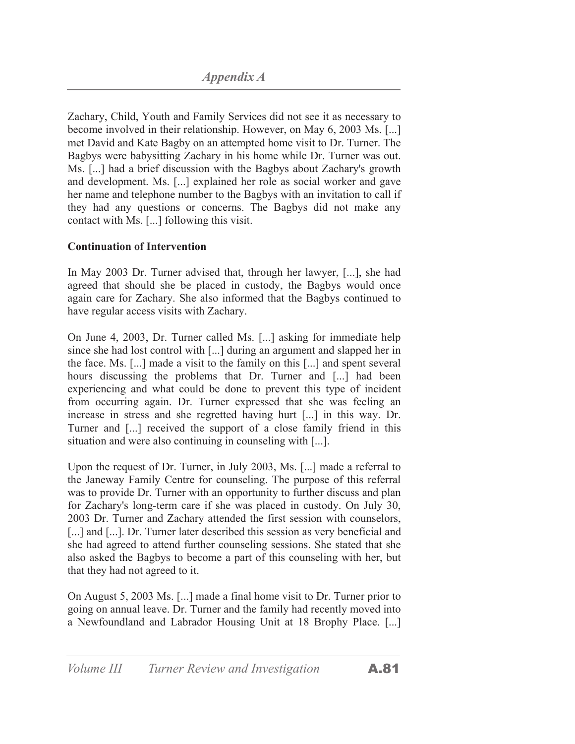Zachary, Child, Youth and Family Services did not see it as necessary to become involved in their relationship. However, on May 6, 2003 Ms. [...] met David and Kate Bagby on an attempted home visit to Dr. Turner. The Bagbys were babysitting Zachary in his home while Dr. Turner was out. Ms. [...] had a brief discussion with the Bagbys about Zachary's growth and development. Ms. [...] explained her role as social worker and gave her name and telephone number to the Bagbys with an invitation to call if they had any questions or concerns. The Bagbys did not make any contact with Ms. [...] following this visit.

#### **Continuation of Intervention**

In May 2003 Dr. Turner advised that, through her lawyer, [...], she had agreed that should she be placed in custody, the Bagbys would once again care for Zachary. She also informed that the Bagbys continued to have regular access visits with Zachary.

On June 4, 2003, Dr. Turner called Ms. [...] asking for immediate help since she had lost control with [...] during an argument and slapped her in the face. Ms. [...] made a visit to the family on this [...] and spent several hours discussing the problems that Dr. Turner and [...] had been experiencing and what could be done to prevent this type of incident from occurring again. Dr. Turner expressed that she was feeling an increase in stress and she regretted having hurt [...] in this way. Dr. Turner and [...] received the support of a close family friend in this situation and were also continuing in counseling with [...].

Upon the request of Dr. Turner, in July 2003, Ms. [...] made a referral to the Janeway Family Centre for counseling. The purpose of this referral was to provide Dr. Turner with an opportunity to further discuss and plan for Zachary's long-term care if she was placed in custody. On July 30, 2003 Dr. Turner and Zachary attended the first session with counselors, [...] and [...]. Dr. Turner later described this session as very beneficial and she had agreed to attend further counseling sessions. She stated that she also asked the Bagbys to become a part of this counseling with her, but that they had not agreed to it.

On August 5, 2003 Ms. [...] made a final home visit to Dr. Turner prior to going on annual leave. Dr. Turner and the family had recently moved into a Newfoundland and Labrador Housing Unit at 18 Brophy Place. [...]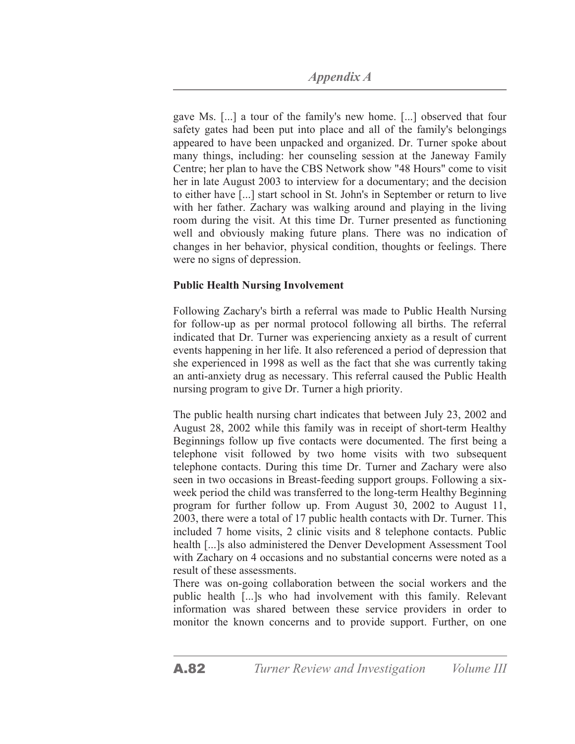*Appendix A*

gave Ms. [...] a tour of the family's new home. [...] observed that four safety gates had been put into place and all of the family's belongings appeared to have been unpacked and organized. Dr. Turner spoke about many things, including: her counseling session at the Janeway Family Centre; her plan to have the CBS Network show "48 Hours" come to visit her in late August 2003 to interview for a documentary; and the decision to either have [...] start school in St. John's in September or return to live with her father. Zachary was walking around and playing in the living room during the visit. At this time Dr. Turner presented as functioning well and obviously making future plans. There was no indication of changes in her behavior, physical condition, thoughts or feelings. There were no signs of depression.

#### **Public Health Nursing Involvement**

Following Zachary's birth a referral was made to Public Health Nursing for follow-up as per normal protocol following all births. The referral indicated that Dr. Turner was experiencing anxiety as a result of current events happening in her life. It also referenced a period of depression that she experienced in 1998 as well as the fact that she was currently taking an anti-anxiety drug as necessary. This referral caused the Public Health nursing program to give Dr. Turner a high priority.

The public health nursing chart indicates that between July 23, 2002 and August 28, 2002 while this family was in receipt of short-term Healthy Beginnings follow up five contacts were documented. The first being a telephone visit followed by two home visits with two subsequent telephone contacts. During this time Dr. Turner and Zachary were also seen in two occasions in Breast-feeding support groups. Following a sixweek period the child was transferred to the long-term Healthy Beginning program for further follow up. From August 30, 2002 to August 11, 2003, there were a total of 17 public health contacts with Dr. Turner. This included 7 home visits, 2 clinic visits and 8 telephone contacts. Public health [...]s also administered the Denver Development Assessment Tool with Zachary on 4 occasions and no substantial concerns were noted as a result of these assessments.

There was on-going collaboration between the social workers and the public health [...]s who had involvement with this family. Relevant information was shared between these service providers in order to monitor the known concerns and to provide support. Further, on one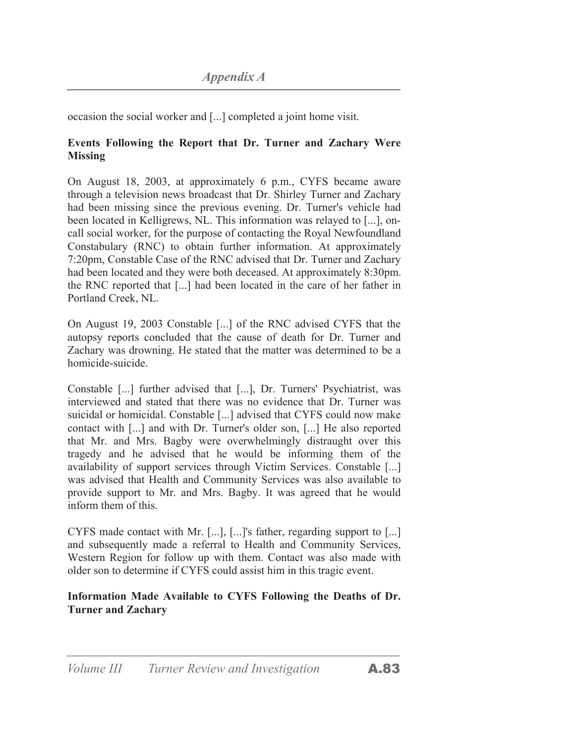occasion the social worker and [...] completed a joint home visit.

# **Events Following the Report that Dr. Turner and Zachary Were Missing**

On August 18, 2003, at approximately 6 p.m., CYFS became aware through a television news broadcast that Dr. Shirley Turner and Zachary had been missing since the previous evening. Dr. Turner's vehicle had been located in Kelligrews, NL. This information was relayed to [...], oncall social worker, for the purpose of contacting the Royal Newfoundland Constabulary (RNC) to obtain further information. At approximately 7:20pm, Constable Case of the RNC advised that Dr. Turner and Zachary had been located and they were both deceased. At approximately 8:30pm. the RNC reported that [...] had been located in the care of her father in Portland Creek, NL.

On August 19, 2003 Constable [...] of the RNC advised CYFS that the autopsy reports concluded that the cause of death for Dr. Turner and Zachary was drowning. He stated that the matter was determined to be a homicide-suicide.

Constable [...] further advised that [...], Dr. Turners' Psychiatrist, was interviewed and stated that there was no evidence that Dr. Turner was suicidal or homicidal. Constable [...] advised that CYFS could now make contact with [...] and with Dr. Turner's older son, [...] He also reported that Mr. and Mrs. Bagby were overwhelmingly distraught over this tragedy and he advised that he would be informing them of the availability of support services through Victim Services. Constable [...] was advised that Health and Community Services was also available to provide support to Mr. and Mrs. Bagby. It was agreed that he would inform them of this.

CYFS made contact with Mr. [...], [...]'s father, regarding support to [...] and subsequently made a referral to Health and Community Services, Western Region for follow up with them. Contact was also made with older son to determine if CYFS could assist him in this tragic event.

#### **Information Made Available to CYFS Following the Deaths of Dr. Turner and Zachary**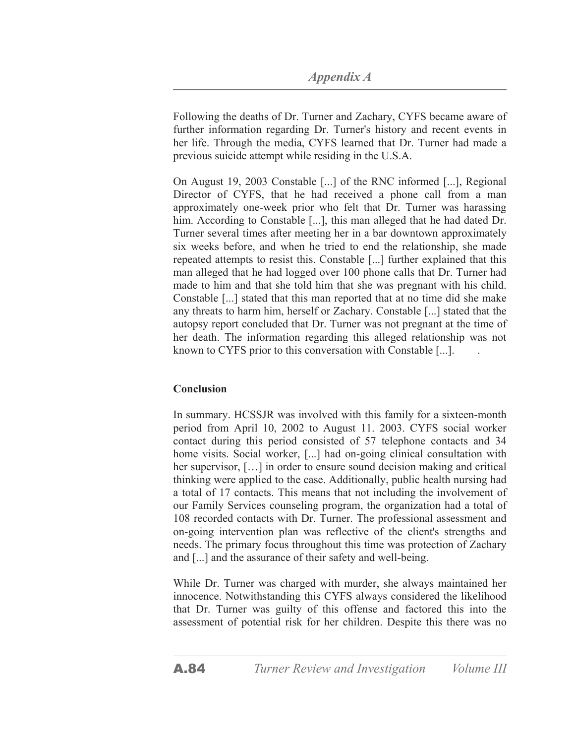Following the deaths of Dr. Turner and Zachary, CYFS became aware of further information regarding Dr. Turner's history and recent events in her life. Through the media, CYFS learned that Dr. Turner had made a previous suicide attempt while residing in the U.S.A.

On August 19, 2003 Constable [...] of the RNC informed [...], Regional Director of CYFS, that he had received a phone call from a man approximately one-week prior who felt that Dr. Turner was harassing him. According to Constable [...], this man alleged that he had dated Dr. Turner several times after meeting her in a bar downtown approximately six weeks before, and when he tried to end the relationship, she made repeated attempts to resist this. Constable [...] further explained that this man alleged that he had logged over 100 phone calls that Dr. Turner had made to him and that she told him that she was pregnant with his child. Constable [...] stated that this man reported that at no time did she make any threats to harm him, herself or Zachary. Constable [...] stated that the autopsy report concluded that Dr. Turner was not pregnant at the time of her death. The information regarding this alleged relationship was not known to CYFS prior to this conversation with Constable [...]. .

#### **Conclusion**

In summary. HCSSJR was involved with this family for a sixteen-month period from April 10, 2002 to August 11. 2003. CYFS social worker contact during this period consisted of 57 telephone contacts and 34 home visits. Social worker, [...] had on-going clinical consultation with her supervisor,  $[\dots]$  in order to ensure sound decision making and critical thinking were applied to the case. Additionally, public health nursing had a total of 17 contacts. This means that not including the involvement of our Family Services counseling program, the organization had a total of 108 recorded contacts with Dr. Turner. The professional assessment and on-going intervention plan was reflective of the client's strengths and needs. The primary focus throughout this time was protection of Zachary and [...] and the assurance of their safety and well-being.

While Dr. Turner was charged with murder, she always maintained her innocence. Notwithstanding this CYFS always considered the likelihood that Dr. Turner was guilty of this offense and factored this into the assessment of potential risk for her children. Despite this there was no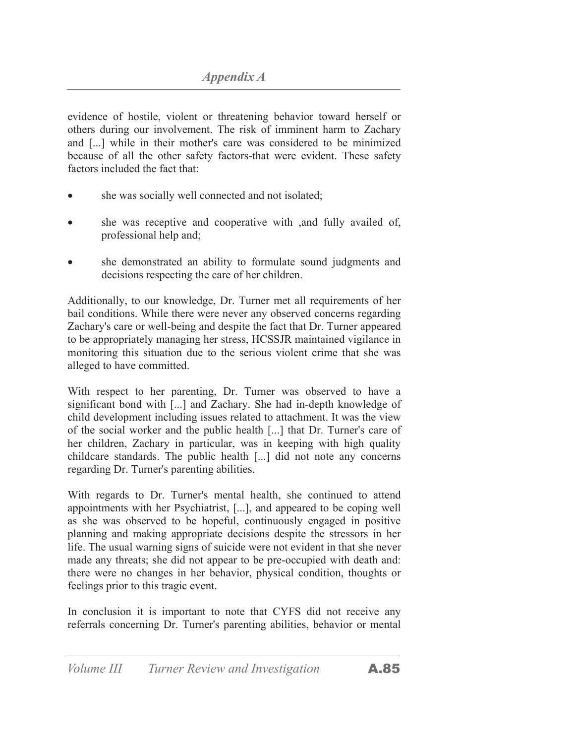evidence of hostile, violent or threatening behavior toward herself or others during our involvement. The risk of imminent harm to Zachary and [...] while in their mother's care was considered to be minimized because of all the other safety factors-that were evident. These safety factors included the fact that:

- she was socially well connected and not isolated;
- she was receptive and cooperative with , and fully availed of, professional help and;
- she demonstrated an ability to formulate sound judgments and decisions respecting the care of her children.

Additionally, to our knowledge, Dr. Turner met all requirements of her bail conditions. While there were never any observed concerns regarding Zachary's care or well-being and despite the fact that Dr. Turner appeared to be appropriately managing her stress, HCSSJR maintained vigilance in monitoring this situation due to the serious violent crime that she was alleged to have committed.

With respect to her parenting, Dr. Turner was observed to have a significant bond with [...] and Zachary. She had in-depth knowledge of child development including issues related to attachment. It was the view of the social worker and the public health [...] that Dr. Turner's care of her children, Zachary in particular, was in keeping with high quality childcare standards. The public health [...] did not note any concerns regarding Dr. Turner's parenting abilities.

With regards to Dr. Turner's mental health, she continued to attend appointments with her Psychiatrist, [...], and appeared to be coping well as she was observed to be hopeful, continuously engaged in positive planning and making appropriate decisions despite the stressors in her life. The usual warning signs of suicide were not evident in that she never made any threats; she did not appear to be pre-occupied with death and: there were no changes in her behavior, physical condition, thoughts or feelings prior to this tragic event.

In conclusion it is important to note that CYFS did not receive any referrals concerning Dr. Turner's parenting abilities, behavior or mental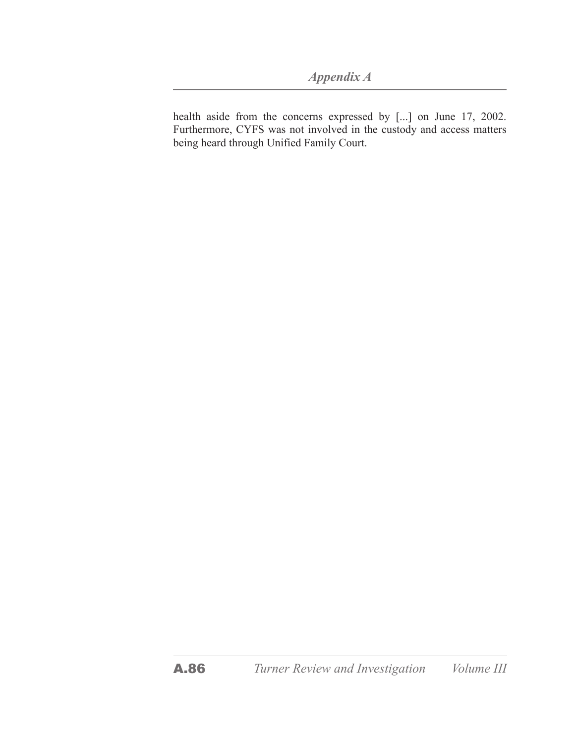health aside from the concerns expressed by [...] on June 17, 2002. Furthermore, CYFS was not involved in the custody and access matters being heard through Unified Family Court.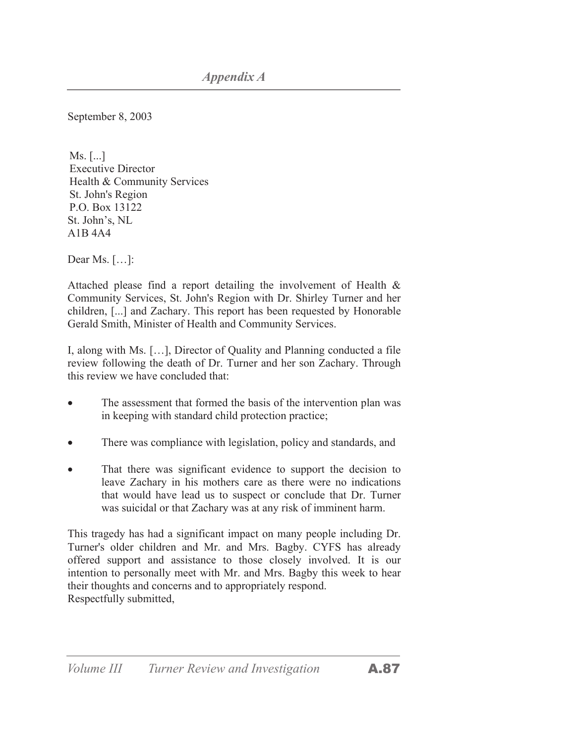September 8, 2003

Ms. [...] Executive Director Health & Community Services St. John's Region P.O. Box 13122 St. John's, NL A1B 4A4

Dear Ms.  $[\dots]$ :

Attached please find a report detailing the involvement of Health & Community Services, St. John's Region with Dr. Shirley Turner and her children, [...] and Zachary. This report has been requested by Honorable Gerald Smith, Minister of Health and Community Services.

I, along with Ms. [...], Director of Quality and Planning conducted a file review following the death of Dr. Turner and her son Zachary. Through this review we have concluded that:

- The assessment that formed the basis of the intervention plan was in keeping with standard child protection practice;
- There was compliance with legislation, policy and standards, and
- That there was significant evidence to support the decision to leave Zachary in his mothers care as there were no indications that would have lead us to suspect or conclude that Dr. Turner was suicidal or that Zachary was at any risk of imminent harm.

This tragedy has had a significant impact on many people including Dr. Turner's older children and Mr. and Mrs. Bagby. CYFS has already offered support and assistance to those closely involved. It is our intention to personally meet with Mr. and Mrs. Bagby this week to hear their thoughts and concerns and to appropriately respond. Respectfully submitted,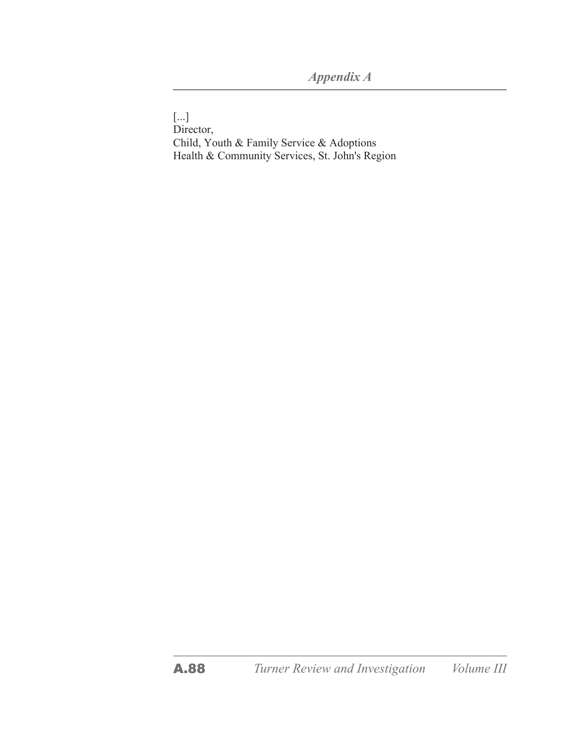[...] Director, Child, Youth & Family Service & Adoptions Health & Community Services, St. John's Region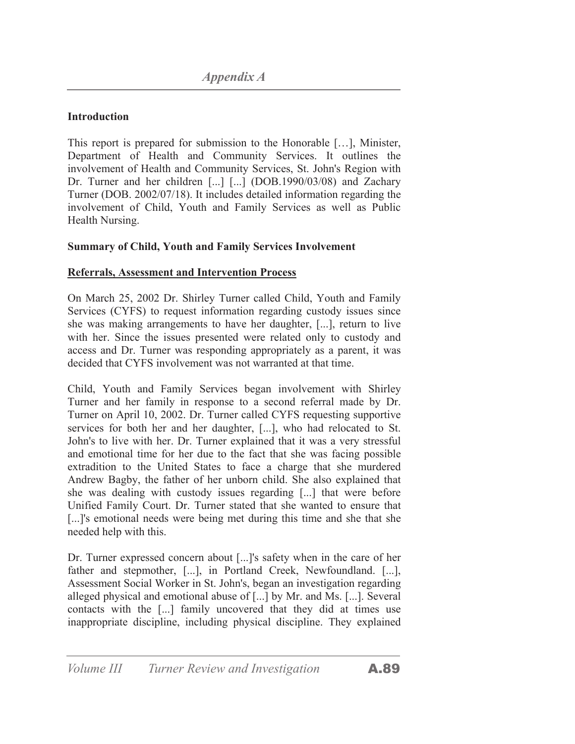#### **Introduction**

This report is prepared for submission to the Honorable [...], Minister, Department of Health and Community Services. It outlines the involvement of Health and Community Services, St. John's Region with Dr. Turner and her children [...] [...] (DOB.1990/03/08) and Zachary Turner (DOB. 2002/07/18). It includes detailed information regarding the involvement of Child, Youth and Family Services as well as Public Health Nursing.

#### **Summary of Child, Youth and Family Services Involvement**

#### **Referrals, Assessment and Intervention Process**

On March 25, 2002 Dr. Shirley Turner called Child, Youth and Family Services (CYFS) to request information regarding custody issues since she was making arrangements to have her daughter, [...], return to live with her. Since the issues presented were related only to custody and access and Dr. Turner was responding appropriately as a parent, it was decided that CYFS involvement was not warranted at that time.

Child, Youth and Family Services began involvement with Shirley Turner and her family in response to a second referral made by Dr. Turner on April 10, 2002. Dr. Turner called CYFS requesting supportive services for both her and her daughter, [...], who had relocated to St. John's to live with her. Dr. Turner explained that it was a very stressful and emotional time for her due to the fact that she was facing possible extradition to the United States to face a charge that she murdered Andrew Bagby, the father of her unborn child. She also explained that she was dealing with custody issues regarding [...] that were before Unified Family Court. Dr. Turner stated that she wanted to ensure that [...]'s emotional needs were being met during this time and she that she needed help with this.

Dr. Turner expressed concern about [...]'s safety when in the care of her father and stepmother, [...], in Portland Creek, Newfoundland. [...], Assessment Social Worker in St. John's, began an investigation regarding alleged physical and emotional abuse of [...] by Mr. and Ms. [...]. Several contacts with the [...] family uncovered that they did at times use inappropriate discipline, including physical discipline. They explained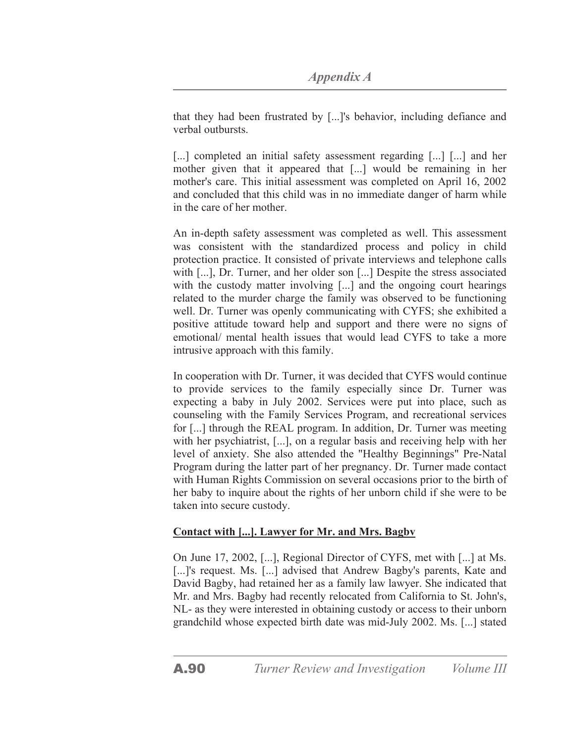that they had been frustrated by [...]'s behavior, including defiance and verbal outbursts.

[...] completed an initial safety assessment regarding [...] [...] and her mother given that it appeared that [...] would be remaining in her mother's care. This initial assessment was completed on April 16, 2002 and concluded that this child was in no immediate danger of harm while in the care of her mother.

An in-depth safety assessment was completed as well. This assessment was consistent with the standardized process and policy in child protection practice. It consisted of private interviews and telephone calls with [...], Dr. Turner, and her older son [...] Despite the stress associated with the custody matter involving [...] and the ongoing court hearings related to the murder charge the family was observed to be functioning well. Dr. Turner was openly communicating with CYFS; she exhibited a positive attitude toward help and support and there were no signs of emotional/ mental health issues that would lead CYFS to take a more intrusive approach with this family.

In cooperation with Dr. Turner, it was decided that CYFS would continue to provide services to the family especially since Dr. Turner was expecting a baby in July 2002. Services were put into place, such as counseling with the Family Services Program, and recreational services for [...] through the REAL program. In addition, Dr. Turner was meeting with her psychiatrist, [...], on a regular basis and receiving help with her level of anxiety. She also attended the "Healthy Beginnings" Pre-Natal Program during the latter part of her pregnancy. Dr. Turner made contact with Human Rights Commission on several occasions prior to the birth of her baby to inquire about the rights of her unborn child if she were to be taken into secure custody.

# **Contact with [...]. Lawyer for Mr. and Mrs. Bagbv**

On June 17, 2002, [...], Regional Director of CYFS, met with [...] at Ms. [...]'s request. Ms. [...] advised that Andrew Bagby's parents, Kate and David Bagby, had retained her as a family law lawyer. She indicated that Mr. and Mrs. Bagby had recently relocated from California to St. John's, NL- as they were interested in obtaining custody or access to their unborn grandchild whose expected birth date was mid-July 2002. Ms. [...] stated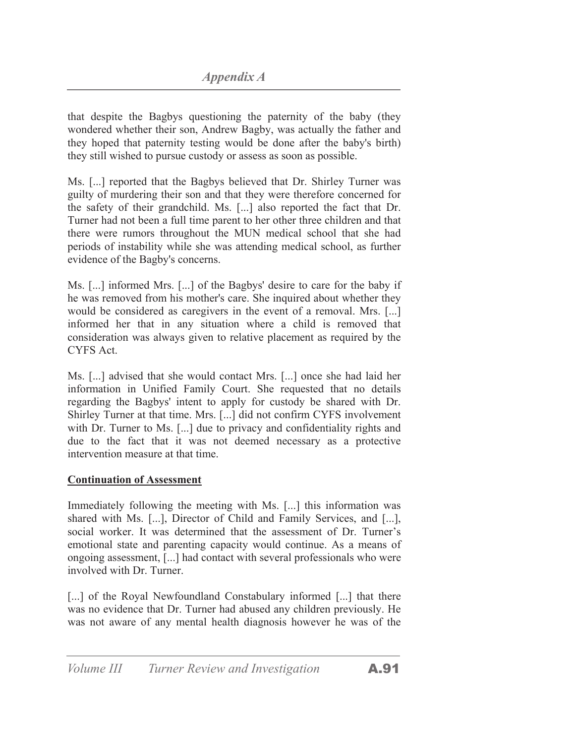that despite the Bagbys questioning the paternity of the baby (they wondered whether their son, Andrew Bagby, was actually the father and they hoped that paternity testing would be done after the baby's birth) they still wished to pursue custody or assess as soon as possible.

Ms. [...] reported that the Bagbys believed that Dr. Shirley Turner was guilty of murdering their son and that they were therefore concerned for the safety of their grandchild. Ms. [...] also reported the fact that Dr. Turner had not been a full time parent to her other three children and that there were rumors throughout the MUN medical school that she had periods of instability while she was attending medical school, as further evidence of the Bagby's concerns.

Ms. [...] informed Mrs. [...] of the Bagbys' desire to care for the baby if he was removed from his mother's care. She inquired about whether they would be considered as caregivers in the event of a removal. Mrs. [...] informed her that in any situation where a child is removed that consideration was always given to relative placement as required by the CYFS Act.

Ms. [...] advised that she would contact Mrs. [...] once she had laid her information in Unified Family Court. She requested that no details regarding the Bagbys' intent to apply for custody be shared with Dr. Shirley Turner at that time. Mrs. [...] did not confirm CYFS involvement with Dr. Turner to Ms. [...] due to privacy and confidentiality rights and due to the fact that it was not deemed necessary as a protective intervention measure at that time.

# **Continuation of Assessment**

Immediately following the meeting with Ms. [...] this information was shared with Ms. [...], Director of Child and Family Services, and [...], social worker. It was determined that the assessment of Dr. Turner's emotional state and parenting capacity would continue. As a means of ongoing assessment, [...] had contact with several professionals who were involved with Dr. Turner.

[...] of the Royal Newfoundland Constabulary informed [...] that there was no evidence that Dr. Turner had abused any children previously. He was not aware of any mental health diagnosis however he was of the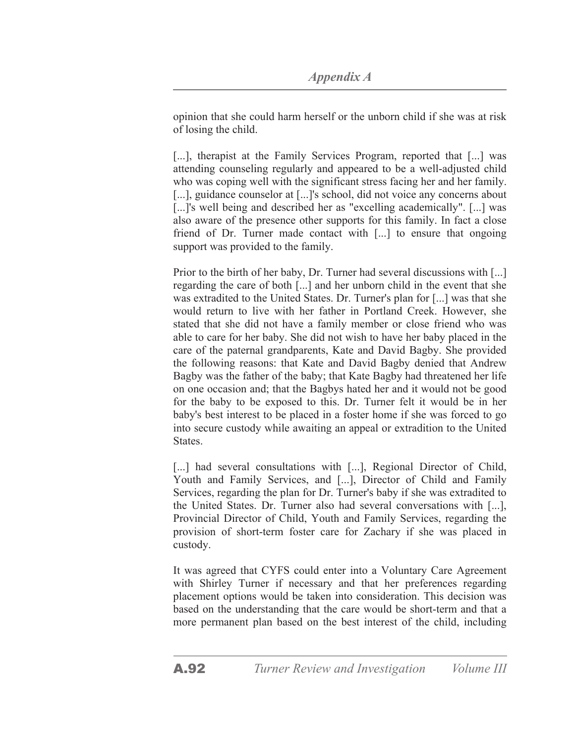opinion that she could harm herself or the unborn child if she was at risk of losing the child.

[...], therapist at the Family Services Program, reported that [...] was attending counseling regularly and appeared to be a well-adjusted child who was coping well with the significant stress facing her and her family. [...], guidance counselor at [...]'s school, did not voice any concerns about [...]'s well being and described her as "excelling academically". [...] was also aware of the presence other supports for this family. In fact a close friend of Dr. Turner made contact with [...] to ensure that ongoing support was provided to the family.

Prior to the birth of her baby, Dr. Turner had several discussions with [...] regarding the care of both [...] and her unborn child in the event that she was extradited to the United States. Dr. Turner's plan for [...] was that she would return to live with her father in Portland Creek. However, she stated that she did not have a family member or close friend who was able to care for her baby. She did not wish to have her baby placed in the care of the paternal grandparents, Kate and David Bagby. She provided the following reasons: that Kate and David Bagby denied that Andrew Bagby was the father of the baby; that Kate Bagby had threatened her life on one occasion and; that the Bagbys hated her and it would not be good for the baby to be exposed to this. Dr. Turner felt it would be in her baby's best interest to be placed in a foster home if she was forced to go into secure custody while awaiting an appeal or extradition to the United **States**.

[...] had several consultations with [...], Regional Director of Child, Youth and Family Services, and [...], Director of Child and Family Services, regarding the plan for Dr. Turner's baby if she was extradited to the United States. Dr. Turner also had several conversations with [...], Provincial Director of Child, Youth and Family Services, regarding the provision of short-term foster care for Zachary if she was placed in custody.

It was agreed that CYFS could enter into a Voluntary Care Agreement with Shirley Turner if necessary and that her preferences regarding placement options would be taken into consideration. This decision was based on the understanding that the care would be short-term and that a more permanent plan based on the best interest of the child, including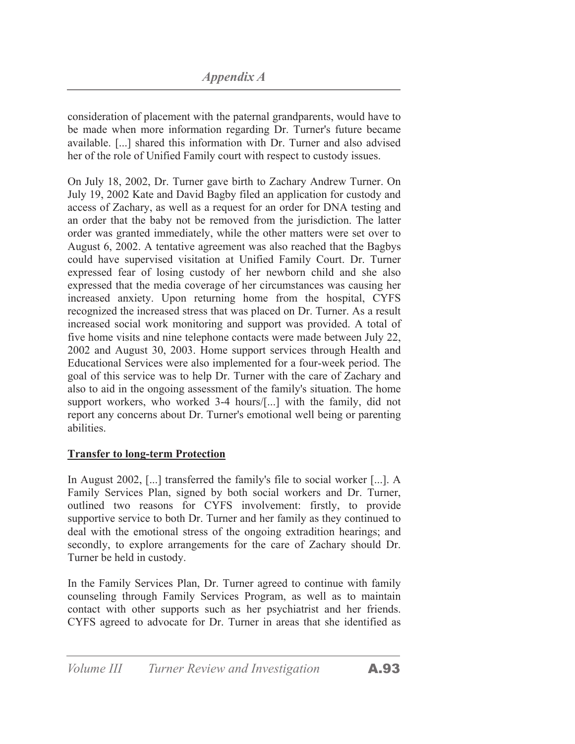consideration of placement with the paternal grandparents, would have to be made when more information regarding Dr. Turner's future became available. [...] shared this information with Dr. Turner and also advised her of the role of Unified Family court with respect to custody issues.

On July 18, 2002, Dr. Turner gave birth to Zachary Andrew Turner. On July 19, 2002 Kate and David Bagby filed an application for custody and access of Zachary, as well as a request for an order for DNA testing and an order that the baby not be removed from the jurisdiction. The latter order was granted immediately, while the other matters were set over to August 6, 2002. A tentative agreement was also reached that the Bagbys could have supervised visitation at Unified Family Court. Dr. Turner expressed fear of losing custody of her newborn child and she also expressed that the media coverage of her circumstances was causing her increased anxiety. Upon returning home from the hospital, CYFS recognized the increased stress that was placed on Dr. Turner. As a result increased social work monitoring and support was provided. A total of five home visits and nine telephone contacts were made between July 22, 2002 and August 30, 2003. Home support services through Health and Educational Services were also implemented for a four-week period. The goal of this service was to help Dr. Turner with the care of Zachary and also to aid in the ongoing assessment of the family's situation. The home support workers, who worked 3-4 hours/[...] with the family, did not report any concerns about Dr. Turner's emotional well being or parenting abilities.

# **Transfer to long-term Protection**

In August 2002, [...] transferred the family's file to social worker [...]. A Family Services Plan, signed by both social workers and Dr. Turner, outlined two reasons for CYFS involvement: firstly, to provide supportive service to both Dr. Turner and her family as they continued to deal with the emotional stress of the ongoing extradition hearings; and secondly, to explore arrangements for the care of Zachary should Dr. Turner be held in custody.

In the Family Services Plan, Dr. Turner agreed to continue with family counseling through Family Services Program, as well as to maintain contact with other supports such as her psychiatrist and her friends. CYFS agreed to advocate for Dr. Turner in areas that she identified as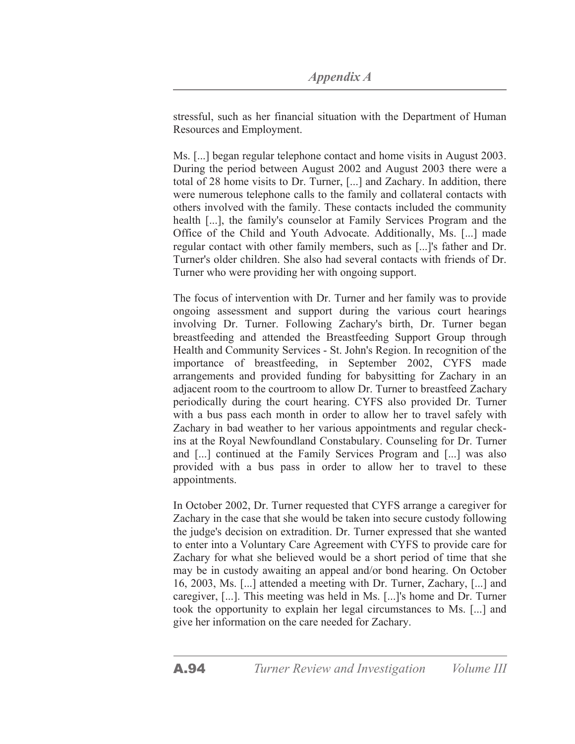stressful, such as her financial situation with the Department of Human Resources and Employment.

Ms. [...] began regular telephone contact and home visits in August 2003. During the period between August 2002 and August 2003 there were a total of 28 home visits to Dr. Turner, [...] and Zachary. In addition, there were numerous telephone calls to the family and collateral contacts with others involved with the family. These contacts included the community health [...], the family's counselor at Family Services Program and the Office of the Child and Youth Advocate. Additionally, Ms. [...] made regular contact with other family members, such as [...]'s father and Dr. Turner's older children. She also had several contacts with friends of Dr. Turner who were providing her with ongoing support.

The focus of intervention with Dr. Turner and her family was to provide ongoing assessment and support during the various court hearings involving Dr. Turner. Following Zachary's birth, Dr. Turner began breastfeeding and attended the Breastfeeding Support Group through Health and Community Services - St. John's Region. In recognition of the importance of breastfeeding, in September 2002, CYFS made arrangements and provided funding for babysitting for Zachary in an adjacent room to the courtroom to allow Dr. Turner to breastfeed Zachary periodically during the court hearing. CYFS also provided Dr. Turner with a bus pass each month in order to allow her to travel safely with Zachary in bad weather to her various appointments and regular checkins at the Royal Newfoundland Constabulary. Counseling for Dr. Turner and [...] continued at the Family Services Program and [...] was also provided with a bus pass in order to allow her to travel to these appointments.

In October 2002, Dr. Turner requested that CYFS arrange a caregiver for Zachary in the case that she would be taken into secure custody following the judge's decision on extradition. Dr. Turner expressed that she wanted to enter into a Voluntary Care Agreement with CYFS to provide care for Zachary for what she believed would be a short period of time that she may be in custody awaiting an appeal and/or bond hearing. On October 16, 2003, Ms. [...] attended a meeting with Dr. Turner, Zachary, [...] and caregiver, [...]. This meeting was held in Ms. [...]'s home and Dr. Turner took the opportunity to explain her legal circumstances to Ms. [...] and give her information on the care needed for Zachary.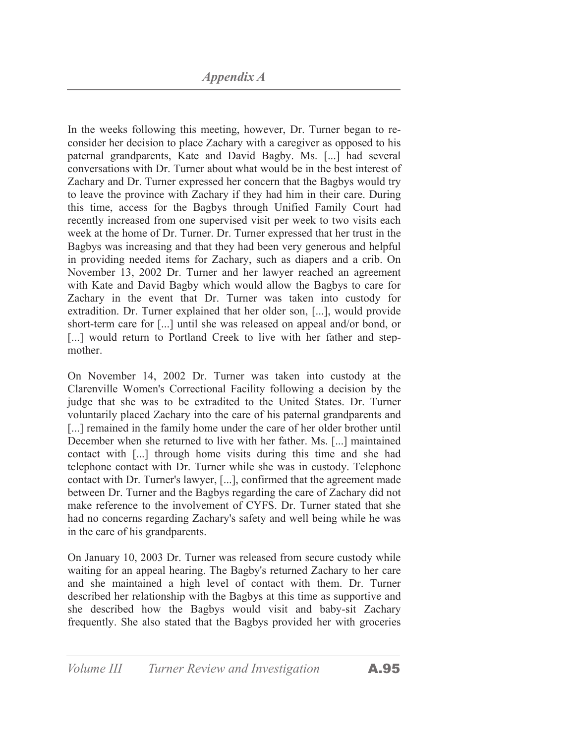In the weeks following this meeting, however, Dr. Turner began to reconsider her decision to place Zachary with a caregiver as opposed to his paternal grandparents, Kate and David Bagby. Ms. [...] had several conversations with Dr. Turner about what would be in the best interest of Zachary and Dr. Turner expressed her concern that the Bagbys would try to leave the province with Zachary if they had him in their care. During this time, access for the Bagbys through Unified Family Court had recently increased from one supervised visit per week to two visits each week at the home of Dr. Turner. Dr. Turner expressed that her trust in the Bagbys was increasing and that they had been very generous and helpful in providing needed items for Zachary, such as diapers and a crib. On November 13, 2002 Dr. Turner and her lawyer reached an agreement with Kate and David Bagby which would allow the Bagbys to care for Zachary in the event that Dr. Turner was taken into custody for extradition. Dr. Turner explained that her older son, [...], would provide short-term care for [...] until she was released on appeal and/or bond, or [...] would return to Portland Creek to live with her father and stepmother.

On November 14, 2002 Dr. Turner was taken into custody at the Clarenville Women's Correctional Facility following a decision by the judge that she was to be extradited to the United States. Dr. Turner voluntarily placed Zachary into the care of his paternal grandparents and [...] remained in the family home under the care of her older brother until December when she returned to live with her father. Ms. [...] maintained contact with [...] through home visits during this time and she had telephone contact with Dr. Turner while she was in custody. Telephone contact with Dr. Turner's lawyer, [...], confirmed that the agreement made between Dr. Turner and the Bagbys regarding the care of Zachary did not make reference to the involvement of CYFS. Dr. Turner stated that she had no concerns regarding Zachary's safety and well being while he was in the care of his grandparents.

On January 10, 2003 Dr. Turner was released from secure custody while waiting for an appeal hearing. The Bagby's returned Zachary to her care and she maintained a high level of contact with them. Dr. Turner described her relationship with the Bagbys at this time as supportive and she described how the Bagbys would visit and baby-sit Zachary frequently. She also stated that the Bagbys provided her with groceries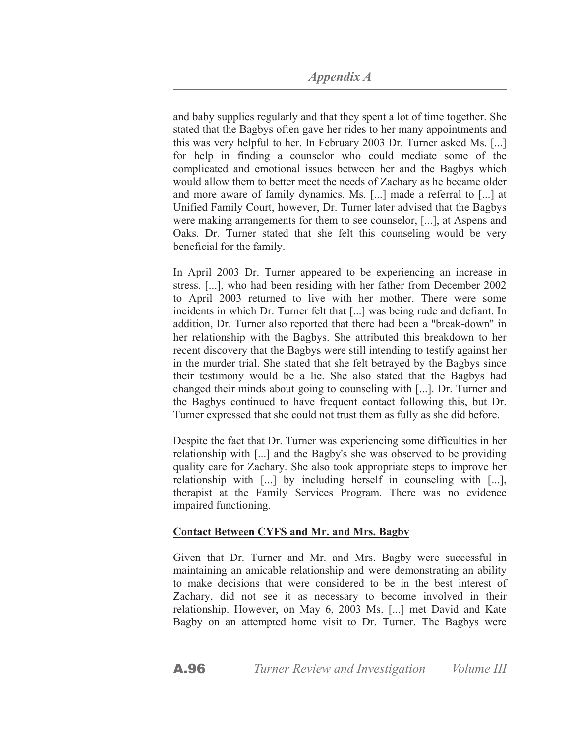and baby supplies regularly and that they spent a lot of time together. She stated that the Bagbys often gave her rides to her many appointments and this was very helpful to her. In February 2003 Dr. Turner asked Ms. [...] for help in finding a counselor who could mediate some of the complicated and emotional issues between her and the Bagbys which would allow them to better meet the needs of Zachary as he became older and more aware of family dynamics. Ms. [...] made a referral to [...] at Unified Family Court, however, Dr. Turner later advised that the Bagbys were making arrangements for them to see counselor, [...], at Aspens and Oaks. Dr. Turner stated that she felt this counseling would be very beneficial for the family.

In April 2003 Dr. Turner appeared to be experiencing an increase in stress. [...], who had been residing with her father from December 2002 to April 2003 returned to live with her mother. There were some incidents in which Dr. Turner felt that [...] was being rude and defiant. In addition, Dr. Turner also reported that there had been a "break-down" in her relationship with the Bagbys. She attributed this breakdown to her recent discovery that the Bagbys were still intending to testify against her in the murder trial. She stated that she felt betrayed by the Bagbys since their testimony would be a lie. She also stated that the Bagbys had changed their minds about going to counseling with [...]. Dr. Turner and the Bagbys continued to have frequent contact following this, but Dr. Turner expressed that she could not trust them as fully as she did before.

Despite the fact that Dr. Turner was experiencing some difficulties in her relationship with [...] and the Bagby's she was observed to be providing quality care for Zachary. She also took appropriate steps to improve her relationship with [...] by including herself in counseling with [...], therapist at the Family Services Program. There was no evidence impaired functioning.

# **Contact Between CYFS and Mr. and Mrs. Bagbv**

Given that Dr. Turner and Mr. and Mrs. Bagby were successful in maintaining an amicable relationship and were demonstrating an ability to make decisions that were considered to be in the best interest of Zachary, did not see it as necessary to become involved in their relationship. However, on May 6, 2003 Ms. [...] met David and Kate Bagby on an attempted home visit to Dr. Turner. The Bagbys were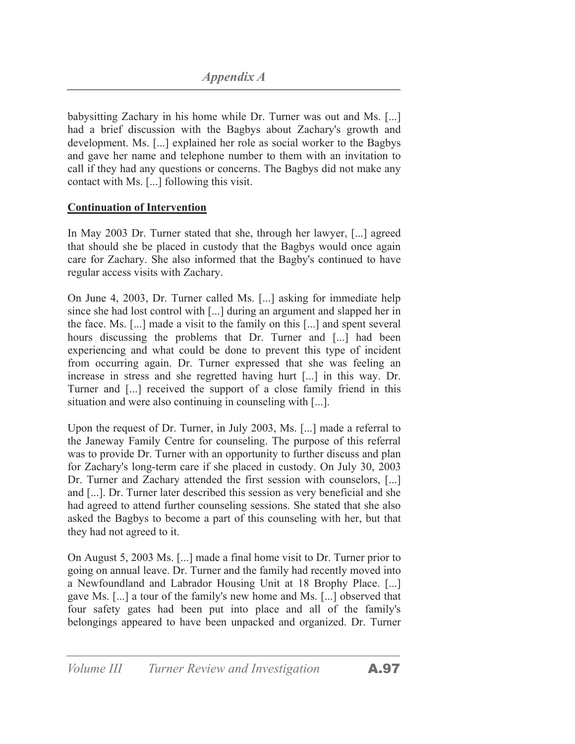babysitting Zachary in his home while Dr. Turner was out and Ms. [...] had a brief discussion with the Bagbys about Zachary's growth and development. Ms. [...] explained her role as social worker to the Bagbys and gave her name and telephone number to them with an invitation to call if they had any questions or concerns. The Bagbys did not make any contact with Ms. [...] following this visit.

#### **Continuation of Intervention**

In May 2003 Dr. Turner stated that she, through her lawyer, [...] agreed that should she be placed in custody that the Bagbys would once again care for Zachary. She also informed that the Bagby's continued to have regular access visits with Zachary.

On June 4, 2003, Dr. Turner called Ms. [...] asking for immediate help since she had lost control with [...] during an argument and slapped her in the face. Ms. [...] made a visit to the family on this [...] and spent several hours discussing the problems that Dr. Turner and [...] had been experiencing and what could be done to prevent this type of incident from occurring again. Dr. Turner expressed that she was feeling an increase in stress and she regretted having hurt [...] in this way. Dr. Turner and [...] received the support of a close family friend in this situation and were also continuing in counseling with [...].

Upon the request of Dr. Turner, in July 2003, Ms. [...] made a referral to the Janeway Family Centre for counseling. The purpose of this referral was to provide Dr. Turner with an opportunity to further discuss and plan for Zachary's long-term care if she placed in custody. On July 30, 2003 Dr. Turner and Zachary attended the first session with counselors, [...] and [...]. Dr. Turner later described this session as very beneficial and she had agreed to attend further counseling sessions. She stated that she also asked the Bagbys to become a part of this counseling with her, but that they had not agreed to it.

On August 5, 2003 Ms. [...] made a final home visit to Dr. Turner prior to going on annual leave. Dr. Turner and the family had recently moved into a Newfoundland and Labrador Housing Unit at 18 Brophy Place. [...] gave Ms. [...] a tour of the family's new home and Ms. [...] observed that four safety gates had been put into place and all of the family's belongings appeared to have been unpacked and organized. Dr. Turner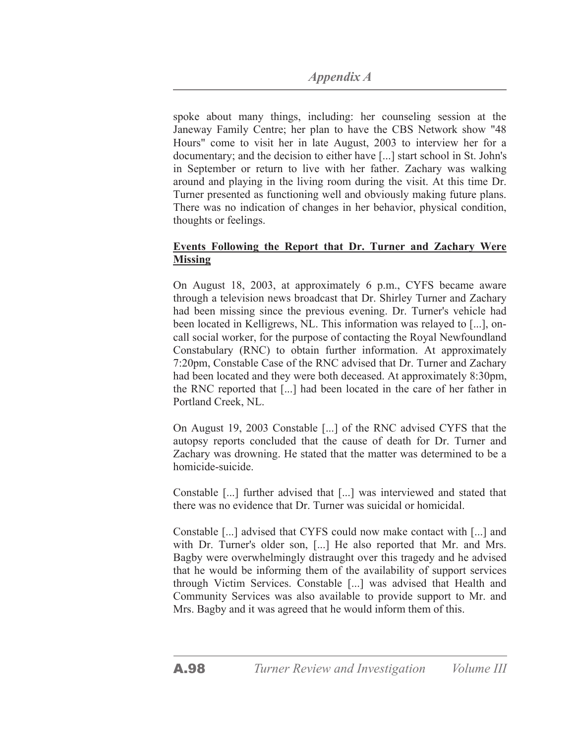spoke about many things, including: her counseling session at the Janeway Family Centre; her plan to have the CBS Network show "48 Hours" come to visit her in late August, 2003 to interview her for a documentary; and the decision to either have [...] start school in St. John's in September or return to live with her father. Zachary was walking around and playing in the living room during the visit. At this time Dr. Turner presented as functioning well and obviously making future plans. There was no indication of changes in her behavior, physical condition, thoughts or feelings.

# **Events Following the Report that Dr. Turner and Zachary Were Missing**

On August 18, 2003, at approximately 6 p.m., CYFS became aware through a television news broadcast that Dr. Shirley Turner and Zachary had been missing since the previous evening. Dr. Turner's vehicle had been located in Kelligrews, NL. This information was relayed to [...], oncall social worker, for the purpose of contacting the Royal Newfoundland Constabulary (RNC) to obtain further information. At approximately 7:20pm, Constable Case of the RNC advised that Dr. Turner and Zachary had been located and they were both deceased. At approximately 8:30pm, the RNC reported that [...] had been located in the care of her father in Portland Creek, NL.

On August 19, 2003 Constable [...] of the RNC advised CYFS that the autopsy reports concluded that the cause of death for Dr. Turner and Zachary was drowning. He stated that the matter was determined to be a homicide-suicide.

Constable [...] further advised that [...] was interviewed and stated that there was no evidence that Dr. Turner was suicidal or homicidal.

Constable [...] advised that CYFS could now make contact with [...] and with Dr. Turner's older son, [...] He also reported that Mr. and Mrs. Bagby were overwhelmingly distraught over this tragedy and he advised that he would be informing them of the availability of support services through Victim Services. Constable [...] was advised that Health and Community Services was also available to provide support to Mr. and Mrs. Bagby and it was agreed that he would inform them of this.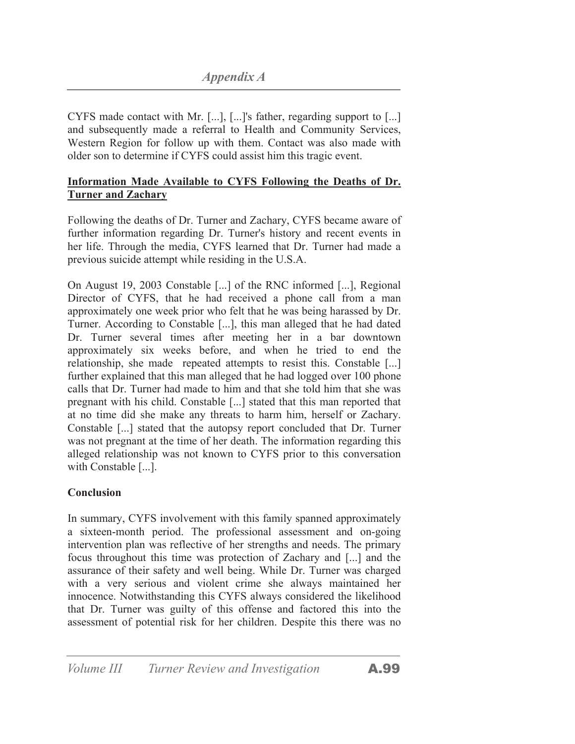CYFS made contact with Mr. [...], [...]'s father, regarding support to [...] and subsequently made a referral to Health and Community Services, Western Region for follow up with them. Contact was also made with older son to determine if CYFS could assist him this tragic event.

#### **Information Made Available to CYFS Following the Deaths of Dr. Turner and Zachary**

Following the deaths of Dr. Turner and Zachary, CYFS became aware of further information regarding Dr. Turner's history and recent events in her life. Through the media, CYFS learned that Dr. Turner had made a previous suicide attempt while residing in the U.S.A.

On August 19, 2003 Constable [...] of the RNC informed [...], Regional Director of CYFS, that he had received a phone call from a man approximately one week prior who felt that he was being harassed by Dr. Turner. According to Constable [...], this man alleged that he had dated Dr. Turner several times after meeting her in a bar downtown approximately six weeks before, and when he tried to end the relationship, she made repeated attempts to resist this. Constable [...] further explained that this man alleged that he had logged over 100 phone calls that Dr. Turner had made to him and that she told him that she was pregnant with his child. Constable [...] stated that this man reported that at no time did she make any threats to harm him, herself or Zachary. Constable [...] stated that the autopsy report concluded that Dr. Turner was not pregnant at the time of her death. The information regarding this alleged relationship was not known to CYFS prior to this conversation with Constable [...].

# **Conclusion**

In summary, CYFS involvement with this family spanned approximately a sixteen-month period. The professional assessment and on-going intervention plan was reflective of her strengths and needs. The primary focus throughout this time was protection of Zachary and [...] and the assurance of their safety and well being. While Dr. Turner was charged with a very serious and violent crime she always maintained her innocence. Notwithstanding this CYFS always considered the likelihood that Dr. Turner was guilty of this offense and factored this into the assessment of potential risk for her children. Despite this there was no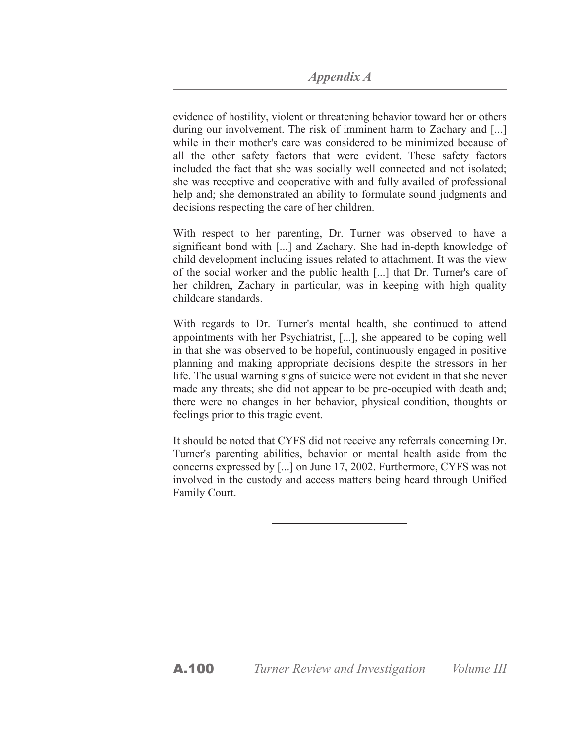evidence of hostility, violent or threatening behavior toward her or others during our involvement. The risk of imminent harm to Zachary and [...] while in their mother's care was considered to be minimized because of all the other safety factors that were evident. These safety factors included the fact that she was socially well connected and not isolated; she was receptive and cooperative with and fully availed of professional help and; she demonstrated an ability to formulate sound judgments and decisions respecting the care of her children.

With respect to her parenting, Dr. Turner was observed to have a significant bond with [...] and Zachary. She had in-depth knowledge of child development including issues related to attachment. It was the view of the social worker and the public health [...] that Dr. Turner's care of her children, Zachary in particular, was in keeping with high quality childcare standards.

With regards to Dr. Turner's mental health, she continued to attend appointments with her Psychiatrist, [...], she appeared to be coping well in that she was observed to be hopeful, continuously engaged in positive planning and making appropriate decisions despite the stressors in her life. The usual warning signs of suicide were not evident in that she never made any threats; she did not appear to be pre-occupied with death and; there were no changes in her behavior, physical condition, thoughts or feelings prior to this tragic event.

It should be noted that CYFS did not receive any referrals concerning Dr. Turner's parenting abilities, behavior or mental health aside from the concerns expressed by [...] on June 17, 2002. Furthermore, CYFS was not involved in the custody and access matters being heard through Unified Family Court.

 $\overline{a}$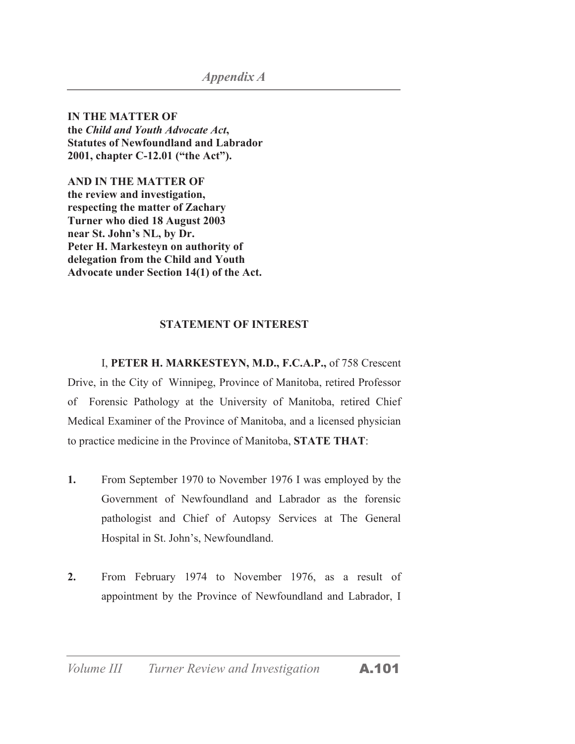**IN THE MATTER OF the** *Child and Youth Advocate Act***, Statutes of Newfoundland and Labrador 2001, chapter C-12.01 ("the Act").** 

**AND IN THE MATTER OF the review and investigation, respecting the matter of Zachary Turner who died 18 August 2003**  near St. John's NL, by Dr. **Peter H. Markesteyn on authority of delegation from the Child and Youth Advocate under Section 14(1) of the Act.** 

#### **STATEMENT OF INTEREST**

 I, **PETER H. MARKESTEYN, M.D., F.C.A.P.,** of 758 Crescent Drive, in the City of Winnipeg, Province of Manitoba, retired Professor of Forensic Pathology at the University of Manitoba, retired Chief Medical Examiner of the Province of Manitoba, and a licensed physician to practice medicine in the Province of Manitoba, **STATE THAT**:

- **1.** From September 1970 to November 1976 I was employed by the Government of Newfoundland and Labrador as the forensic pathologist and Chief of Autopsy Services at The General Hospital in St. John's, Newfoundland.
- **2.** From February 1974 to November 1976, as a result of appointment by the Province of Newfoundland and Labrador, I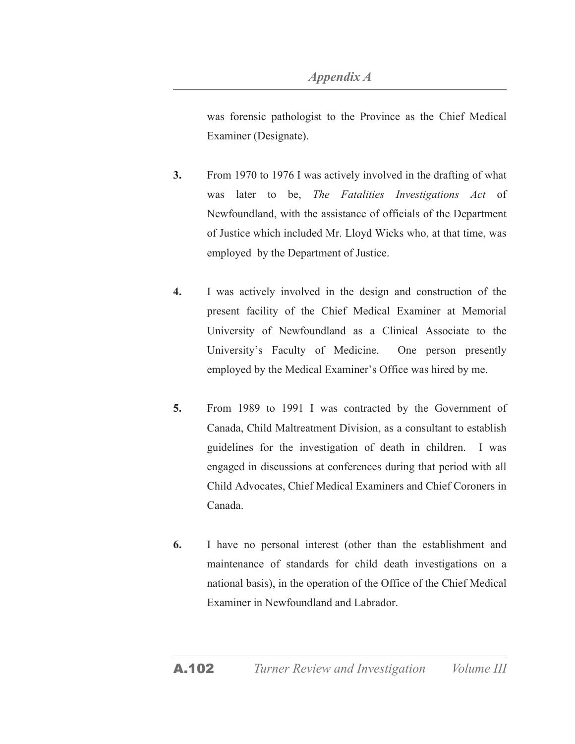was forensic pathologist to the Province as the Chief Medical Examiner (Designate).

- **3.** From 1970 to 1976 I was actively involved in the drafting of what was later to be, *The Fatalities Investigations Act* of Newfoundland, with the assistance of officials of the Department of Justice which included Mr. Lloyd Wicks who, at that time, was employed by the Department of Justice.
- **4.** I was actively involved in the design and construction of the present facility of the Chief Medical Examiner at Memorial University of Newfoundland as a Clinical Associate to the University's Faculty of Medicine. One person presently employed by the Medical Examiner's Office was hired by me.
- **5.** From 1989 to 1991 I was contracted by the Government of Canada, Child Maltreatment Division, as a consultant to establish guidelines for the investigation of death in children. I was engaged in discussions at conferences during that period with all Child Advocates, Chief Medical Examiners and Chief Coroners in Canada.
- **6.** I have no personal interest (other than the establishment and maintenance of standards for child death investigations on a national basis), in the operation of the Office of the Chief Medical Examiner in Newfoundland and Labrador.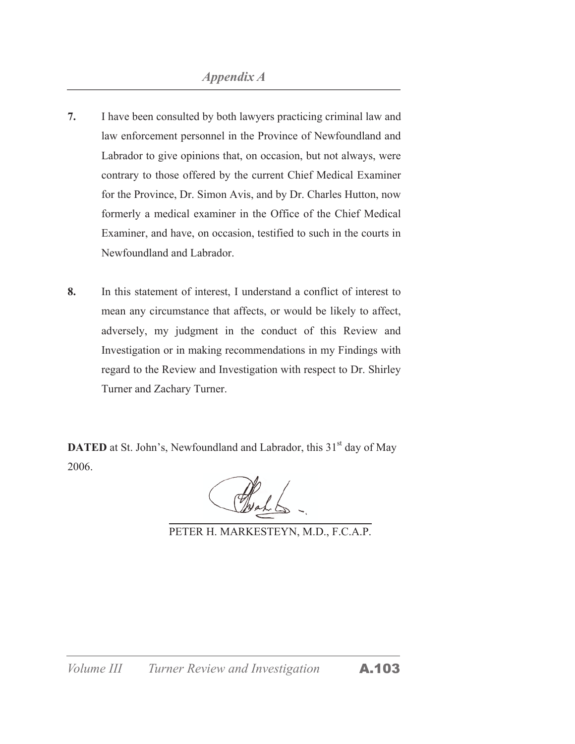# *Appendix A*

- **7.** I have been consulted by both lawyers practicing criminal law and law enforcement personnel in the Province of Newfoundland and Labrador to give opinions that, on occasion, but not always, were contrary to those offered by the current Chief Medical Examiner for the Province, Dr. Simon Avis, and by Dr. Charles Hutton, now formerly a medical examiner in the Office of the Chief Medical Examiner, and have, on occasion, testified to such in the courts in Newfoundland and Labrador.
- **8.** In this statement of interest, I understand a conflict of interest to mean any circumstance that affects, or would be likely to affect, adversely, my judgment in the conduct of this Review and Investigation or in making recommendations in my Findings with regard to the Review and Investigation with respect to Dr. Shirley Turner and Zachary Turner.

**DATED** at St. John's, Newfoundland and Labrador, this 31<sup>st</sup> day of May 2006.

Bahlo

 $\overline{a}$ PETER H. MARKESTEYN, M.D., F.C.A.P.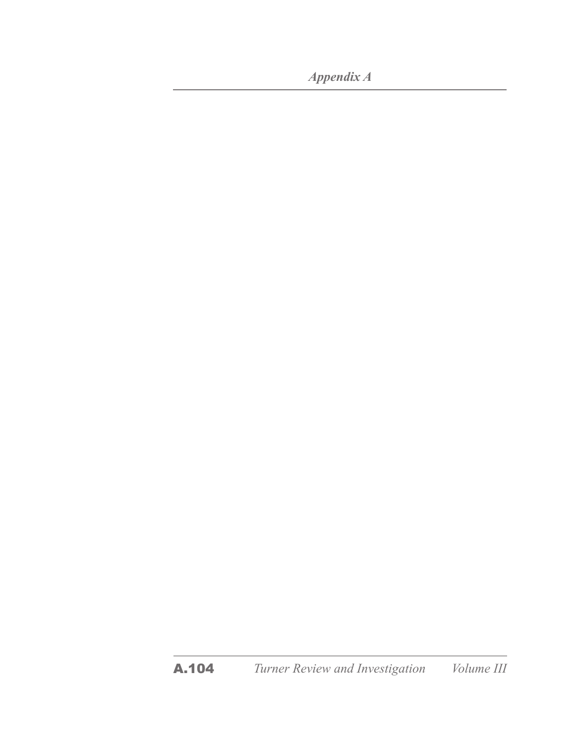*Appendix A*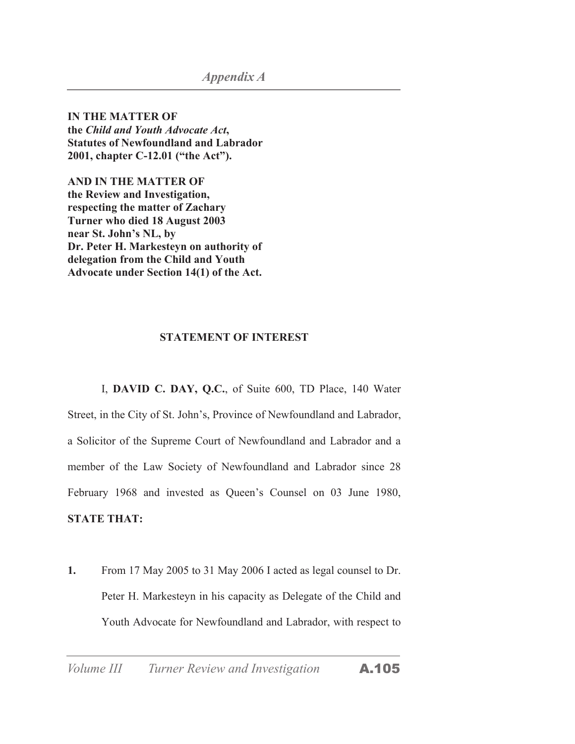**IN THE MATTER OF the** *Child and Youth Advocate Act***, Statutes of Newfoundland and Labrador**  2001, chapter C-12.01 ("the Act").

**AND IN THE MATTER OF the Review and Investigation, respecting the matter of Zachary Turner who died 18 August 2003**  near St. John's NL, by **Dr. Peter H. Markesteyn on authority of delegation from the Child and Youth Advocate under Section 14(1) of the Act.** 

#### **STATEMENT OF INTEREST**

I, **DAVID C. DAY, Q.C.**, of Suite 600, TD Place, 140 Water Street, in the City of St. John's, Province of Newfoundland and Labrador, a Solicitor of the Supreme Court of Newfoundland and Labrador and a member of the Law Society of Newfoundland and Labrador since 28 February 1968 and invested as Queen's Counsel on 03 June 1980, **STATE THAT:**

**1.** From 17 May 2005 to 31 May 2006 I acted as legal counsel to Dr. Peter H. Markesteyn in his capacity as Delegate of the Child and Youth Advocate for Newfoundland and Labrador, with respect to

A.105 *Volume III Turner Review and Investigation*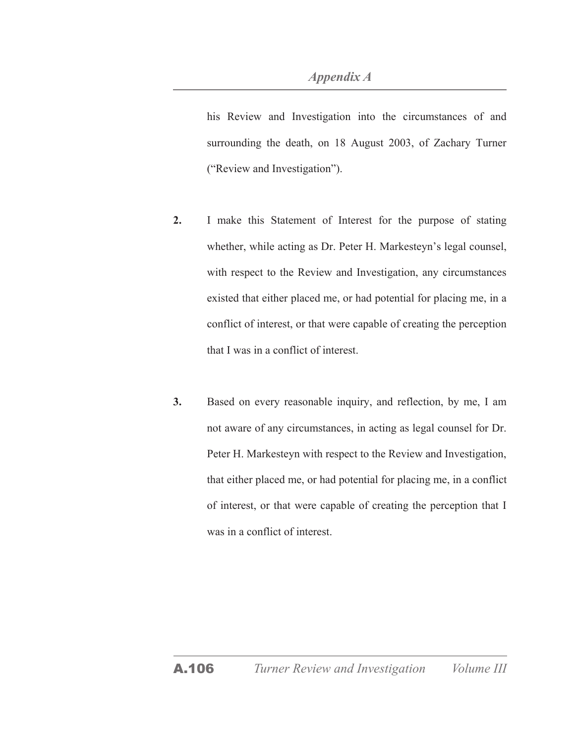his Review and Investigation into the circumstances of and surrounding the death, on 18 August 2003, of Zachary Turner ("Review and Investigation").

- **2.** I make this Statement of Interest for the purpose of stating whether, while acting as Dr. Peter H. Markesteyn's legal counsel, with respect to the Review and Investigation, any circumstances existed that either placed me, or had potential for placing me, in a conflict of interest, or that were capable of creating the perception that I was in a conflict of interest.
- **3.** Based on every reasonable inquiry, and reflection, by me, I am not aware of any circumstances, in acting as legal counsel for Dr. Peter H. Markesteyn with respect to the Review and Investigation, that either placed me, or had potential for placing me, in a conflict of interest, or that were capable of creating the perception that I was in a conflict of interest.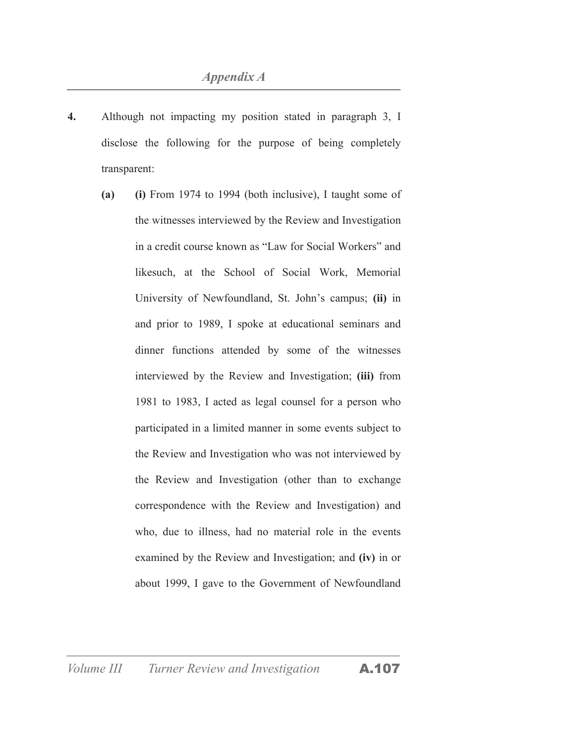- **4.** Although not impacting my position stated in paragraph 3, I disclose the following for the purpose of being completely transparent:
	- **(a) (i)** From 1974 to 1994 (both inclusive), I taught some of the witnesses interviewed by the Review and Investigation in a credit course known as "Law for Social Workers" and likesuch, at the School of Social Work, Memorial University of Newfoundland, St. John's campus; (ii) in and prior to 1989, I spoke at educational seminars and dinner functions attended by some of the witnesses interviewed by the Review and Investigation; **(iii)** from 1981 to 1983, I acted as legal counsel for a person who participated in a limited manner in some events subject to the Review and Investigation who was not interviewed by the Review and Investigation (other than to exchange correspondence with the Review and Investigation) and who, due to illness, had no material role in the events examined by the Review and Investigation; and **(iv)** in or about 1999, I gave to the Government of Newfoundland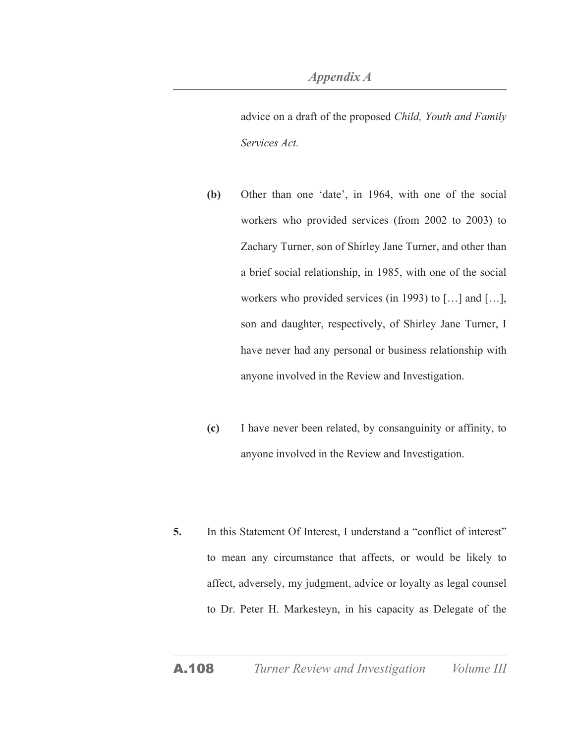advice on a draft of the proposed *Child, Youth and Family Services Act.* 

- **(b)** Other than one 'date', in 1964, with one of the social workers who provided services (from 2002 to 2003) to Zachary Turner, son of Shirley Jane Turner, and other than a brief social relationship, in 1985, with one of the social workers who provided services (in 1993) to  $[\dots]$  and  $[\dots]$ , son and daughter, respectively, of Shirley Jane Turner, I have never had any personal or business relationship with anyone involved in the Review and Investigation.
- **(c)** I have never been related, by consanguinity or affinity, to anyone involved in the Review and Investigation.
- **5.** In this Statement Of Interest, I understand a "conflict of interest" to mean any circumstance that affects, or would be likely to affect, adversely, my judgment, advice or loyalty as legal counsel to Dr. Peter H. Markesteyn, in his capacity as Delegate of the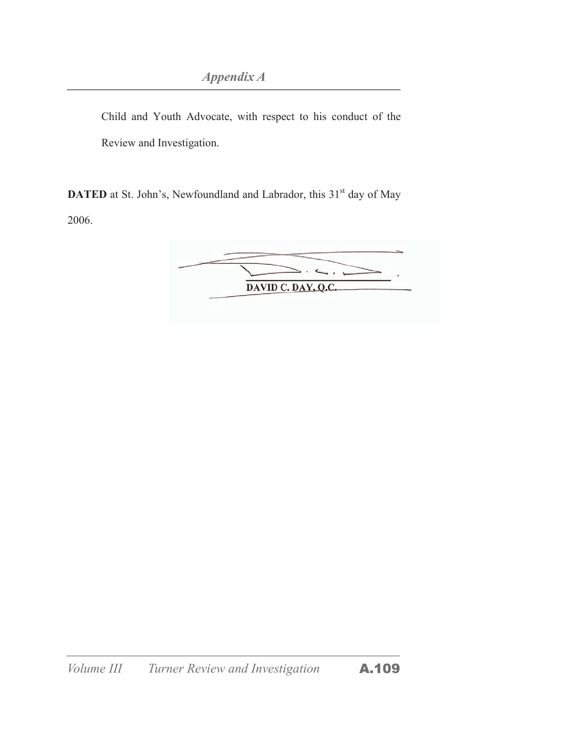Child and Youth Advocate, with respect to his conduct of the Review and Investigation.

**DATED** at St. John's, Newfoundland and Labrador, this 31<sup>st</sup> day of May 2006.

DAVID C. DAY, Q.C.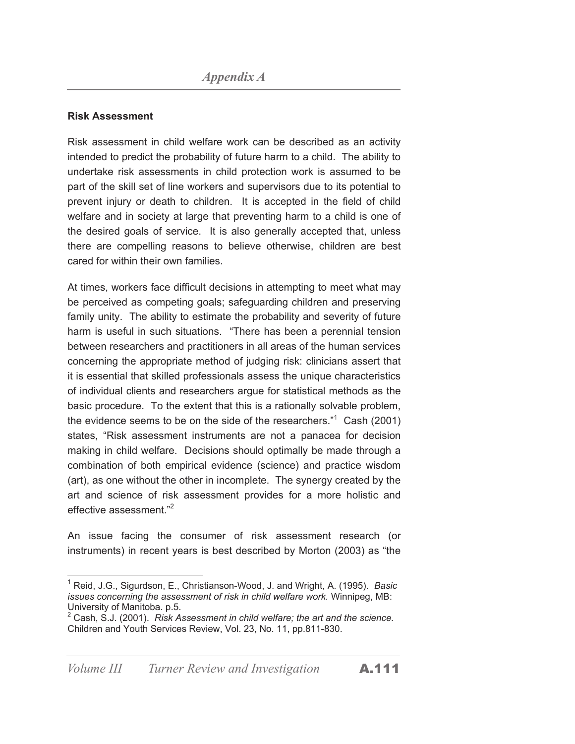#### **Risk Assessment**

Risk assessment in child welfare work can be described as an activity intended to predict the probability of future harm to a child. The ability to undertake risk assessments in child protection work is assumed to be part of the skill set of line workers and supervisors due to its potential to prevent injury or death to children. It is accepted in the field of child welfare and in society at large that preventing harm to a child is one of the desired goals of service. It is also generally accepted that, unless there are compelling reasons to believe otherwise, children are best cared for within their own families.

At times, workers face difficult decisions in attempting to meet what may be perceived as competing goals; safeguarding children and preserving family unity. The ability to estimate the probability and severity of future harm is useful in such situations. "There has been a perennial tension between researchers and practitioners in all areas of the human services concerning the appropriate method of judging risk: clinicians assert that it is essential that skilled professionals assess the unique characteristics of individual clients and researchers argue for statistical methods as the basic procedure. To the extent that this is a rationally solvable problem, the evidence seems to be on the side of the researchers. $1^{\circ}$  Cash (2001) states, "Risk assessment instruments are not a panacea for decision making in child welfare. Decisions should optimally be made through a combination of both empirical evidence (science) and practice wisdom (art), as one without the other in incomplete. The synergy created by the art and science of risk assessment provides for a more holistic and effective assessment. $^{2}$ 

An issue facing the consumer of risk assessment research (or instruments) in recent years is best described by Morton (2003) as "the

 $\overline{a}$ 1 Reid, J.G., Sigurdson, E., Christianson-Wood, J. and Wright, A. (1995). *Basic issues concerning the assessment of risk in child welfare work.* Winnipeg, MB: University of Manitoba. p.5.

<sup>2</sup> Cash, S.J. (2001). *Risk Assessment in child welfare; the art and the science.* Children and Youth Services Review, Vol. 23, No. 11, pp.811-830.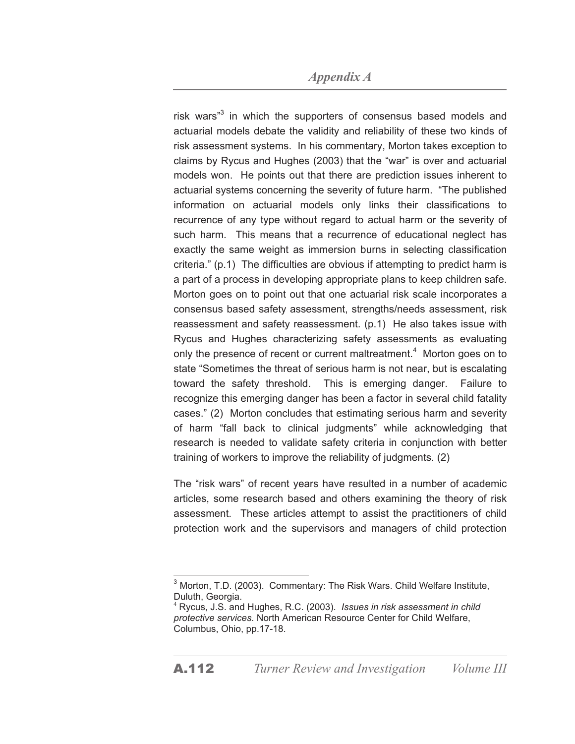risk wars $3$  in which the supporters of consensus based models and actuarial models debate the validity and reliability of these two kinds of risk assessment systems. In his commentary, Morton takes exception to claims by Rycus and Hughes (2003) that the "war" is over and actuarial models won. He points out that there are prediction issues inherent to actuarial systems concerning the severity of future harm. "The published information on actuarial models only links their classifications to recurrence of any type without regard to actual harm or the severity of such harm. This means that a recurrence of educational neglect has exactly the same weight as immersion burns in selecting classification criteria.î (p.1) The difficulties are obvious if attempting to predict harm is a part of a process in developing appropriate plans to keep children safe. Morton goes on to point out that one actuarial risk scale incorporates a consensus based safety assessment, strengths/needs assessment, risk reassessment and safety reassessment. (p.1) He also takes issue with Rycus and Hughes characterizing safety assessments as evaluating only the presence of recent or current maltreatment. $4$  Morton goes on to state "Sometimes the threat of serious harm is not near, but is escalating toward the safety threshold. This is emerging danger. Failure to recognize this emerging danger has been a factor in several child fatality cases." (2) Morton concludes that estimating serious harm and severity of harm "fall back to clinical judgments" while acknowledging that research is needed to validate safety criteria in conjunction with better training of workers to improve the reliability of judgments. (2)

The "risk wars" of recent years have resulted in a number of academic articles, some research based and others examining the theory of risk assessment. These articles attempt to assist the practitioners of child protection work and the supervisors and managers of child protection

 $3$  Morton, T.D. (2003). Commentary: The Risk Wars. Child Welfare Institute, Duluth, Georgia.

<sup>4</sup> Rycus, J.S. and Hughes, R.C. (2003). *Issues in risk assessment in child protective services*. North American Resource Center for Child Welfare, Columbus, Ohio, pp.17-18.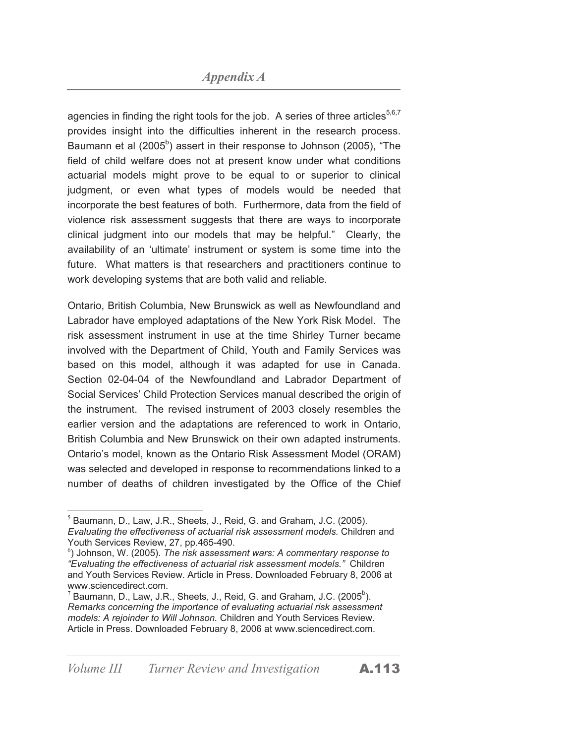agencies in finding the right tools for the job. A series of three articles<sup>5,6,7</sup> provides insight into the difficulties inherent in the research process. Baumann et al (2005<sup>b</sup>) assert in their response to Johnson (2005), "The field of child welfare does not at present know under what conditions actuarial models might prove to be equal to or superior to clinical judgment, or even what types of models would be needed that incorporate the best features of both. Furthermore, data from the field of violence risk assessment suggests that there are ways to incorporate clinical judgment into our models that may be helpful.î Clearly, the availability of an 'ultimate' instrument or system is some time into the future. What matters is that researchers and practitioners continue to work developing systems that are both valid and reliable.

Ontario, British Columbia, New Brunswick as well as Newfoundland and Labrador have employed adaptations of the New York Risk Model. The risk assessment instrument in use at the time Shirley Turner became involved with the Department of Child, Youth and Family Services was based on this model, although it was adapted for use in Canada. Section 02-04-04 of the Newfoundland and Labrador Department of Social Servicesí Child Protection Services manual described the origin of the instrument. The revised instrument of 2003 closely resembles the earlier version and the adaptations are referenced to work in Ontario, British Columbia and New Brunswick on their own adapted instruments. Ontarioís model, known as the Ontario Risk Assessment Model (ORAM) was selected and developed in response to recommendations linked to a number of deaths of children investigated by the Office of the Chief

 $<sup>5</sup>$  Baumann, D., Law, J.R., Sheets, J., Reid, G. and Graham, J.C. (2005).</sup> *Evaluating the effectiveness of actuarial risk assessment models.* Children and Youth Services Review, 27, pp.465-490.

<sup>6</sup> ) Johnson, W. (2005). *The risk assessment wars: A commentary response to ìEvaluating the effectiveness of actuarial risk assessment models.î* Children and Youth Services Review. Article in Press. Downloaded February 8, 2006 at www.sciencedirect.com.

 $^7$  Baumann, D., Law, J.R., Sheets, J., Reid, G. and Graham, J.C. (2005<sup>b</sup>). *Remarks concerning the importance of evaluating actuarial risk assessment models: A rejoinder to Will Johnson.* Children and Youth Services Review. Article in Press. Downloaded February 8, 2006 at www.sciencedirect.com.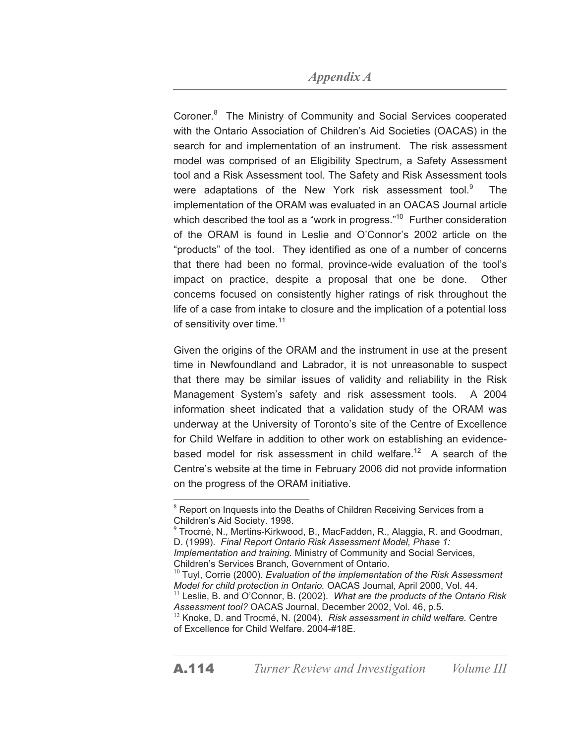Coroner.<sup>8</sup> The Ministry of Community and Social Services cooperated with the Ontario Association of Children's Aid Societies (OACAS) in the search for and implementation of an instrument. The risk assessment model was comprised of an Eligibility Spectrum, a Safety Assessment tool and a Risk Assessment tool. The Safety and Risk Assessment tools were adaptations of the New York risk assessment tool.<sup>9</sup> The implementation of the ORAM was evaluated in an OACAS Journal article which described the tool as a "work in progress. $10^{\circ}$  Further consideration of the ORAM is found in Leslie and O'Connor's 2002 article on the "products" of the tool. They identified as one of a number of concerns that there had been no formal, province-wide evaluation of the tool's impact on practice, despite a proposal that one be done. Other concerns focused on consistently higher ratings of risk throughout the life of a case from intake to closure and the implication of a potential loss of sensitivity over time.<sup>11</sup>

Given the origins of the ORAM and the instrument in use at the present time in Newfoundland and Labrador, it is not unreasonable to suspect that there may be similar issues of validity and reliability in the Risk Management Systemís safety and risk assessment tools. A 2004 information sheet indicated that a validation study of the ORAM was underway at the University of Torontoís site of the Centre of Excellence for Child Welfare in addition to other work on establishing an evidencebased model for risk assessment in child welfare.<sup>12</sup> A search of the Centre's website at the time in February 2006 did not provide information on the progress of the ORAM initiative.

 $8$  Report on Inquests into the Deaths of Children Receiving Services from a Children's Aid Society. 1998.

 $9$  Trocmé, N., Mertins-Kirkwood, B., MacFadden, R., Alaggia, R. and Goodman, D. (1999). *Final Report Ontario Risk Assessment Model, Phase 1:* 

*Implementation and training.* Ministry of Community and Social Services, Children's Services Branch, Government of Ontario.

<sup>10</sup> Tuyl, Corrie (2000). *Evaluation of the implementation of the Risk Assessment* 

*Model for child protection in Ontario.* OACAS Journal, April 2000, Vol. 44.<br><sup>11</sup> Leslie, B. and O'Connor, B. (2002). *What are the products of the Ontario Risk Assessment tool?* OACAS Journal, December 2002, Vol. 46, p.5.

<sup>&</sup>lt;sup>12</sup> Knoke, D. and Trocmé, N. (2004). *Risk assessment in child welfare.* Centre of Excellence for Child Welfare. 2004-#18E.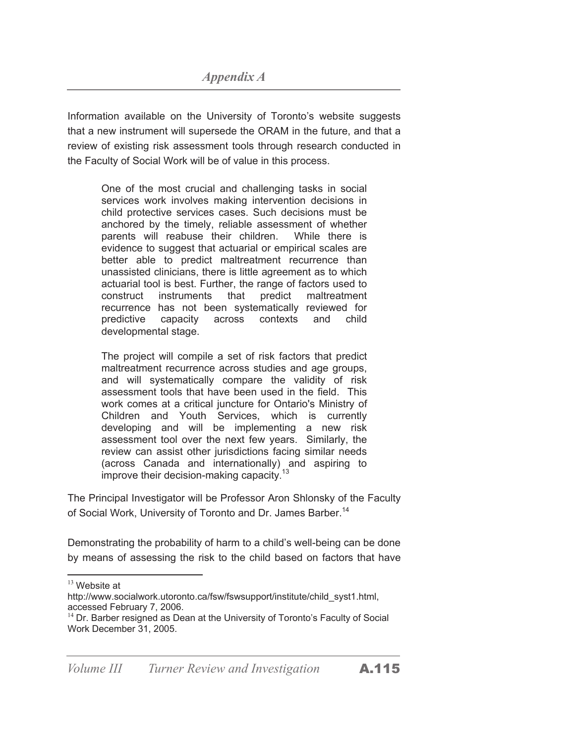Information available on the University of Toronto's website suggests that a new instrument will supersede the ORAM in the future, and that a review of existing risk assessment tools through research conducted in the Faculty of Social Work will be of value in this process.

> One of the most crucial and challenging tasks in social services work involves making intervention decisions in child protective services cases. Such decisions must be anchored by the timely, reliable assessment of whether parents will reabuse their children. While there is evidence to suggest that actuarial or empirical scales are better able to predict maltreatment recurrence than unassisted clinicians, there is little agreement as to which actuarial tool is best. Further, the range of factors used to construct instruments that predict maltreatment recurrence has not been systematically reviewed for predictive capacity across contexts and child developmental stage.

> The project will compile a set of risk factors that predict maltreatment recurrence across studies and age groups, and will systematically compare the validity of risk assessment tools that have been used in the field. This work comes at a critical juncture for Ontario's Ministry of Children and Youth Services, which is currently developing and will be implementing a new risk assessment tool over the next few years. Similarly, the review can assist other jurisdictions facing similar needs (across Canada and internationally) and aspiring to improve their decision-making capacity.<sup>13</sup>

The Principal Investigator will be Professor Aron Shlonsky of the Faculty of Social Work, University of Toronto and Dr. James Barber.<sup>14</sup>

Demonstrating the probability of harm to a child's well-being can be done by means of assessing the risk to the child based on factors that have

 $\overline{a}$ <sup>13</sup> Website at

http://www.socialwork.utoronto.ca/fsw/fswsupport/institute/child\_syst1.html, accessed February 7, 2006.

 $14$  Dr. Barber resigned as Dean at the University of Toronto's Faculty of Social Work December 31, 2005.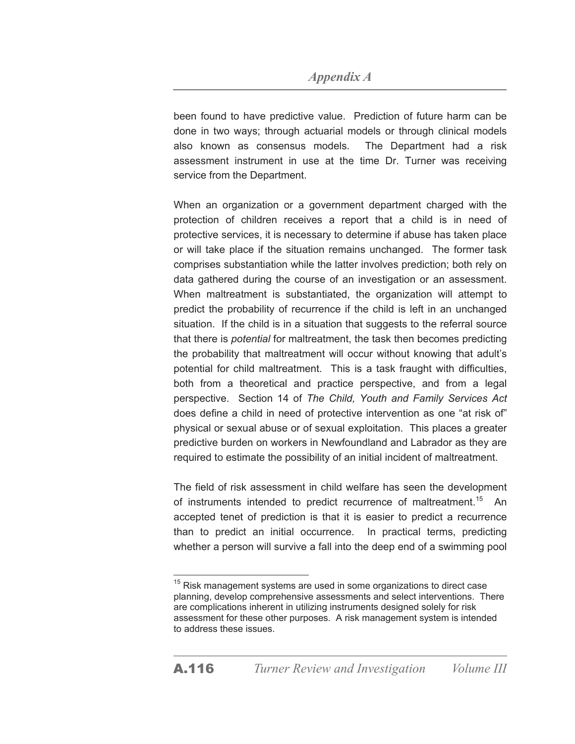been found to have predictive value. Prediction of future harm can be done in two ways; through actuarial models or through clinical models also known as consensus models. The Department had a risk assessment instrument in use at the time Dr. Turner was receiving service from the Department.

When an organization or a government department charged with the protection of children receives a report that a child is in need of protective services, it is necessary to determine if abuse has taken place or will take place if the situation remains unchanged. The former task comprises substantiation while the latter involves prediction; both rely on data gathered during the course of an investigation or an assessment. When maltreatment is substantiated, the organization will attempt to predict the probability of recurrence if the child is left in an unchanged situation. If the child is in a situation that suggests to the referral source that there is *potential* for maltreatment, the task then becomes predicting the probability that maltreatment will occur without knowing that adultís potential for child maltreatment. This is a task fraught with difficulties, both from a theoretical and practice perspective, and from a legal perspective. Section 14 of *The Child, Youth and Family Services Act* does define a child in need of protective intervention as one "at risk of" physical or sexual abuse or of sexual exploitation. This places a greater predictive burden on workers in Newfoundland and Labrador as they are required to estimate the possibility of an initial incident of maltreatment.

The field of risk assessment in child welfare has seen the development of instruments intended to predict recurrence of maltreatment.<sup>15</sup> An accepted tenet of prediction is that it is easier to predict a recurrence than to predict an initial occurrence. In practical terms, predicting whether a person will survive a fall into the deep end of a swimming pool

 $15$  Risk management systems are used in some organizations to direct case planning, develop comprehensive assessments and select interventions. There are complications inherent in utilizing instruments designed solely for risk assessment for these other purposes. A risk management system is intended to address these issues.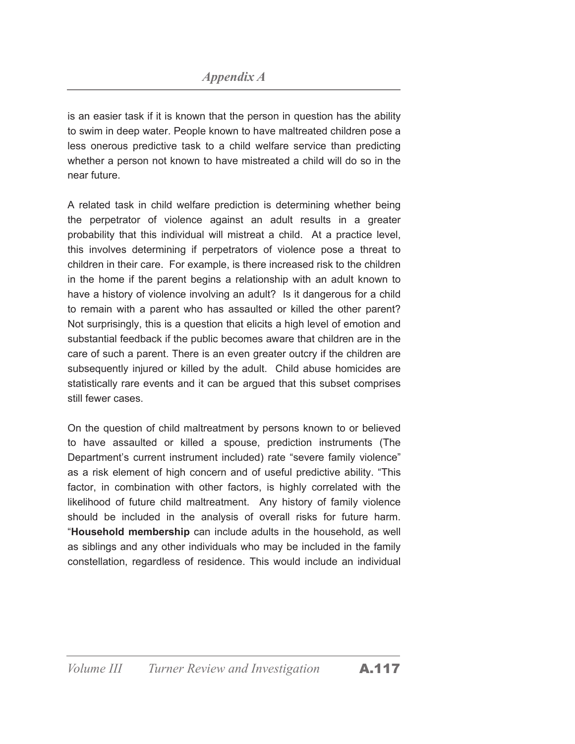is an easier task if it is known that the person in question has the ability to swim in deep water. People known to have maltreated children pose a less onerous predictive task to a child welfare service than predicting whether a person not known to have mistreated a child will do so in the near future.

A related task in child welfare prediction is determining whether being the perpetrator of violence against an adult results in a greater probability that this individual will mistreat a child. At a practice level, this involves determining if perpetrators of violence pose a threat to children in their care. For example, is there increased risk to the children in the home if the parent begins a relationship with an adult known to have a history of violence involving an adult? Is it dangerous for a child to remain with a parent who has assaulted or killed the other parent? Not surprisingly, this is a question that elicits a high level of emotion and substantial feedback if the public becomes aware that children are in the care of such a parent. There is an even greater outcry if the children are subsequently injured or killed by the adult. Child abuse homicides are statistically rare events and it can be argued that this subset comprises still fewer cases.

On the question of child maltreatment by persons known to or believed to have assaulted or killed a spouse, prediction instruments (The Department's current instrument included) rate "severe family violence" as a risk element of high concern and of useful predictive ability. "This factor, in combination with other factors, is highly correlated with the likelihood of future child maltreatment. Any history of family violence should be included in the analysis of overall risks for future harm. ì**Household membership** can include adults in the household, as well as siblings and any other individuals who may be included in the family constellation, regardless of residence. This would include an individual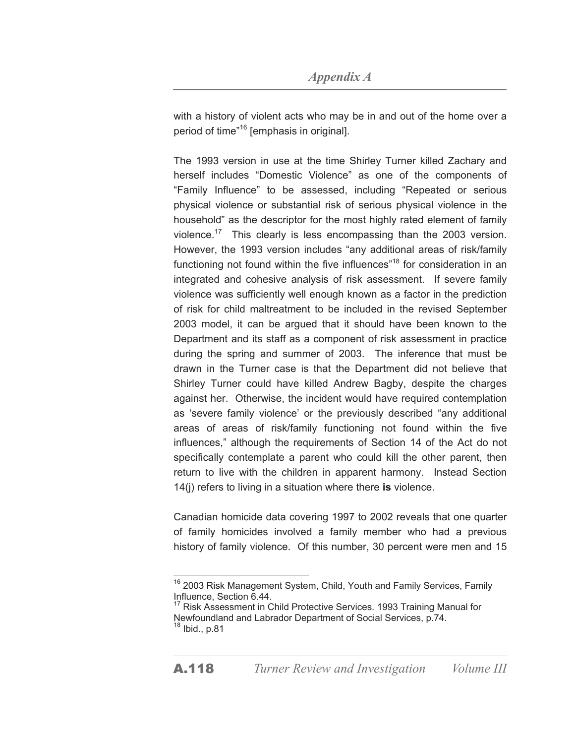with a history of violent acts who may be in and out of the home over a period of time<sup>"16</sup> [emphasis in original].

The 1993 version in use at the time Shirley Turner killed Zachary and herself includes "Domestic Violence" as one of the components of ìFamily Influenceî to be assessed, including ìRepeated or serious physical violence or substantial risk of serious physical violence in the household" as the descriptor for the most highly rated element of family violence.<sup>17</sup> This clearly is less encompassing than the 2003 version. However, the 1993 version includes "any additional areas of risk/family functioning not found within the five influences<sup> $18$ </sup> for consideration in an integrated and cohesive analysis of risk assessment. If severe family violence was sufficiently well enough known as a factor in the prediction of risk for child maltreatment to be included in the revised September 2003 model, it can be argued that it should have been known to the Department and its staff as a component of risk assessment in practice during the spring and summer of 2003. The inference that must be drawn in the Turner case is that the Department did not believe that Shirley Turner could have killed Andrew Bagby, despite the charges against her. Otherwise, the incident would have required contemplation as 'severe family violence' or the previously described "any additional areas of areas of risk/family functioning not found within the five influences," although the requirements of Section 14 of the Act do not specifically contemplate a parent who could kill the other parent, then return to live with the children in apparent harmony. Instead Section 14(j) refers to living in a situation where there **is** violence.

Canadian homicide data covering 1997 to 2002 reveals that one quarter of family homicides involved a family member who had a previous history of family violence. Of this number, 30 percent were men and 15

<sup>&</sup>lt;sup>16</sup> 2003 Risk Management System, Child, Youth and Family Services, Family Influence, Section 6.44.

<sup>&</sup>lt;sup>17</sup> Risk Assessment in Child Protective Services. 1993 Training Manual for Newfoundland and Labrador Department of Social Services, p.74.  $18$  Ibid., p.81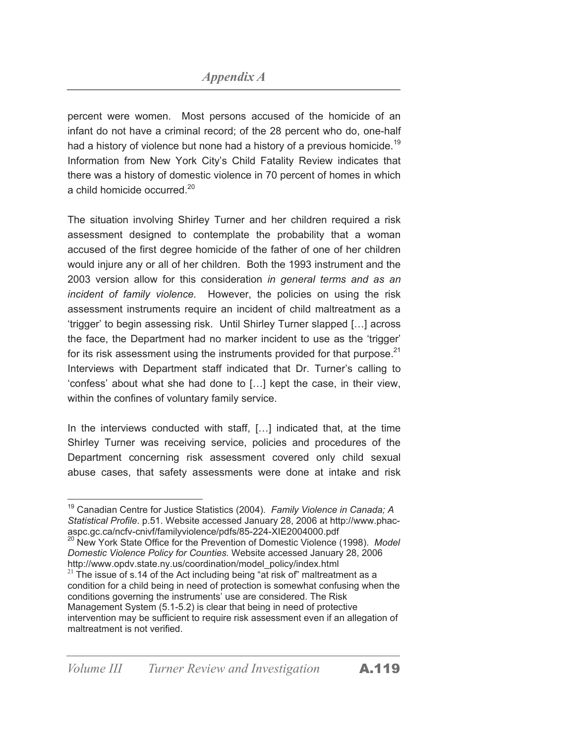percent were women. Most persons accused of the homicide of an infant do not have a criminal record; of the 28 percent who do, one-half had a history of violence but none had a history of a previous homicide.<sup>19</sup> Information from New York Cityís Child Fatality Review indicates that there was a history of domestic violence in 70 percent of homes in which a child homicide occurred.<sup>20</sup>

The situation involving Shirley Turner and her children required a risk assessment designed to contemplate the probability that a woman accused of the first degree homicide of the father of one of her children would injure any or all of her children. Both the 1993 instrument and the 2003 version allow for this consideration *in general terms and as an incident of family violence.* However, the policies on using the risk assessment instruments require an incident of child maltreatment as a ëtriggerí to begin assessing risk. Until Shirley Turner slapped [Ö] across the face, the Department had no marker incident to use as the 'trigger' for its risk assessment using the instruments provided for that purpose. $21$ Interviews with Department staff indicated that Dr. Turner's calling to 'confess' about what she had done to  $[...]$  kept the case, in their view, within the confines of voluntary family service.

In the interviews conducted with staff,  $[...]$  indicated that, at the time Shirley Turner was receiving service, policies and procedures of the Department concerning risk assessment covered only child sexual abuse cases, that safety assessments were done at intake and risk

 $\overline{a}$ 

 $21$  The issue of s.14 of the Act including being "at risk of" maltreatment as a condition for a child being in need of protection is somewhat confusing when the conditions governing the instruments<sup>*i*</sup> use are considered. The Risk Management System (5.1-5.2) is clear that being in need of protective intervention may be sufficient to require risk assessment even if an allegation of maltreatment is not verified.

<sup>19</sup> Canadian Centre for Justice Statistics (2004). *Family Violence in Canada; A Statistical Profile*. p.51. Website accessed January 28, 2006 at http://www.phacaspc.gc.ca/ncfv-cnivf/familyviolence/pdfs/85-224-XIE2004000.pdf 20 New York State Office for the Prevention of Domestic Violence (1998). *Model Domestic Violence Policy for Counties.* Website accessed January 28, 2006 http://www.opdv.state.ny.us/coordination/model\_policy/index.html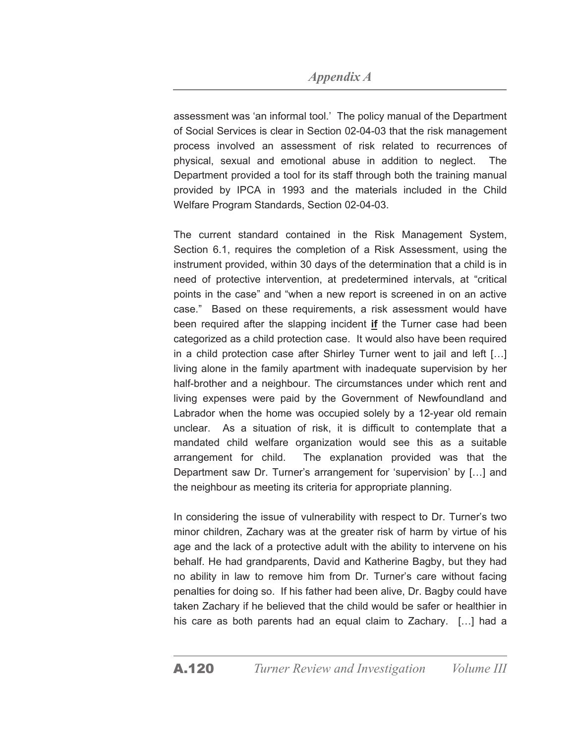assessment was 'an informal tool.' The policy manual of the Department of Social Services is clear in Section 02-04-03 that the risk management process involved an assessment of risk related to recurrences of physical, sexual and emotional abuse in addition to neglect. The Department provided a tool for its staff through both the training manual provided by IPCA in 1993 and the materials included in the Child Welfare Program Standards, Section 02-04-03.

The current standard contained in the Risk Management System, Section 6.1, requires the completion of a Risk Assessment, using the instrument provided, within 30 days of the determination that a child is in need of protective intervention, at predetermined intervals, at "critical points in the case" and "when a new report is screened in on an active case." Based on these requirements, a risk assessment would have been required after the slapping incident **if** the Turner case had been categorized as a child protection case. It would also have been required in a child protection case after Shirley Turner went to jail and left  $[\ldots]$ living alone in the family apartment with inadequate supervision by her half-brother and a neighbour. The circumstances under which rent and living expenses were paid by the Government of Newfoundland and Labrador when the home was occupied solely by a 12-year old remain unclear. As a situation of risk, it is difficult to contemplate that a mandated child welfare organization would see this as a suitable arrangement for child. The explanation provided was that the Department saw Dr. Turner's arrangement for 'supervision' by  $[...]$  and the neighbour as meeting its criteria for appropriate planning.

In considering the issue of vulnerability with respect to Dr. Turnerís two minor children, Zachary was at the greater risk of harm by virtue of his age and the lack of a protective adult with the ability to intervene on his behalf. He had grandparents, David and Katherine Bagby, but they had no ability in law to remove him from Dr. Turnerís care without facing penalties for doing so. If his father had been alive, Dr. Bagby could have taken Zachary if he believed that the child would be safer or healthier in his care as both parents had an equal claim to Zachary.  $[...]$  had a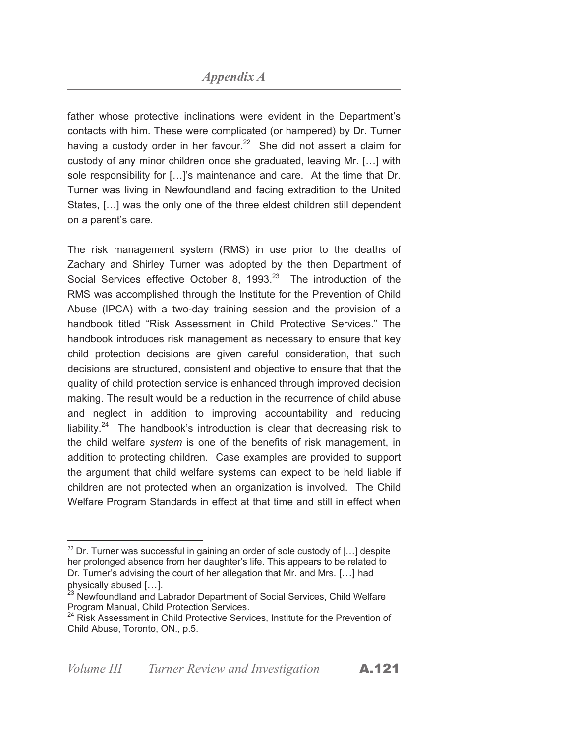father whose protective inclinations were evident in the Department's contacts with him. These were complicated (or hampered) by Dr. Turner having a custody order in her favour.<sup>22</sup> She did not assert a claim for custody of any minor children once she graduated, leaving Mr. [...] with sole responsibility for [...]'s maintenance and care. At the time that Dr. Turner was living in Newfoundland and facing extradition to the United States, [...] was the only one of the three eldest children still dependent on a parent's care.

The risk management system (RMS) in use prior to the deaths of Zachary and Shirley Turner was adopted by the then Department of Social Services effective October 8, 1993.<sup>23</sup> The introduction of the RMS was accomplished through the Institute for the Prevention of Child Abuse (IPCA) with a two-day training session and the provision of a handbook titled "Risk Assessment in Child Protective Services." The handbook introduces risk management as necessary to ensure that key child protection decisions are given careful consideration, that such decisions are structured, consistent and objective to ensure that that the quality of child protection service is enhanced through improved decision making. The result would be a reduction in the recurrence of child abuse and neglect in addition to improving accountability and reducing liability.<sup>24</sup> The handbook's introduction is clear that decreasing risk to the child welfare *system* is one of the benefits of risk management, in addition to protecting children. Case examples are provided to support the argument that child welfare systems can expect to be held liable if children are not protected when an organization is involved. The Child Welfare Program Standards in effect at that time and still in effect when

 $\overline{a}$  $22$  Dr. Turner was successful in gaining an order of sole custody of [...] despite her prolonged absence from her daughter's life. This appears to be related to Dr. Turner's advising the court of her allegation that Mr. and Mrs. [...] had

physically abused [...].<br><sup>23</sup> Newfoundland and Labrador Department of Social Services, Child Welfare Program Manual, Child Protection Services.

<sup>&</sup>lt;sup>24</sup> Risk Assessment in Child Protective Services, Institute for the Prevention of Child Abuse, Toronto, ON., p.5.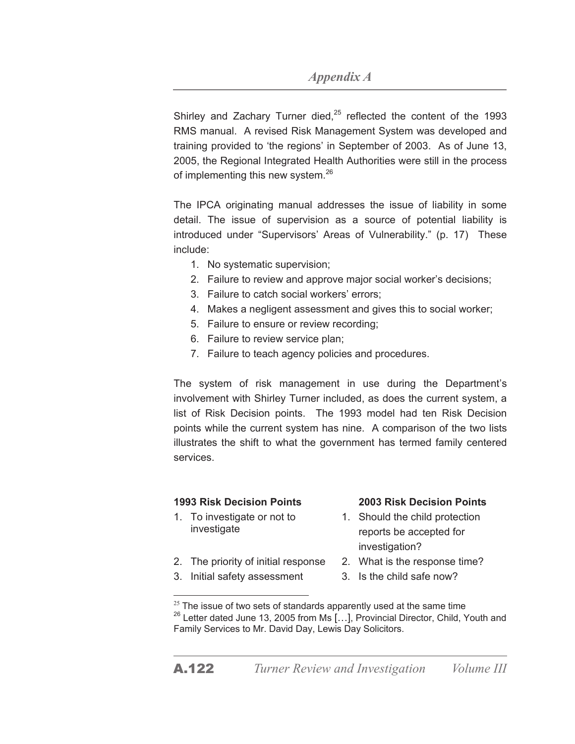Shirley and Zachary Turner died, $^{25}$  reflected the content of the 1993 RMS manual. A revised Risk Management System was developed and training provided to 'the regions' in September of 2003. As of June 13, 2005, the Regional Integrated Health Authorities were still in the process of implementing this new system.<sup>26</sup>

The IPCA originating manual addresses the issue of liability in some detail. The issue of supervision as a source of potential liability is introduced under "Supervisors' Areas of Vulnerability." (p. 17) These include:

- 1. No systematic supervision;
- 2. Failure to review and approve major social worker's decisions;
- 3. Failure to catch social workers' errors;
- 4. Makes a negligent assessment and gives this to social worker;
- 5. Failure to ensure or review recording;
- 6. Failure to review service plan;
- 7. Failure to teach agency policies and procedures.

The system of risk management in use during the Department's involvement with Shirley Turner included, as does the current system, a list of Risk Decision points. The 1993 model had ten Risk Decision points while the current system has nine. A comparison of the two lists illustrates the shift to what the government has termed family centered services.

#### **1993 Risk Decision Points 2003 Risk Decision Points**

- 1. To investigate or not to investigate
- 
- reports be accepted for investigation?
	-

1. Should the child protection

#### 2. The priority of initial response 2. What is the response time?

3. Initial safety assessment 3. Is the child safe now?

 $25$  The issue of two sets of standards apparently used at the same time  $26$  Letter dated June 13, 2005 from Ms  $[...]$ , Provincial Director, Child, Youth and Family Services to Mr. David Day, Lewis Day Solicitors.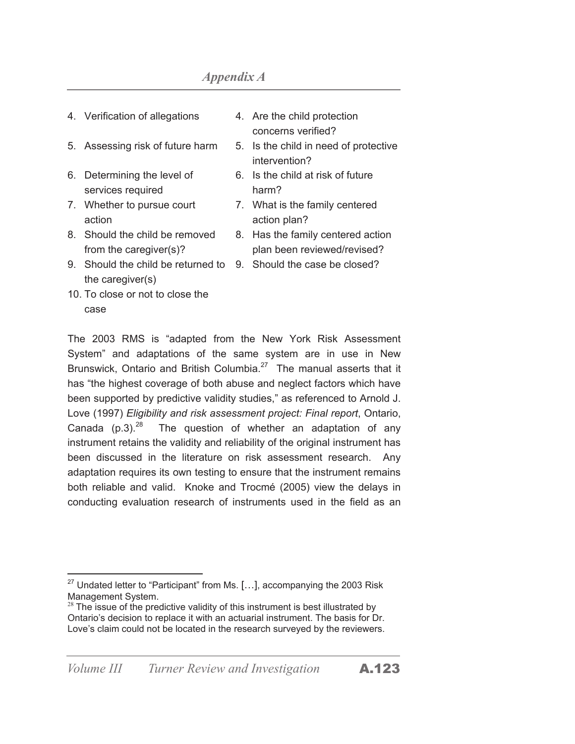- concerns verified? 5. Assessing risk of future harm 5. Is the child in need of protective intervention? 6. Determining the level of services required harm? 7. Whether to pursue court action action plan? 8. Should the child be removed from the caregiver(s)? 9. Should the child be returned to 9. Should the case be closed? the caregiver(s)
- 10. To close or not to close the case
- 4. Verification of allegations 4. Are the child protection
	-
	- 6. Is the child at risk of future
	- 7. What is the family centered
	- 8. Has the family centered action plan been reviewed/revised?
		-

The 2003 RMS is "adapted from the New York Risk Assessment System" and adaptations of the same system are in use in New Brunswick, Ontario and British Columbia.<sup>27</sup> The manual asserts that it has "the highest coverage of both abuse and neglect factors which have been supported by predictive validity studies," as referenced to Arnold J. Love (1997) *Eligibility and risk assessment project: Final report*, Ontario, Canada (p.3).<sup>28</sup> The question of whether an adaptation of any instrument retains the validity and reliability of the original instrument has been discussed in the literature on risk assessment research. Any adaptation requires its own testing to ensure that the instrument remains both reliable and valid. Knoke and Trocmé (2005) view the delays in conducting evaluation research of instruments used in the field as an

 $\overline{a}$  $27$  Undated letter to "Participant" from Ms. [...], accompanying the 2003 Risk Management System.

 $28$  The issue of the predictive validity of this instrument is best illustrated by Ontarioís decision to replace it with an actuarial instrument. The basis for Dr. Love's claim could not be located in the research surveyed by the reviewers.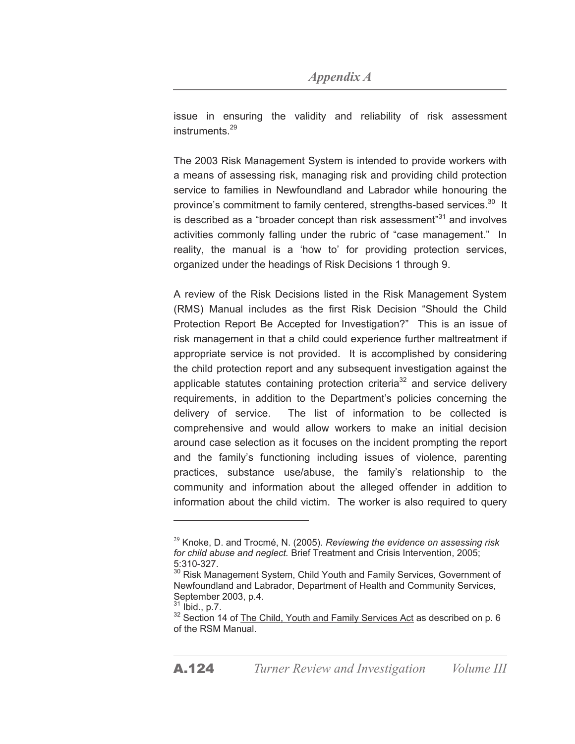issue in ensuring the validity and reliability of risk assessment instruments.<sup>29</sup>

The 2003 Risk Management System is intended to provide workers with a means of assessing risk, managing risk and providing child protection service to families in Newfoundland and Labrador while honouring the province's commitment to family centered, strengths-based services.<sup>30</sup> It is described as a "broader concept than risk assessment"<sup>31</sup> and involves activities commonly falling under the rubric of "case management." In reality, the manual is a 'how to' for providing protection services, organized under the headings of Risk Decisions 1 through 9.

A review of the Risk Decisions listed in the Risk Management System (RMS) Manual includes as the first Risk Decision "Should the Child Protection Report Be Accepted for Investigation?" This is an issue of risk management in that a child could experience further maltreatment if appropriate service is not provided.It is accomplished by considering the child protection report and any subsequent investigation against the applicable statutes containing protection criteria<sup>32</sup> and service delivery requirements, in addition to the Department's policies concerning the delivery of service. The list of information to be collected is comprehensive and would allow workers to make an initial decision around case selection as it focuses on the incident prompting the report and the familyís functioning including issues of violence, parenting practices, substance use/abuse, the familyís relationship to the community and information about the alleged offender in addition to information about the child victim. The worker is also required to query

<sup>&</sup>lt;sup>29</sup> Knoke, D. and Trocmé, N. (2005). *Reviewing the evidence on assessing risk for child abuse and neglect.* Brief Treatment and Crisis Intervention, 2005; 5:310-327.

<sup>&</sup>lt;sup>30</sup> Risk Management System, Child Youth and Family Services, Government of Newfoundland and Labrador, Department of Health and Community Services, September 2003, p.4.

 $\frac{31}{32}$  Ibid., p.7.<br> $\frac{32}{32}$  Section 14 of <u>The Child, Youth and Family Services Act</u> as described on p. 6 of the RSM Manual.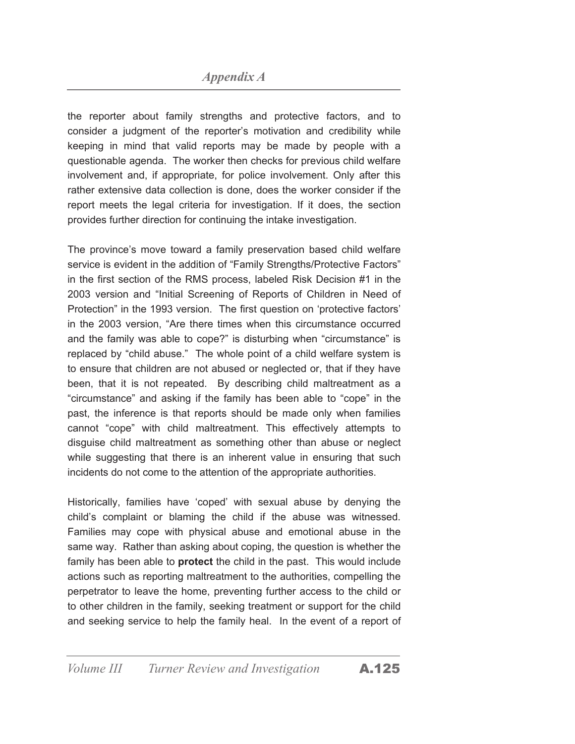the reporter about family strengths and protective factors, and to consider a judgment of the reporter's motivation and credibility while keeping in mind that valid reports may be made by people with a questionable agenda. The worker then checks for previous child welfare involvement and, if appropriate, for police involvement. Only after this rather extensive data collection is done, does the worker consider if the report meets the legal criteria for investigation. If it does, the section provides further direction for continuing the intake investigation.

The provinceís move toward a family preservation based child welfare service is evident in the addition of "Family Strengths/Protective Factors" in the first section of the RMS process, labeled Risk Decision #1 in the 2003 version and "Initial Screening of Reports of Children in Need of Protection" in the 1993 version. The first question on 'protective factors' in the 2003 version, "Are there times when this circumstance occurred and the family was able to cope?" is disturbing when "circumstance" is replaced by "child abuse." The whole point of a child welfare system is to ensure that children are not abused or neglected or, that if they have been, that it is not repeated. By describing child maltreatment as a "circumstance" and asking if the family has been able to "cope" in the past, the inference is that reports should be made only when families cannot "cope" with child maltreatment. This effectively attempts to disguise child maltreatment as something other than abuse or neglect while suggesting that there is an inherent value in ensuring that such incidents do not come to the attention of the appropriate authorities.

Historically, families have 'coped' with sexual abuse by denying the child's complaint or blaming the child if the abuse was witnessed. Families may cope with physical abuse and emotional abuse in the same way. Rather than asking about coping, the question is whether the family has been able to **protect** the child in the past. This would include actions such as reporting maltreatment to the authorities, compelling the perpetrator to leave the home, preventing further access to the child or to other children in the family, seeking treatment or support for the child and seeking service to help the family heal. In the event of a report of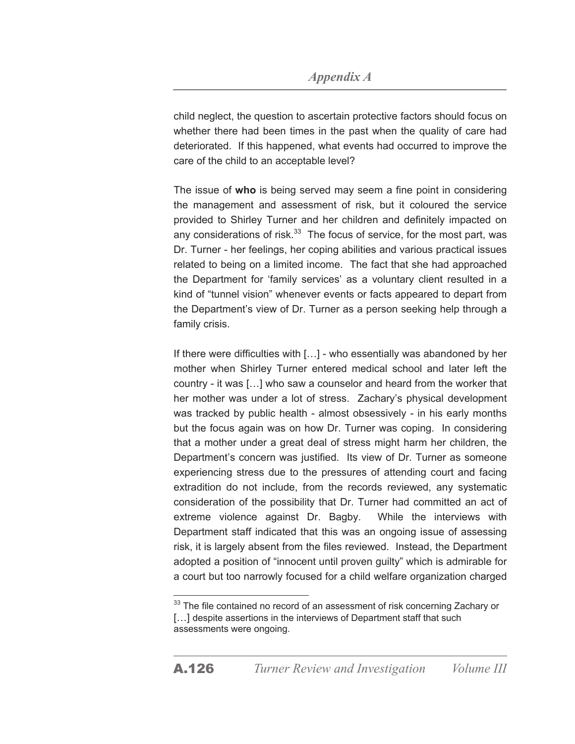child neglect, the question to ascertain protective factors should focus on whether there had been times in the past when the quality of care had deteriorated. If this happened, what events had occurred to improve the care of the child to an acceptable level?

The issue of **who** is being served may seem a fine point in considering the management and assessment of risk, but it coloured the service provided to Shirley Turner and her children and definitely impacted on any considerations of risk. $33$  The focus of service, for the most part, was Dr. Turner - her feelings, her coping abilities and various practical issues related to being on a limited income. The fact that she had approached the Department for 'family services' as a voluntary client resulted in a kind of "tunnel vision" whenever events or facts appeared to depart from the Department's view of Dr. Turner as a person seeking help through a family crisis.

If there were difficulties with  $[...]$  - who essentially was abandoned by her mother when Shirley Turner entered medical school and later left the country - it was [...] who saw a counselor and heard from the worker that her mother was under a lot of stress. Zachary's physical development was tracked by public health - almost obsessively - in his early months but the focus again was on how Dr. Turner was coping. In considering that a mother under a great deal of stress might harm her children, the Department's concern was justified. Its view of Dr. Turner as someone experiencing stress due to the pressures of attending court and facing extradition do not include, from the records reviewed, any systematic consideration of the possibility that Dr. Turner had committed an act of extreme violence against Dr. Bagby. While the interviews with Department staff indicated that this was an ongoing issue of assessing risk, it is largely absent from the files reviewed. Instead, the Department adopted a position of "innocent until proven guilty" which is admirable for a court but too narrowly focused for a child welfare organization charged

 $33$  The file contained no record of an assessment of risk concerning Zachary or [...] despite assertions in the interviews of Department staff that such assessments were ongoing.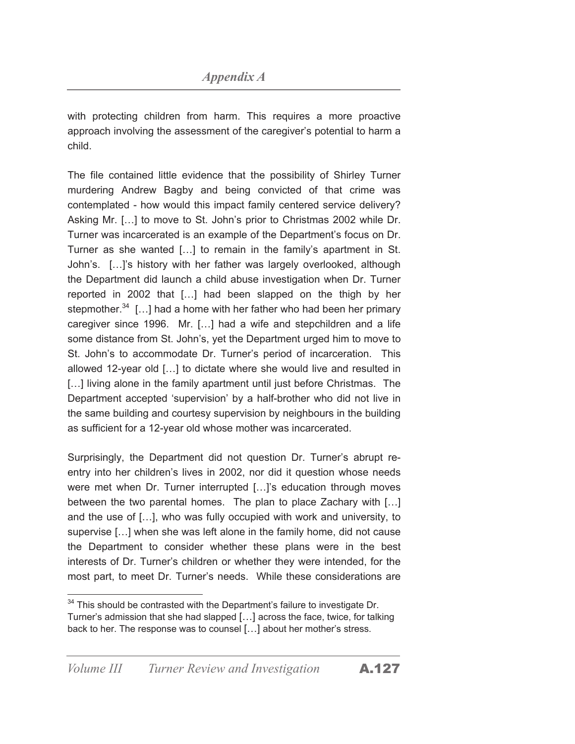with protecting children from harm. This requires a more proactive approach involving the assessment of the caregiver's potential to harm a child.

The file contained little evidence that the possibility of Shirley Turner murdering Andrew Bagby and being convicted of that crime was contemplated - how would this impact family centered service delivery? Asking Mr. [...] to move to St. John's prior to Christmas 2002 while Dr. Turner was incarcerated is an example of the Department's focus on Dr. Turner as she wanted  $[...]$  to remain in the family's apartment in St. John's. [...]'s history with her father was largely overlooked, although the Department did launch a child abuse investigation when Dr. Turner reported in 2002 that [...] had been slapped on the thigh by her stepmother.<sup>34</sup> [ $\dots$ ] had a home with her father who had been her primary caregiver since 1996. Mr. [...] had a wife and stepchildren and a life some distance from St. John's, yet the Department urged him to move to St. John's to accommodate Dr. Turner's period of incarceration. This allowed 12-year old [...] to dictate where she would live and resulted in [...] living alone in the family apartment until just before Christmas. The Department accepted 'supervision' by a half-brother who did not live in the same building and courtesy supervision by neighbours in the building as sufficient for a 12-year old whose mother was incarcerated.

Surprisingly, the Department did not question Dr. Turnerís abrupt reentry into her children's lives in 2002, nor did it question whose needs were met when Dr. Turner interrupted [...]'s education through moves between the two parental homes. The plan to place Zachary with  $[...]$ and the use of  $[...]$ , who was fully occupied with work and university, to supervise [...] when she was left alone in the family home, did not cause the Department to consider whether these plans were in the best interests of Dr. Turnerís children or whether they were intended, for the most part, to meet Dr. Turner's needs. While these considerations are

 $\overline{a}$  $34$  This should be contrasted with the Department's failure to investigate Dr. Turner's admission that she had slapped [...] across the face, twice, for talking back to her. The response was to counsel  $[...]$  about her mother's stress.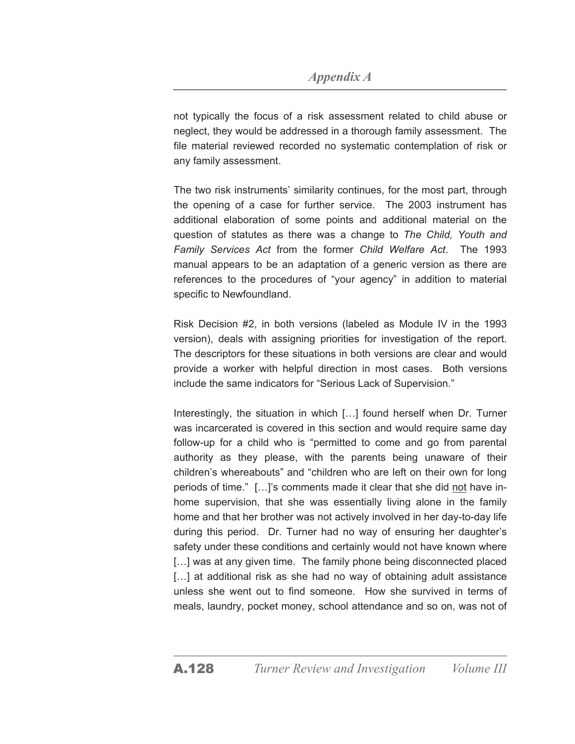not typically the focus of a risk assessment related to child abuse or neglect, they would be addressed in a thorough family assessment. The file material reviewed recorded no systematic contemplation of risk or any family assessment.

The two risk instruments' similarity continues, for the most part, through the opening of a case for further service. The 2003 instrument has additional elaboration of some points and additional material on the question of statutes as there was a change to *The Child, Youth and Family Services Act* from the former *Child Welfare Act*. The 1993 manual appears to be an adaptation of a generic version as there are references to the procedures of "your agency" in addition to material specific to Newfoundland.

Risk Decision #2, in both versions (labeled as Module IV in the 1993 version), deals with assigning priorities for investigation of the report. The descriptors for these situations in both versions are clear and would provide a worker with helpful direction in most cases. Both versions include the same indicators for "Serious Lack of Supervision."

Interestingly, the situation in which  $[...]$  found herself when Dr. Turner was incarcerated is covered in this section and would require same day follow-up for a child who is "permitted to come and go from parental authority as they please, with the parents being unaware of their children's whereabouts" and "children who are left on their own for long periods of time." [...]'s comments made it clear that she did not have inhome supervision, that she was essentially living alone in the family home and that her brother was not actively involved in her day-to-day life during this period. Dr. Turner had no way of ensuring her daughter's safety under these conditions and certainly would not have known where [...] was at any given time. The family phone being disconnected placed [...] at additional risk as she had no way of obtaining adult assistance unless she went out to find someone. How she survived in terms of meals, laundry, pocket money, school attendance and so on, was not of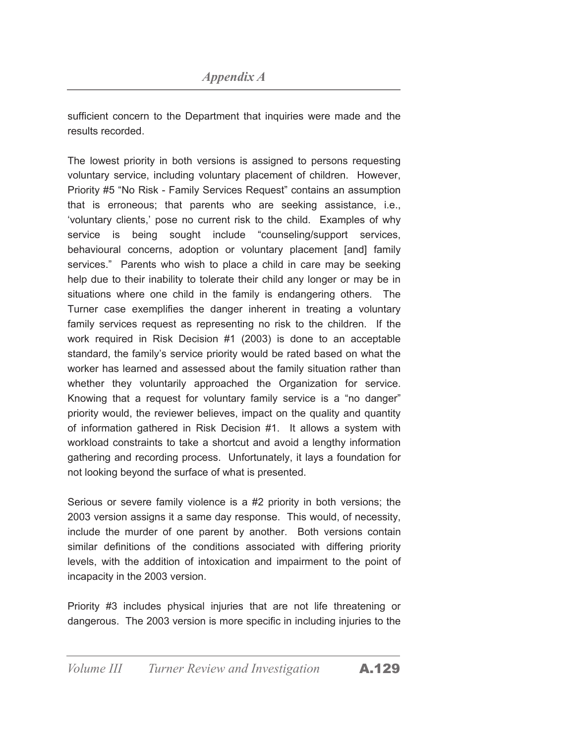sufficient concern to the Department that inquiries were made and the results recorded.

The lowest priority in both versions is assigned to persons requesting voluntary service, including voluntary placement of children. However, Priority #5 "No Risk - Family Services Request" contains an assumption that is erroneous; that parents who are seeking assistance, i.e., 'voluntary clients,' pose no current risk to the child. Examples of why service is being sought include "counseling/support services, behavioural concerns, adoption or voluntary placement [and] family services." Parents who wish to place a child in care may be seeking help due to their inability to tolerate their child any longer or may be in situations where one child in the family is endangering others. The Turner case exemplifies the danger inherent in treating a voluntary family services request as representing no risk to the children. If the work required in Risk Decision #1 (2003) is done to an acceptable standard, the familyís service priority would be rated based on what the worker has learned and assessed about the family situation rather than whether they voluntarily approached the Organization for service. Knowing that a request for voluntary family service is a "no danger" priority would, the reviewer believes, impact on the quality and quantity of information gathered in Risk Decision #1. It allows a system with workload constraints to take a shortcut and avoid a lengthy information gathering and recording process. Unfortunately, it lays a foundation for not looking beyond the surface of what is presented.

Serious or severe family violence is a #2 priority in both versions; the 2003 version assigns it a same day response. This would, of necessity, include the murder of one parent by another. Both versions contain similar definitions of the conditions associated with differing priority levels, with the addition of intoxication and impairment to the point of incapacity in the 2003 version.

Priority #3 includes physical injuries that are not life threatening or dangerous. The 2003 version is more specific in including injuries to the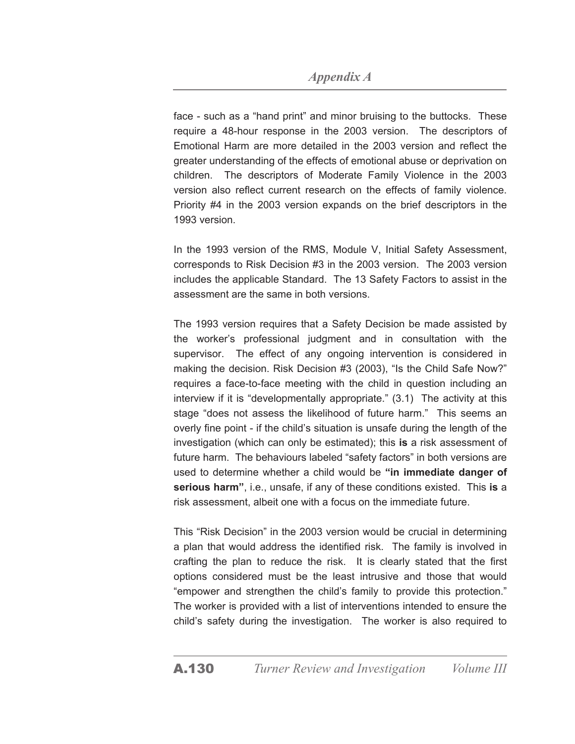face - such as a "hand print" and minor bruising to the buttocks. These require a 48-hour response in the 2003 version. The descriptors of Emotional Harm are more detailed in the 2003 version and reflect the greater understanding of the effects of emotional abuse or deprivation on children. The descriptors of Moderate Family Violence in the 2003 version also reflect current research on the effects of family violence. Priority #4 in the 2003 version expands on the brief descriptors in the 1993 version.

In the 1993 version of the RMS, Module V, Initial Safety Assessment, corresponds to Risk Decision #3 in the 2003 version. The 2003 version includes the applicable Standard. The 13 Safety Factors to assist in the assessment are the same in both versions.

The 1993 version requires that a Safety Decision be made assisted by the workerís professional judgment and in consultation with the supervisor. The effect of any ongoing intervention is considered in making the decision. Risk Decision #3 (2003), "Is the Child Safe Now?" requires a face-to-face meeting with the child in question including an interview if it is "developmentally appropriate."  $(3.1)$  The activity at this stage "does not assess the likelihood of future harm." This seems an overly fine point - if the child's situation is unsafe during the length of the investigation (which can only be estimated); this **is** a risk assessment of future harm. The behaviours labeled "safety factors" in both versions are used to determine whether a child would be **ìin immediate danger of serious harmî**, i.e., unsafe, if any of these conditions existed. This **is** a risk assessment, albeit one with a focus on the immediate future.

This "Risk Decision" in the 2003 version would be crucial in determining a plan that would address the identified risk. The family is involved in crafting the plan to reduce the risk. It is clearly stated that the first options considered must be the least intrusive and those that would "empower and strengthen the child's family to provide this protection." The worker is provided with a list of interventions intended to ensure the child's safety during the investigation. The worker is also required to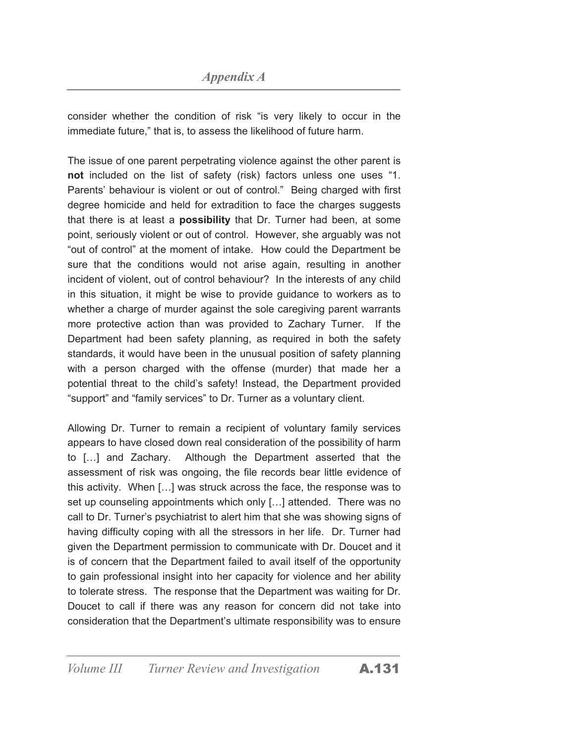consider whether the condition of risk "is very likely to occur in the immediate future," that is, to assess the likelihood of future harm.

The issue of one parent perpetrating violence against the other parent is **not** included on the list of safety (risk) factors unless one uses "1. Parents' behaviour is violent or out of control." Being charged with first degree homicide and held for extradition to face the charges suggests that there is at least a **possibility** that Dr. Turner had been, at some point, seriously violent or out of control. However, she arguably was not "out of control" at the moment of intake. How could the Department be sure that the conditions would not arise again, resulting in another incident of violent, out of control behaviour? In the interests of any child in this situation, it might be wise to provide guidance to workers as to whether a charge of murder against the sole caregiving parent warrants more protective action than was provided to Zachary Turner. If the Department had been safety planning, as required in both the safety standards, it would have been in the unusual position of safety planning with a person charged with the offense (murder) that made her a potential threat to the child's safety! Instead, the Department provided "support" and "family services" to Dr. Turner as a voluntary client.

Allowing Dr. Turner to remain a recipient of voluntary family services appears to have closed down real consideration of the possibility of harm to  $\lceil \ldots \rceil$  and Zachary. Although the Department asserted that the assessment of risk was ongoing, the file records bear little evidence of this activity. When [...] was struck across the face, the response was to set up counseling appointments which only [...] attended. There was no call to Dr. Turnerís psychiatrist to alert him that she was showing signs of having difficulty coping with all the stressors in her life. Dr. Turner had given the Department permission to communicate with Dr. Doucet and it is of concern that the Department failed to avail itself of the opportunity to gain professional insight into her capacity for violence and her ability to tolerate stress. The response that the Department was waiting for Dr. Doucet to call if there was any reason for concern did not take into consideration that the Department's ultimate responsibility was to ensure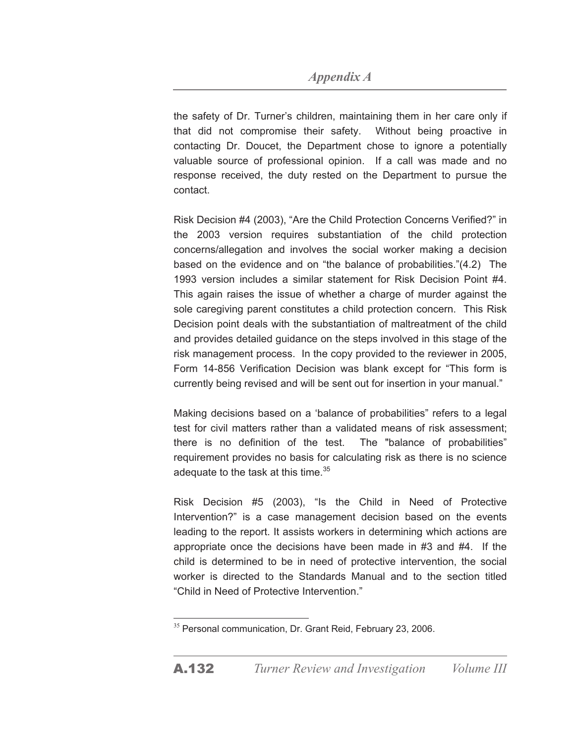the safety of Dr. Turnerís children, maintaining them in her care only if that did not compromise their safety. Without being proactive in contacting Dr. Doucet, the Department chose to ignore a potentially valuable source of professional opinion. If a call was made and no response received, the duty rested on the Department to pursue the contact.

Risk Decision #4 (2003), "Are the Child Protection Concerns Verified?" in the 2003 version requires substantiation of the child protection concerns/allegation and involves the social worker making a decision based on the evidence and on "the balance of probabilities." $(4.2)$  The 1993 version includes a similar statement for Risk Decision Point #4. This again raises the issue of whether a charge of murder against the sole caregiving parent constitutes a child protection concern. This Risk Decision point deals with the substantiation of maltreatment of the child and provides detailed guidance on the steps involved in this stage of the risk management process. In the copy provided to the reviewer in 2005, Form 14-856 Verification Decision was blank except for "This form is currently being revised and will be sent out for insertion in your manual."

Making decisions based on a 'balance of probabilities" refers to a legal test for civil matters rather than a validated means of risk assessment; there is no definition of the test. The "balance of probabilities" requirement provides no basis for calculating risk as there is no science adequate to the task at this time. $35$ 

Risk Decision #5 (2003), "Is the Child in Need of Protective Intervention?" is a case management decision based on the events leading to the report. It assists workers in determining which actions are appropriate once the decisions have been made in #3 and #4. If the child is determined to be in need of protective intervention, the social worker is directed to the Standards Manual and to the section titled "Child in Need of Protective Intervention."

 $\overline{a}$ <sup>35</sup> Personal communication, Dr. Grant Reid, February 23, 2006.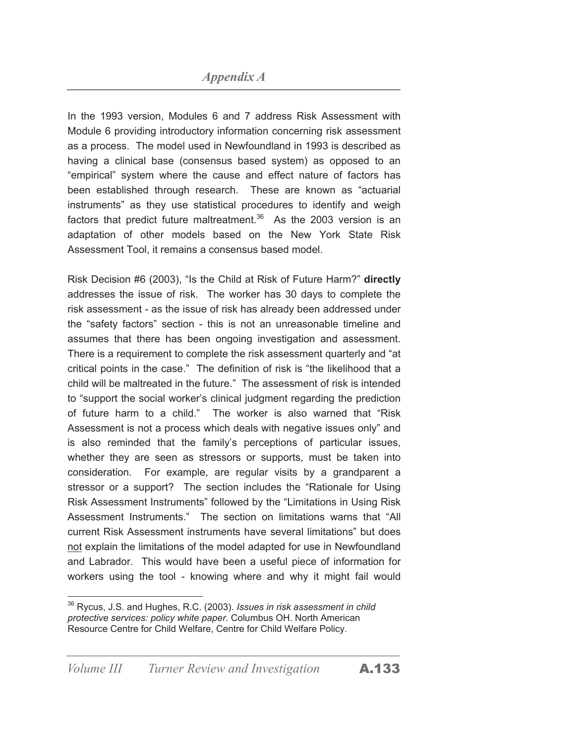In the 1993 version, Modules 6 and 7 address Risk Assessment with Module 6 providing introductory information concerning risk assessment as a process. The model used in Newfoundland in 1993 is described as having a clinical base (consensus based system) as opposed to an "empirical" system where the cause and effect nature of factors has been established through research. These are known as "actuarial instruments<sup>"</sup> as they use statistical procedures to identify and weigh factors that predict future maltreatment.<sup>36</sup> As the 2003 version is an adaptation of other models based on the New York State Risk Assessment Tool, it remains a consensus based model.

Risk Decision #6 (2003), "Is the Child at Risk of Future Harm?" directly addresses the issue of risk. The worker has 30 days to complete the risk assessment - as the issue of risk has already been addressed under the "safety factors" section - this is not an unreasonable timeline and assumes that there has been ongoing investigation and assessment. There is a requirement to complete the risk assessment quarterly and "at critical points in the case." The definition of risk is "the likelihood that a child will be maltreated in the future." The assessment of risk is intended to "support the social worker's clinical judgment regarding the prediction of future harm to a child." The worker is also warned that "Risk Assessment is not a process which deals with negative issues only" and is also reminded that the familyís perceptions of particular issues, whether they are seen as stressors or supports, must be taken into consideration. For example, are regular visits by a grandparent a stressor or a support? The section includes the "Rationale for Using Risk Assessment Instruments" followed by the "Limitations in Using Risk" Assessment Instruments." The section on limitations warns that "All current Risk Assessment instruments have several limitationsî but does not explain the limitations of the model adapted for use in Newfoundland and Labrador. This would have been a useful piece of information for workers using the tool - knowing where and why it might fail would

 $\overline{a}$ 36 Rycus, J.S. and Hughes, R.C. (2003). *Issues in risk assessment in child protective services: policy white paper.* Columbus OH. North American Resource Centre for Child Welfare, Centre for Child Welfare Policy.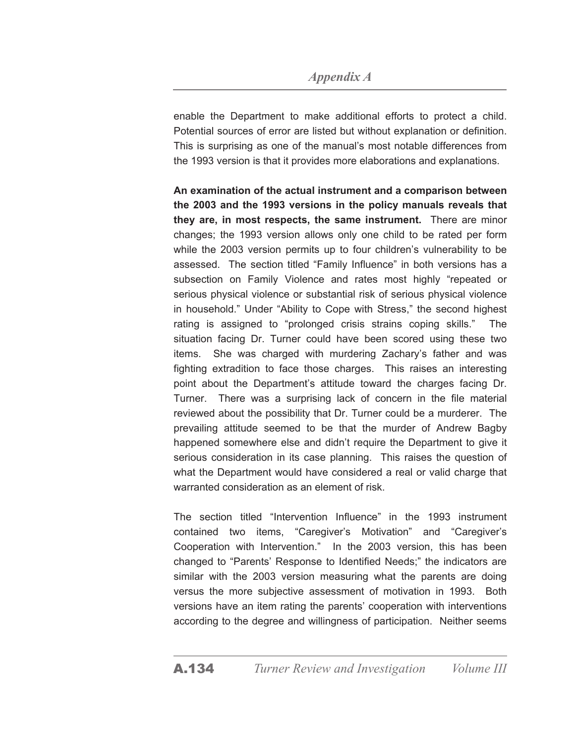enable the Department to make additional efforts to protect a child. Potential sources of error are listed but without explanation or definition. This is surprising as one of the manual's most notable differences from the 1993 version is that it provides more elaborations and explanations.

**An examination of the actual instrument and a comparison between the 2003 and the 1993 versions in the policy manuals reveals that they are, in most respects, the same instrument.** There are minor changes; the 1993 version allows only one child to be rated per form while the 2003 version permits up to four children's vulnerability to be assessed. The section titled "Family Influence" in both versions has a subsection on Family Violence and rates most highly "repeated or serious physical violence or substantial risk of serious physical violence in household." Under "Ability to Cope with Stress," the second highest rating is assigned to "prolonged crisis strains coping skills." The situation facing Dr. Turner could have been scored using these two items. She was charged with murdering Zacharyís father and was fighting extradition to face those charges. This raises an interesting point about the Departmentís attitude toward the charges facing Dr. Turner. There was a surprising lack of concern in the file material reviewed about the possibility that Dr. Turner could be a murderer. The prevailing attitude seemed to be that the murder of Andrew Bagby happened somewhere else and didnít require the Department to give it serious consideration in its case planning. This raises the question of what the Department would have considered a real or valid charge that warranted consideration as an element of risk.

The section titled "Intervention Influence" in the 1993 instrument contained two items, "Caregiver's Motivation" and "Caregiver's Cooperation with Intervention." In the 2003 version, this has been changed to "Parents' Response to Identified Needs;" the indicators are similar with the 2003 version measuring what the parents are doing versus the more subjective assessment of motivation in 1993. Both versions have an item rating the parents' cooperation with interventions according to the degree and willingness of participation. Neither seems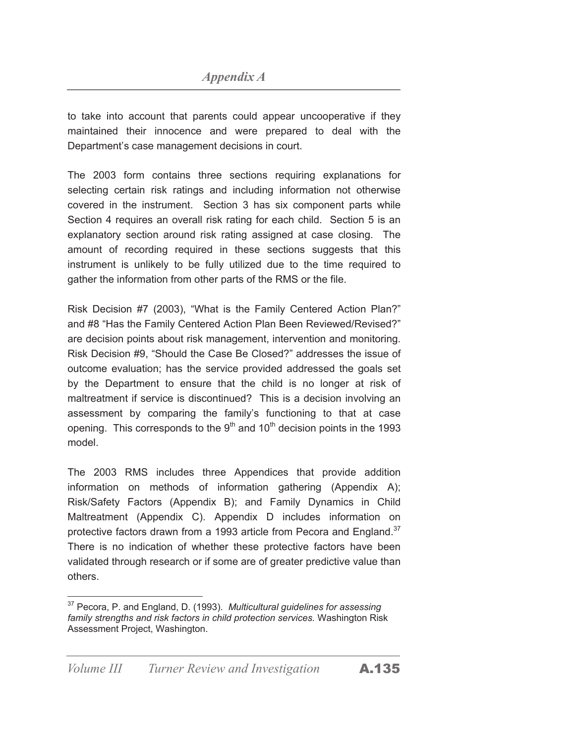to take into account that parents could appear uncooperative if they maintained their innocence and were prepared to deal with the Department's case management decisions in court.

The 2003 form contains three sections requiring explanations for selecting certain risk ratings and including information not otherwise covered in the instrument. Section 3 has six component parts while Section 4 requires an overall risk rating for each child. Section 5 is an explanatory section around risk rating assigned at case closing. The amount of recording required in these sections suggests that this instrument is unlikely to be fully utilized due to the time required to gather the information from other parts of the RMS or the file.

Risk Decision #7 (2003), "What is the Family Centered Action Plan?" and #8 "Has the Family Centered Action Plan Been Reviewed/Revised?" are decision points about risk management, intervention and monitoring. Risk Decision #9, "Should the Case Be Closed?" addresses the issue of outcome evaluation; has the service provided addressed the goals set by the Department to ensure that the child is no longer at risk of maltreatment if service is discontinued? This is a decision involving an assessment by comparing the family's functioning to that at case opening. This corresponds to the  $9<sup>th</sup>$  and  $10<sup>th</sup>$  decision points in the 1993 model.

The 2003 RMS includes three Appendices that provide addition information on methods of information gathering (Appendix A); Risk/Safety Factors (Appendix B); and Family Dynamics in Child Maltreatment (Appendix C). Appendix D includes information on protective factors drawn from a 1993 article from Pecora and England.<sup>37</sup> There is no indication of whether these protective factors have been validated through research or if some are of greater predictive value than others.

 $\overline{a}$ 37 Pecora, P. and England, D. (1993). *Multicultural guidelines for assessing family strengths and risk factors in child protection services.* Washington Risk Assessment Project, Washington.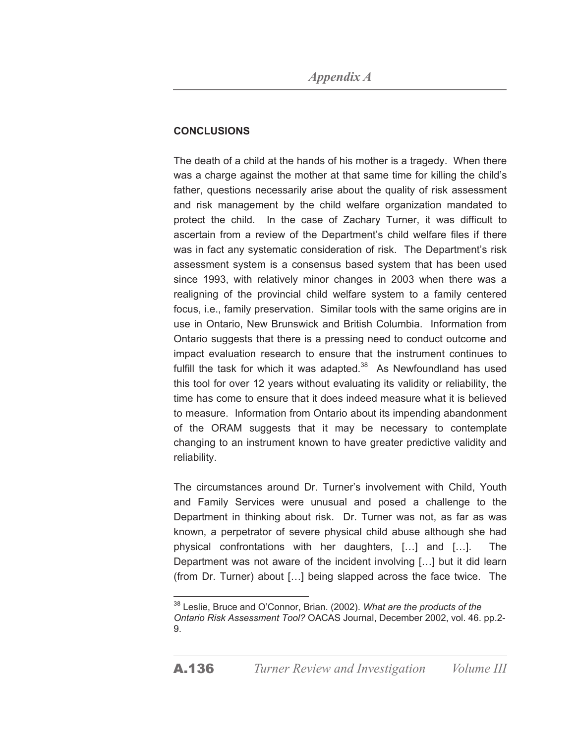#### **CONCLUSIONS**

The death of a child at the hands of his mother is a tragedy. When there was a charge against the mother at that same time for killing the child's father, questions necessarily arise about the quality of risk assessment and risk management by the child welfare organization mandated to protect the child. In the case of Zachary Turner, it was difficult to ascertain from a review of the Departmentís child welfare files if there was in fact any systematic consideration of risk. The Department's risk assessment system is a consensus based system that has been used since 1993, with relatively minor changes in 2003 when there was a realigning of the provincial child welfare system to a family centered focus, i.e., family preservation. Similar tools with the same origins are in use in Ontario, New Brunswick and British Columbia. Information from Ontario suggests that there is a pressing need to conduct outcome and impact evaluation research to ensure that the instrument continues to fulfill the task for which it was adapted. $38$  As Newfoundland has used this tool for over 12 years without evaluating its validity or reliability, the time has come to ensure that it does indeed measure what it is believed to measure. Information from Ontario about its impending abandonment of the ORAM suggests that it may be necessary to contemplate changing to an instrument known to have greater predictive validity and reliability.

The circumstances around Dr. Turner's involvement with Child, Youth and Family Services were unusual and posed a challenge to the Department in thinking about risk. Dr. Turner was not, as far as was known, a perpetrator of severe physical child abuse although she had physical confrontations with her daughters,  $[...]$  and  $[...]$ . The Department was not aware of the incident involving  $[...]$  but it did learn (from Dr. Turner) about  $[...]$  being slapped across the face twice. The

 $\overline{a}$ 38 Leslie, Bruce and OíConnor, Brian. (2002). *What are the products of the Ontario Risk Assessment Tool?* OACAS Journal, December 2002, vol. 46. pp.2- 9.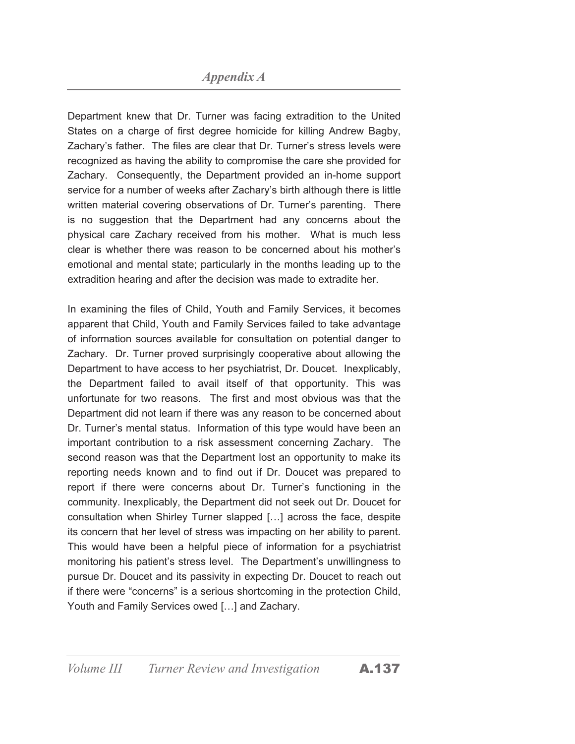Department knew that Dr. Turner was facing extradition to the United States on a charge of first degree homicide for killing Andrew Bagby, Zacharyís father. The files are clear that Dr. Turnerís stress levels were recognized as having the ability to compromise the care she provided for Zachary. Consequently, the Department provided an in-home support service for a number of weeks after Zachary's birth although there is little written material covering observations of Dr. Turner's parenting. There is no suggestion that the Department had any concerns about the physical care Zachary received from his mother. What is much less clear is whether there was reason to be concerned about his mother's emotional and mental state; particularly in the months leading up to the extradition hearing and after the decision was made to extradite her.

In examining the files of Child, Youth and Family Services, it becomes apparent that Child, Youth and Family Services failed to take advantage of information sources available for consultation on potential danger to Zachary. Dr. Turner proved surprisingly cooperative about allowing the Department to have access to her psychiatrist, Dr. Doucet. Inexplicably, the Department failed to avail itself of that opportunity. This was unfortunate for two reasons. The first and most obvious was that the Department did not learn if there was any reason to be concerned about Dr. Turner's mental status. Information of this type would have been an important contribution to a risk assessment concerning Zachary. The second reason was that the Department lost an opportunity to make its reporting needs known and to find out if Dr. Doucet was prepared to report if there were concerns about Dr. Turner's functioning in the community. Inexplicably, the Department did not seek out Dr. Doucet for consultation when Shirley Turner slapped [...] across the face, despite its concern that her level of stress was impacting on her ability to parent. This would have been a helpful piece of information for a psychiatrist monitoring his patient's stress level. The Department's unwillingness to pursue Dr. Doucet and its passivity in expecting Dr. Doucet to reach out if there were "concerns" is a serious shortcoming in the protection Child, Youth and Family Services owed [...] and Zachary.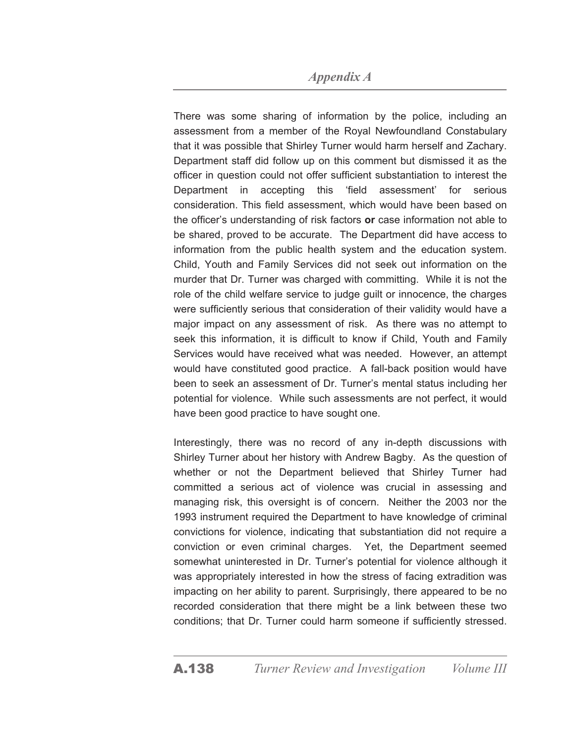There was some sharing of information by the police, including an assessment from a member of the Royal Newfoundland Constabulary that it was possible that Shirley Turner would harm herself and Zachary. Department staff did follow up on this comment but dismissed it as the officer in question could not offer sufficient substantiation to interest the Department in accepting this 'field assessment' for serious consideration. This field assessment, which would have been based on the officerís understanding of risk factors **or** case information not able to be shared, proved to be accurate. The Department did have access to information from the public health system and the education system. Child, Youth and Family Services did not seek out information on the murder that Dr. Turner was charged with committing. While it is not the role of the child welfare service to judge guilt or innocence, the charges were sufficiently serious that consideration of their validity would have a major impact on any assessment of risk. As there was no attempt to seek this information, it is difficult to know if Child, Youth and Family Services would have received what was needed. However, an attempt would have constituted good practice. A fall-back position would have been to seek an assessment of Dr. Turner's mental status including her potential for violence. While such assessments are not perfect, it would have been good practice to have sought one.

Interestingly, there was no record of any in-depth discussions with Shirley Turner about her history with Andrew Bagby. As the question of whether or not the Department believed that Shirley Turner had committed a serious act of violence was crucial in assessing and managing risk, this oversight is of concern. Neither the 2003 nor the 1993 instrument required the Department to have knowledge of criminal convictions for violence, indicating that substantiation did not require a conviction or even criminal charges. Yet, the Department seemed somewhat uninterested in Dr. Turner's potential for violence although it was appropriately interested in how the stress of facing extradition was impacting on her ability to parent. Surprisingly, there appeared to be no recorded consideration that there might be a link between these two conditions; that Dr. Turner could harm someone if sufficiently stressed.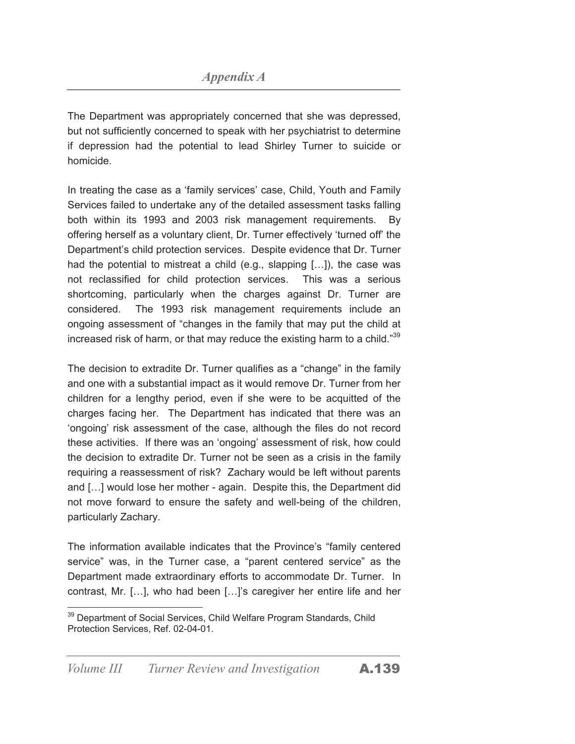The Department was appropriately concerned that she was depressed, but not sufficiently concerned to speak with her psychiatrist to determine if depression had the potential to lead Shirley Turner to suicide or homicide.

In treating the case as a 'family services' case, Child, Youth and Family Services failed to undertake any of the detailed assessment tasks falling both within its 1993 and 2003 risk management requirements. By offering herself as a voluntary client, Dr. Turner effectively 'turned off' the Department's child protection services. Despite evidence that Dr. Turner had the potential to mistreat a child (e.g., slapping  $[\dots]$ ), the case was not reclassified for child protection services. This was a serious shortcoming, particularly when the charges against Dr. Turner are considered. The 1993 risk management requirements include an ongoing assessment of "changes in the family that may put the child at increased risk of harm, or that may reduce the existing harm to a child.<sup>339</sup>

The decision to extradite Dr. Turner qualifies as a "change" in the family and one with a substantial impact as it would remove Dr. Turner from her children for a lengthy period, even if she were to be acquitted of the charges facing her. The Department has indicated that there was an ëongoingí risk assessment of the case, although the files do not record these activities. If there was an 'ongoing' assessment of risk, how could the decision to extradite Dr. Turner not be seen as a crisis in the family requiring a reassessment of risk? Zachary would be left without parents and [...] would lose her mother - again. Despite this, the Department did not move forward to ensure the safety and well-being of the children, particularly Zachary.

The information available indicates that the Province's "family centered service" was, in the Turner case, a "parent centered service" as the Department made extraordinary efforts to accommodate Dr. Turner. In contrast, Mr. [...], who had been [...]'s caregiver her entire life and her

 $\overline{a}$ <sup>39</sup> Department of Social Services, Child Welfare Program Standards, Child Protection Services, Ref. 02-04-01.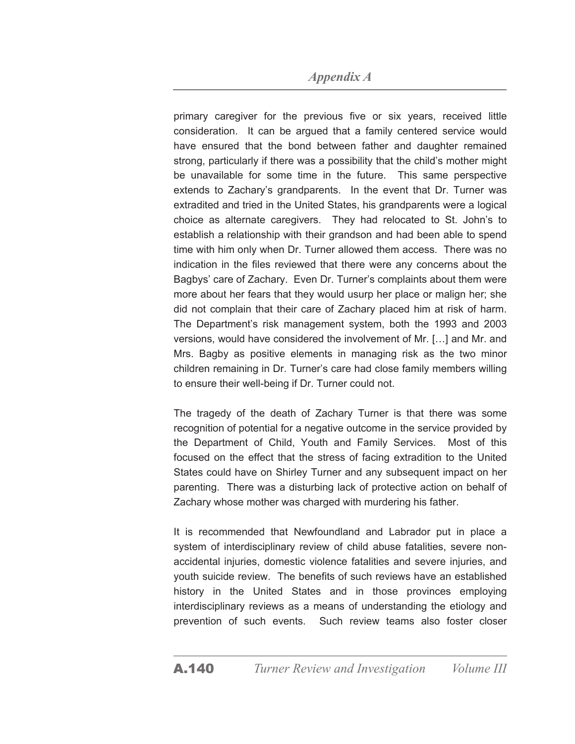primary caregiver for the previous five or six years, received little consideration. It can be argued that a family centered service would have ensured that the bond between father and daughter remained strong, particularly if there was a possibility that the child's mother might be unavailable for some time in the future. This same perspective extends to Zachary's grandparents. In the event that Dr. Turner was extradited and tried in the United States, his grandparents were a logical choice as alternate caregivers. They had relocated to St. Johnís to establish a relationship with their grandson and had been able to spend time with him only when Dr. Turner allowed them access. There was no indication in the files reviewed that there were any concerns about the Bagbys' care of Zachary. Even Dr. Turner's complaints about them were more about her fears that they would usurp her place or malign her; she did not complain that their care of Zachary placed him at risk of harm. The Department's risk management system, both the 1993 and 2003 versions, would have considered the involvement of Mr. [...] and Mr. and Mrs. Bagby as positive elements in managing risk as the two minor children remaining in Dr. Turnerís care had close family members willing to ensure their well-being if Dr. Turner could not.

The tragedy of the death of Zachary Turner is that there was some recognition of potential for a negative outcome in the service provided by the Department of Child, Youth and Family Services. Most of this focused on the effect that the stress of facing extradition to the United States could have on Shirley Turner and any subsequent impact on her parenting. There was a disturbing lack of protective action on behalf of Zachary whose mother was charged with murdering his father.

It is recommended that Newfoundland and Labrador put in place a system of interdisciplinary review of child abuse fatalities, severe nonaccidental injuries, domestic violence fatalities and severe injuries, and youth suicide review. The benefits of such reviews have an established history in the United States and in those provinces employing interdisciplinary reviews as a means of understanding the etiology and prevention of such events. Such review teams also foster closer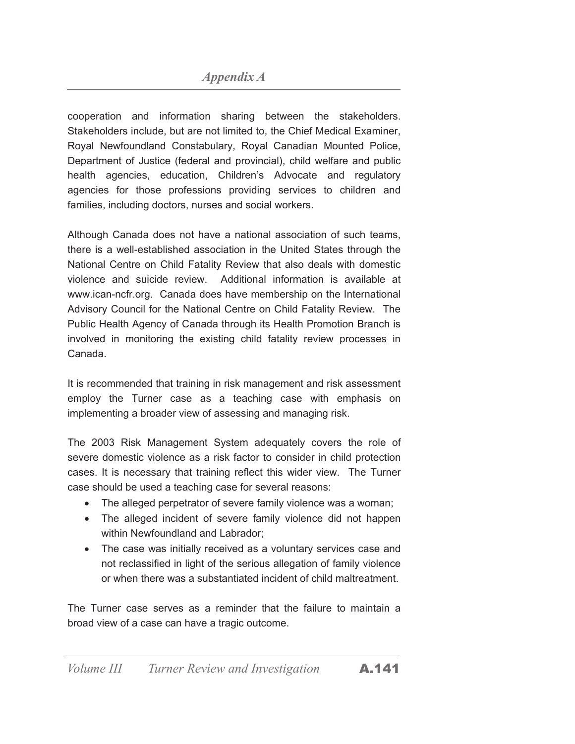cooperation and information sharing between the stakeholders. Stakeholders include, but are not limited to, the Chief Medical Examiner, Royal Newfoundland Constabulary, Royal Canadian Mounted Police, Department of Justice (federal and provincial), child welfare and public health agencies, education, Children's Advocate and regulatory agencies for those professions providing services to children and families, including doctors, nurses and social workers.

Although Canada does not have a national association of such teams, there is a well-established association in the United States through the National Centre on Child Fatality Review that also deals with domestic violence and suicide review. Additional information is available at www.ican-ncfr.org. Canada does have membership on the International Advisory Council for the National Centre on Child Fatality Review. The Public Health Agency of Canada through its Health Promotion Branch is involved in monitoring the existing child fatality review processes in Canada.

It is recommended that training in risk management and risk assessment employ the Turner case as a teaching case with emphasis on implementing a broader view of assessing and managing risk.

The 2003 Risk Management System adequately covers the role of severe domestic violence as a risk factor to consider in child protection cases. It is necessary that training reflect this wider view. The Turner case should be used a teaching case for several reasons:

- The alleged perpetrator of severe family violence was a woman;
- The alleged incident of severe family violence did not happen within Newfoundland and Labrador;
- The case was initially received as a voluntary services case and not reclassified in light of the serious allegation of family violence or when there was a substantiated incident of child maltreatment.

The Turner case serves as a reminder that the failure to maintain a broad view of a case can have a tragic outcome.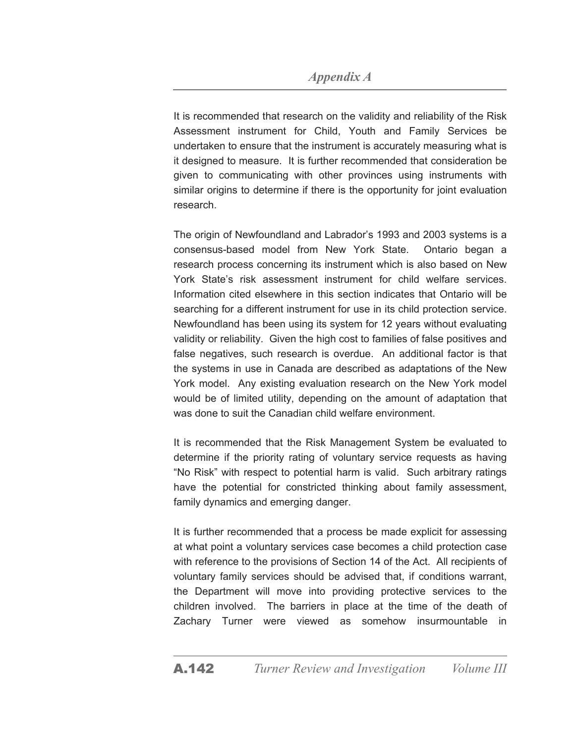It is recommended that research on the validity and reliability of the Risk Assessment instrument for Child, Youth and Family Services be undertaken to ensure that the instrument is accurately measuring what is it designed to measure. It is further recommended that consideration be given to communicating with other provinces using instruments with similar origins to determine if there is the opportunity for joint evaluation research.

The origin of Newfoundland and Labrador's 1993 and 2003 systems is a consensus-based model from New York State. Ontario began a research process concerning its instrument which is also based on New York Stateís risk assessment instrument for child welfare services. Information cited elsewhere in this section indicates that Ontario will be searching for a different instrument for use in its child protection service. Newfoundland has been using its system for 12 years without evaluating validity or reliability. Given the high cost to families of false positives and false negatives, such research is overdue. An additional factor is that the systems in use in Canada are described as adaptations of the New York model. Any existing evaluation research on the New York model would be of limited utility, depending on the amount of adaptation that was done to suit the Canadian child welfare environment.

It is recommended that the Risk Management System be evaluated to determine if the priority rating of voluntary service requests as having ìNo Riskî with respect to potential harm is valid. Such arbitrary ratings have the potential for constricted thinking about family assessment, family dynamics and emerging danger.

It is further recommended that a process be made explicit for assessing at what point a voluntary services case becomes a child protection case with reference to the provisions of Section 14 of the Act. All recipients of voluntary family services should be advised that, if conditions warrant, the Department will move into providing protective services to the children involved. The barriers in place at the time of the death of Zachary Turner were viewed as somehow insurmountable in